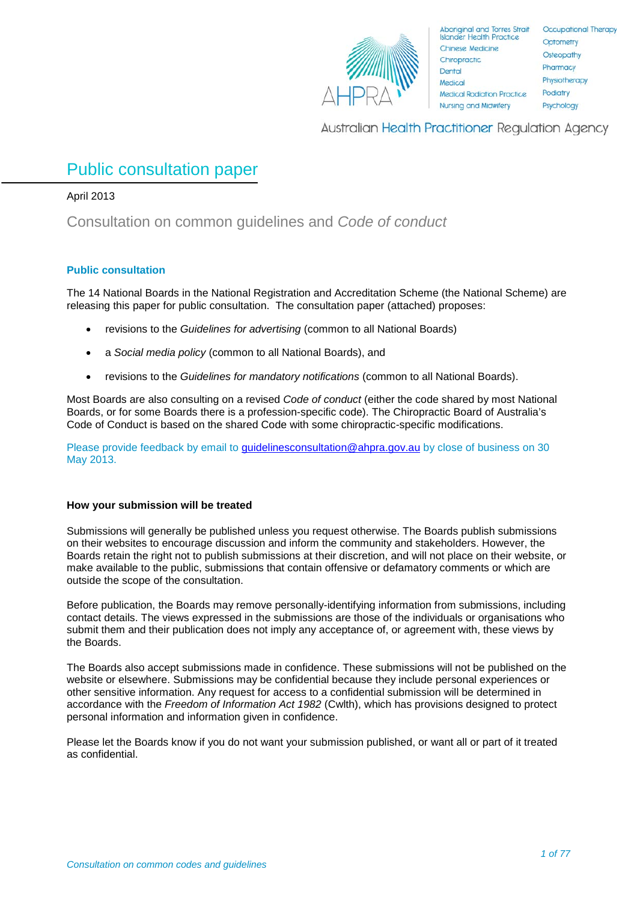

**Australian Health Practitioner Regulation Agency** 

# Public consultation paper

## April 2013

Consultation on common guidelines and *Code of conduct*

## **Public consultation**

The 14 National Boards in the National Registration and Accreditation Scheme (the National Scheme) are releasing this paper for public consultation. The consultation paper (attached) proposes:

- revisions to the *Guidelines for advertising* (common to all National Boards)
- a *Social media policy* (common to all National Boards), and
- revisions to the *Guidelines for mandatory notifications* (common to all National Boards).

Most Boards are also consulting on a revised *Code of conduct* (either the code shared by most National Boards, or for some Boards there is a profession-specific code). The Chiropractic Board of Australia's Code of Conduct is based on the shared Code with some chiropractic-specific modifications.

Please provide feedback by email to [guidelinesconsultation@ahpra.gov.au](mailto:guidelinesconsultation@ahpra.gov.au) by close of business on 30 May 2013.

## **How your submission will be treated**

Submissions will generally be published unless you request otherwise. The Boards publish submissions on their websites to encourage discussion and inform the community and stakeholders. However, the Boards retain the right not to publish submissions at their discretion, and will not place on their website, or make available to the public, submissions that contain offensive or defamatory comments or which are outside the scope of the consultation.

Before publication, the Boards may remove personally-identifying information from submissions, including contact details. The views expressed in the submissions are those of the individuals or organisations who submit them and their publication does not imply any acceptance of, or agreement with, these views by the Boards.

The Boards also accept submissions made in confidence. These submissions will not be published on the website or elsewhere. Submissions may be confidential because they include personal experiences or other sensitive information. Any request for access to a confidential submission will be determined in accordance with the *Freedom of Information Act 1982* (Cwlth), which has provisions designed to protect personal information and information given in confidence.

Please let the Boards know if you do not want your submission published, or want all or part of it treated as confidential.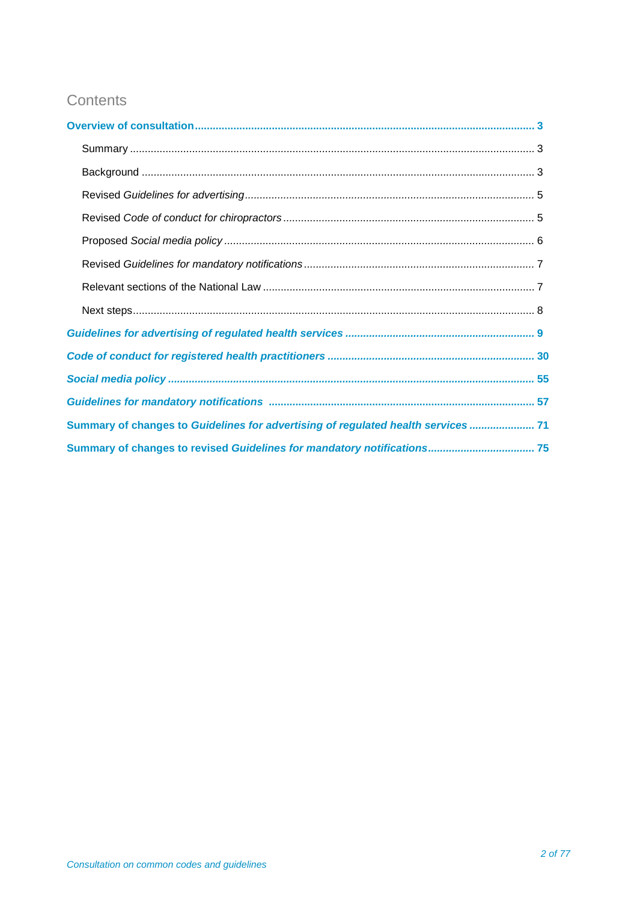# Contents

| Summary of changes to Guidelines for advertising of regulated health services  71 |
|-----------------------------------------------------------------------------------|
|                                                                                   |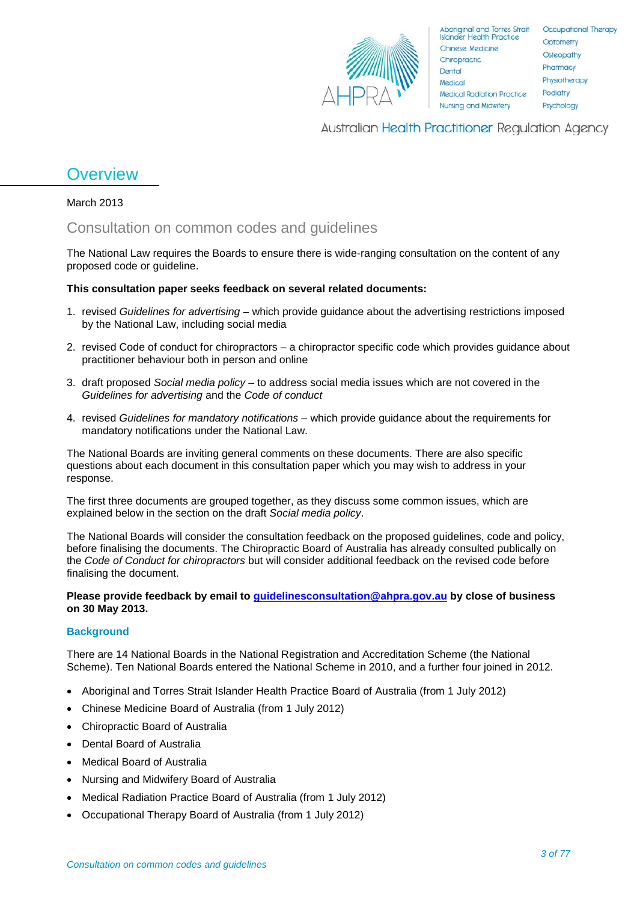

Aboriginal and Torres Strait<br>Islander Health Practice Chinese Medicine Chiropractic Dental Medical **Medical Radiation Practice Nursing and Midwiferv** 

Occupational Therapy Optometry Osteopathy Pharmacy Physiotherapy Podiatry Psychology

**Australian Health Practitioner Regulation Agency** 

# **Overview**

March 2013

## Consultation on common codes and guidelines

The National Law requires the Boards to ensure there is wide-ranging consultation on the content of any proposed code or guideline.

## **This consultation paper seeks feedback on several related documents:**

- 1. revised *Guidelines for advertising* which provide guidance about the advertising restrictions imposed by the National Law, including social media
- 2. revised Code of conduct for chiropractors a chiropractor specific code which provides guidance about practitioner behaviour both in person and online
- 3. draft proposed *Social media policy* to address social media issues which are not covered in the *Guidelines for advertising* and the *Code of conduct*
- 4. revised *Guidelines for mandatory notifications* which provide guidance about the requirements for mandatory notifications under the National Law.

The National Boards are inviting general comments on these documents. There are also specific questions about each document in this consultation paper which you may wish to address in your response.

The first three documents are grouped together, as they discuss some common issues, which are explained below in the section on the draft *Social media policy*.

The National Boards will consider the consultation feedback on the proposed guidelines, code and policy, before finalising the documents. The Chiropractic Board of Australia has already consulted publically on the *Code of Conduct for chiropractors* but will consider additional feedback on the revised code before finalising the document.

**Please provide feedback by email to [guidelinesconsultation@ahpra.gov.au](mailto:guidelinesconsultation@ahpra.gov.au) by close of business on 30 May 2013.** 

## **Background**

There are 14 National Boards in the National Registration and Accreditation Scheme (the National Scheme). Ten National Boards entered the National Scheme in 2010, and a further four joined in 2012.

- Aboriginal and Torres Strait Islander Health Practice Board of Australia (from 1 July 2012)
- Chinese Medicine Board of Australia (from 1 July 2012)
- Chiropractic Board of Australia
- Dental Board of Australia
- Medical Board of Australia
- Nursing and Midwifery Board of Australia
- Medical Radiation Practice Board of Australia (from 1 July 2012)
- Occupational Therapy Board of Australia (from 1 July 2012)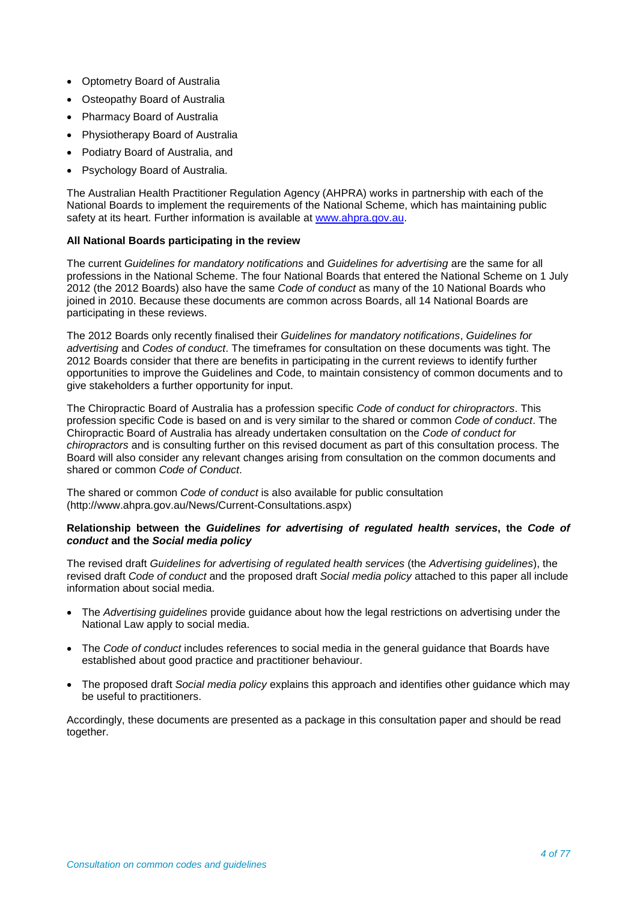- Optometry Board of Australia
- **Osteopathy Board of Australia**
- Pharmacy Board of Australia
- Physiotherapy Board of Australia
- Podiatry Board of Australia, and
- Psychology Board of Australia.

The Australian Health Practitioner Regulation Agency (AHPRA) works in partnership with each of the National Boards to implement the requirements of the National Scheme, which has maintaining public safety at its heart. Further information is available at [www.ahpra.gov.au.](http://www.ahpra.gov.au/)

## **All National Boards participating in the review**

The current *Guidelines for mandatory notifications* and *Guidelines for advertising* are the same for all professions in the National Scheme. The four National Boards that entered the National Scheme on 1 July 2012 (the 2012 Boards) also have the same *Code of conduct* as many of the 10 National Boards who joined in 2010. Because these documents are common across Boards, all 14 National Boards are participating in these reviews.

The 2012 Boards only recently finalised their *Guidelines for mandatory notifications*, *Guidelines for advertising* and *Codes of conduct*. The timeframes for consultation on these documents was tight. The 2012 Boards consider that there are benefits in participating in the current reviews to identify further opportunities to improve the Guidelines and Code, to maintain consistency of common documents and to give stakeholders a further opportunity for input.

The Chiropractic Board of Australia has a profession specific *Code of conduct for chiropractors*. This profession specific Code is based on and is very similar to the shared or common *Code of conduct*. The Chiropractic Board of Australia has already undertaken consultation on the *Code of conduct for chiropractors* and is consulting further on this revised document as part of this consultation process. The Board will also consider any relevant changes arising from consultation on the common documents and shared or common *Code of Conduct*.

The shared or common *Code of conduct* is also available for public consultation (http://www.ahpra.gov.au/News/Current-Consultations.aspx)

## **Relationship between the** *Guidelines for advertising of regulated health services***, the** *Code of conduct* **and the** *Social media policy*

The revised draft *Guidelines for advertising of regulated health services* (the *Advertising guidelines*), the revised draft *Code of conduct* and the proposed draft *Social media policy* attached to this paper all include information about social media.

- The *Advertising guidelines* provide guidance about how the legal restrictions on advertising under the National Law apply to social media.
- The *Code of conduct* includes references to social media in the general guidance that Boards have established about good practice and practitioner behaviour.
- The proposed draft *Social media policy* explains this approach and identifies other guidance which may be useful to practitioners.

Accordingly, these documents are presented as a package in this consultation paper and should be read together.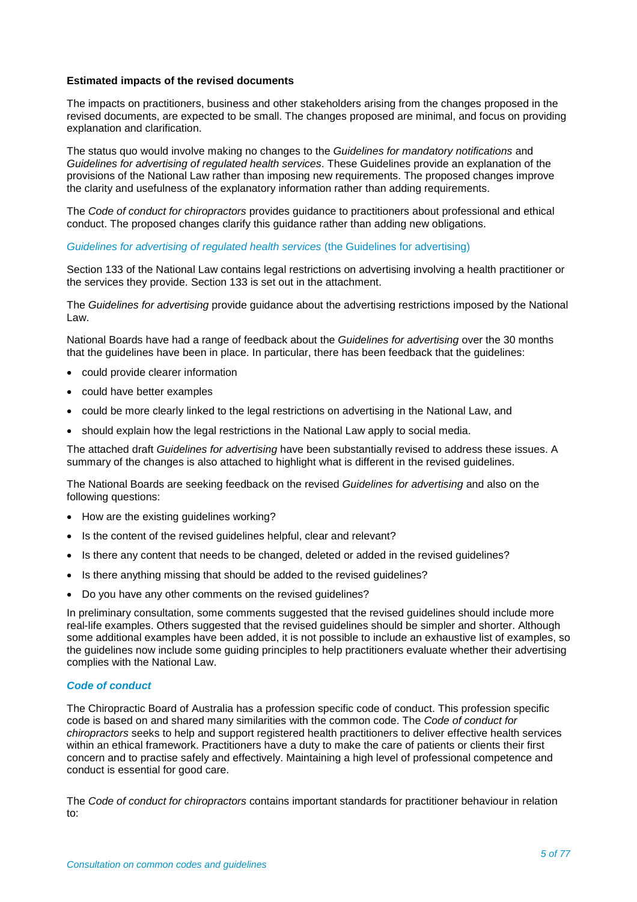### **Estimated impacts of the revised documents**

The impacts on practitioners, business and other stakeholders arising from the changes proposed in the revised documents, are expected to be small. The changes proposed are minimal, and focus on providing explanation and clarification.

The status quo would involve making no changes to the *Guidelines for mandatory notifications* and *Guidelines for advertising of regulated health services*. These Guidelines provide an explanation of the provisions of the National Law rather than imposing new requirements. The proposed changes improve the clarity and usefulness of the explanatory information rather than adding requirements.

The *Code of conduct for chiropractors* provides guidance to practitioners about professional and ethical conduct. The proposed changes clarify this guidance rather than adding new obligations.

#### *Guidelines for advertising of regulated health services* (the Guidelines for advertising)

Section 133 of the National Law contains legal restrictions on advertising involving a health practitioner or the services they provide. Section 133 is set out in the attachment.

The *Guidelines for advertising* provide guidance about the advertising restrictions imposed by the National Law.

National Boards have had a range of feedback about the *Guidelines for advertising* over the 30 months that the guidelines have been in place. In particular, there has been feedback that the guidelines:

- could provide clearer information
- could have better examples
- could be more clearly linked to the legal restrictions on advertising in the National Law, and
- should explain how the legal restrictions in the National Law apply to social media.

The attached draft *Guidelines for advertising* have been substantially revised to address these issues. A summary of the changes is also attached to highlight what is different in the revised guidelines.

The National Boards are seeking feedback on the revised *Guidelines for advertising* and also on the following questions:

- How are the existing guidelines working?
- Is the content of the revised guidelines helpful, clear and relevant?
- Is there any content that needs to be changed, deleted or added in the revised guidelines?
- Is there anything missing that should be added to the revised guidelines?
- Do you have any other comments on the revised guidelines?

In preliminary consultation, some comments suggested that the revised guidelines should include more real-life examples. Others suggested that the revised guidelines should be simpler and shorter. Although some additional examples have been added, it is not possible to include an exhaustive list of examples, so the guidelines now include some guiding principles to help practitioners evaluate whether their advertising complies with the National Law.

#### *Code of conduct*

The Chiropractic Board of Australia has a profession specific code of conduct. This profession specific code is based on and shared many similarities with the common code. The *Code of conduct for chiropractors* seeks to help and support registered health practitioners to deliver effective health services within an ethical framework. Practitioners have a duty to make the care of patients or clients their first concern and to practise safely and effectively. Maintaining a high level of professional competence and conduct is essential for good care.

The *Code of conduct for chiropractors* contains important standards for practitioner behaviour in relation  $t^{\alpha}$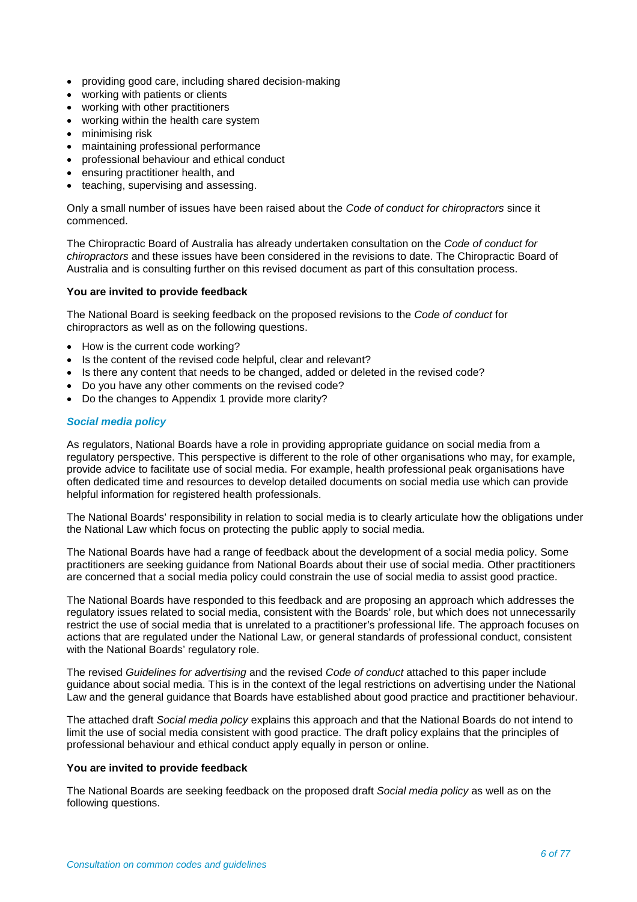- providing good care, including shared decision-making
- working with patients or clients
- working with other practitioners
- working within the health care system
- minimising risk
- maintaining professional performance
- professional behaviour and ethical conduct
- ensuring practitioner health, and
- teaching, supervising and assessing.

Only a small number of issues have been raised about the *Code of conduct for chiropractors* since it commenced.

The Chiropractic Board of Australia has already undertaken consultation on the *Code of conduct for chiropractors* and these issues have been considered in the revisions to date. The Chiropractic Board of Australia and is consulting further on this revised document as part of this consultation process.

#### **You are invited to provide feedback**

The National Board is seeking feedback on the proposed revisions to the *Code of conduct* for chiropractors as well as on the following questions.

- How is the current code working?
- Is the content of the revised code helpful, clear and relevant?
- Is there any content that needs to be changed, added or deleted in the revised code?
- Do you have any other comments on the revised code?
- Do the changes to Appendix 1 provide more clarity?

## *Social media policy*

As regulators, National Boards have a role in providing appropriate guidance on social media from a regulatory perspective. This perspective is different to the role of other organisations who may, for example, provide advice to facilitate use of social media. For example, health professional peak organisations have often dedicated time and resources to develop detailed documents on social media use which can provide helpful information for registered health professionals.

The National Boards' responsibility in relation to social media is to clearly articulate how the obligations under the National Law which focus on protecting the public apply to social media.

The National Boards have had a range of feedback about the development of a social media policy. Some practitioners are seeking guidance from National Boards about their use of social media. Other practitioners are concerned that a social media policy could constrain the use of social media to assist good practice.

The National Boards have responded to this feedback and are proposing an approach which addresses the regulatory issues related to social media, consistent with the Boards' role, but which does not unnecessarily restrict the use of social media that is unrelated to a practitioner's professional life. The approach focuses on actions that are regulated under the National Law, or general standards of professional conduct, consistent with the National Boards' regulatory role.

The revised *Guidelines for advertising* and the revised *Code of conduct* attached to this paper include guidance about social media. This is in the context of the legal restrictions on advertising under the National Law and the general guidance that Boards have established about good practice and practitioner behaviour.

The attached draft *Social media policy* explains this approach and that the National Boards do not intend to limit the use of social media consistent with good practice. The draft policy explains that the principles of professional behaviour and ethical conduct apply equally in person or online.

## **You are invited to provide feedback**

The National Boards are seeking feedback on the proposed draft *Social media policy* as well as on the following questions.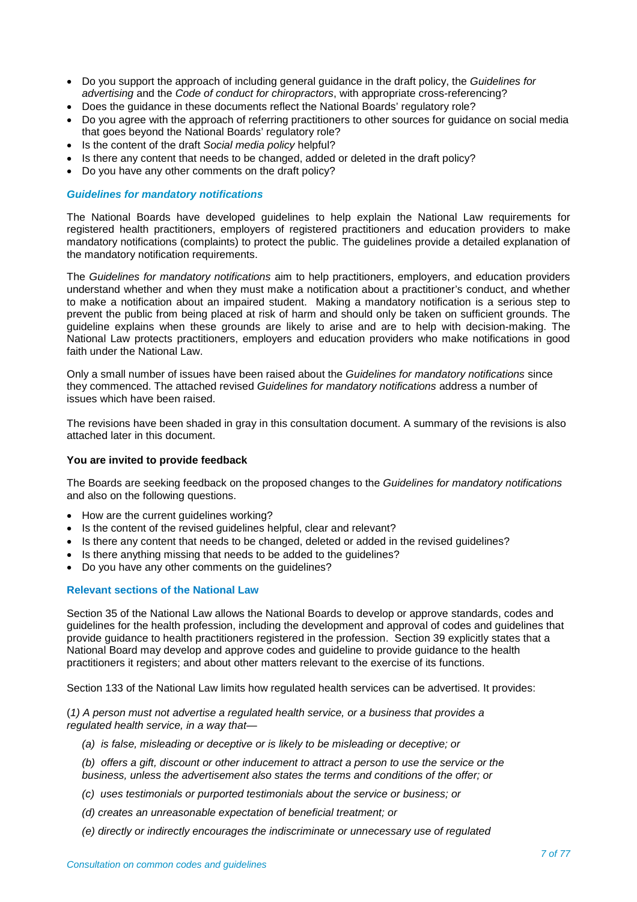- Do you support the approach of including general guidance in the draft policy, the *Guidelines for advertising* and the *Code of conduct for chiropractors*, with appropriate cross-referencing?
- Does the guidance in these documents reflect the National Boards' regulatory role?
- Do you agree with the approach of referring practitioners to other sources for guidance on social media that goes beyond the National Boards' regulatory role?
- Is the content of the draft *Social media policy* helpful?
- Is there any content that needs to be changed, added or deleted in the draft policy?
- Do you have any other comments on the draft policy?

## *Guidelines for mandatory notifications*

The National Boards have developed guidelines to help explain the National Law requirements for registered health practitioners, employers of registered practitioners and education providers to make mandatory notifications (complaints) to protect the public. The guidelines provide a detailed explanation of the mandatory notification requirements.

The *Guidelines for mandatory notifications* aim to help practitioners, employers, and education providers understand whether and when they must make a notification about a practitioner's conduct, and whether to make a notification about an impaired student. Making a mandatory notification is a serious step to prevent the public from being placed at risk of harm and should only be taken on sufficient grounds. The guideline explains when these grounds are likely to arise and are to help with decision-making. The National Law protects practitioners, employers and education providers who make notifications in good faith under the National Law.

Only a small number of issues have been raised about the *Guidelines for mandatory notifications* since they commenced. The attached revised *Guidelines for mandatory notifications* address a number of issues which have been raised.

The revisions have been shaded in gray in this consultation document. A summary of the revisions is also attached later in this document.

#### **You are invited to provide feedback**

The Boards are seeking feedback on the proposed changes to the *Guidelines for mandatory notifications* and also on the following questions.

- How are the current guidelines working?
- Is the content of the revised guidelines helpful, clear and relevant?
- Is there any content that needs to be changed, deleted or added in the revised guidelines?
- Is there anything missing that needs to be added to the guidelines?
- Do you have any other comments on the guidelines?

#### **Relevant sections of the National Law**

Section 35 of the National Law allows the National Boards to develop or approve standards, codes and guidelines for the health profession, including the development and approval of codes and guidelines that provide guidance to health practitioners registered in the profession. Section 39 explicitly states that a National Board may develop and approve codes and guideline to provide guidance to the health practitioners it registers; and about other matters relevant to the exercise of its functions.

Section 133 of the National Law limits how regulated health services can be advertised. It provides:

(*1) A person must not advertise a regulated health service, or a business that provides a regulated health service, in a way that—*

- *(a) is false, misleading or deceptive or is likely to be misleading or deceptive; or*
- *(b) offers a gift, discount or other inducement to attract a person to use the service or the business, unless the advertisement also states the terms and conditions of the offer; or*
- *(c) uses testimonials or purported testimonials about the service or business; or*
- *(d) creates an unreasonable expectation of beneficial treatment; or*
- *(e) directly or indirectly encourages the indiscriminate or unnecessary use of regulated*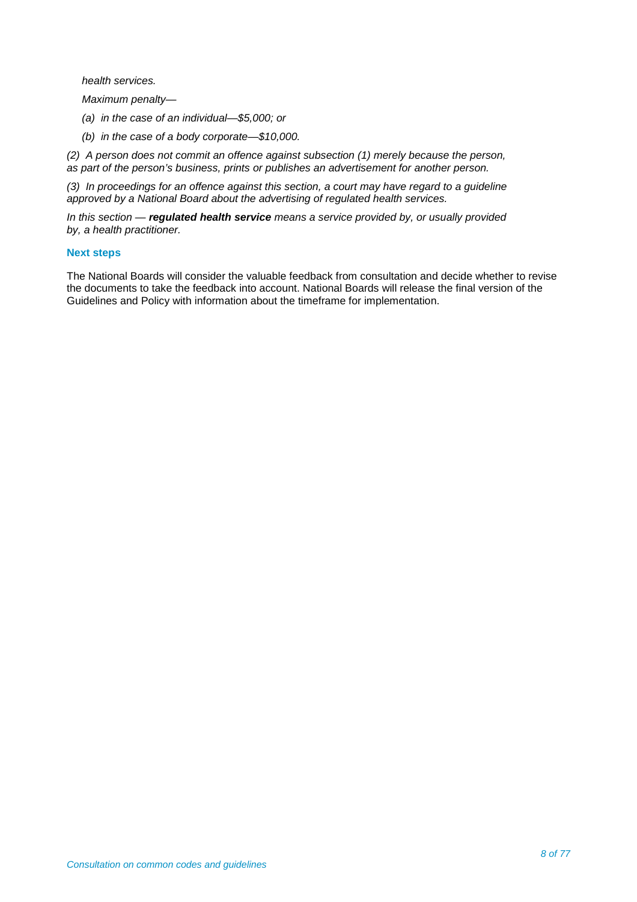*health services.*

*Maximum penalty—*

- *(a) in the case of an individual—\$5,000; or*
- *(b) in the case of a body corporate—\$10,000.*

*(2) A person does not commit an offence against subsection (1) merely because the person, as part of the person's business, prints or publishes an advertisement for another person.* 

*(3) In proceedings for an offence against this section, a court may have regard to a guideline approved by a National Board about the advertising of regulated health services.* 

*In this section — regulated health service means a service provided by, or usually provided by, a health practitioner.* 

## **Next steps**

The National Boards will consider the valuable feedback from consultation and decide whether to revise the documents to take the feedback into account. National Boards will release the final version of the Guidelines and Policy with information about the timeframe for implementation.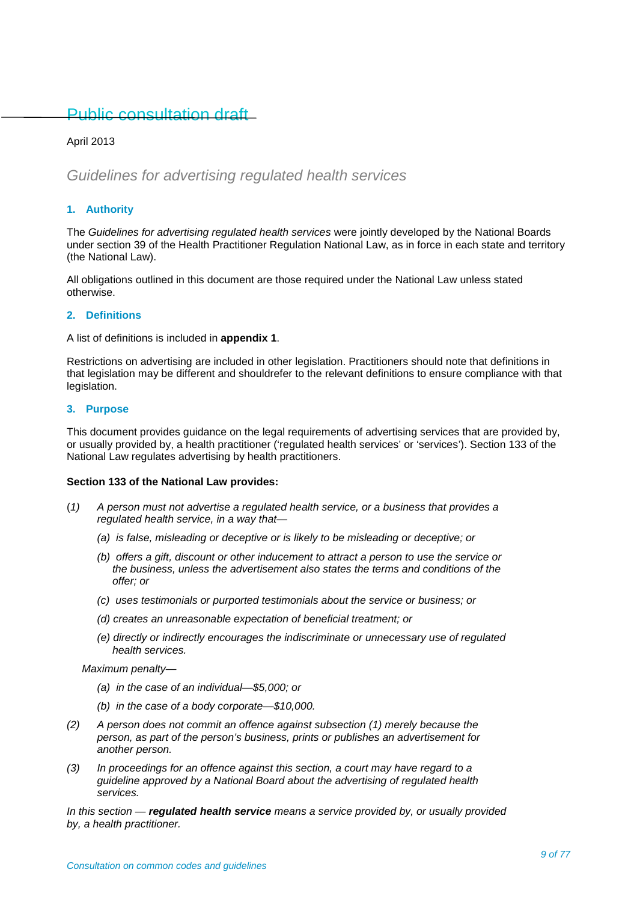## Public consultation draft

## April 2013

## *Guidelines for advertising regulated health services*

## **1. Authority**

The *Guidelines for advertising regulated health services* were jointly developed by the National Boards under section 39 of the Health Practitioner Regulation National Law, as in force in each state and territory (the National Law).

All obligations outlined in this document are those required under the National Law unless stated otherwise.

#### **2. Definitions**

A list of definitions is included in **appendix 1**.

Restrictions on advertising are included in other legislation. Practitioners should note that definitions in that legislation may be different and shouldrefer to the relevant definitions to ensure compliance with that legislation.

## **3. Purpose**

This document provides guidance on the legal requirements of advertising services that are provided by, or usually provided by, a health practitioner ('regulated health services' or 'services'). Section 133 of the National Law regulates advertising by health practitioners.

#### **Section 133 of the National Law provides:**

- (*1) A person must not advertise a regulated health service, or a business that provides a regulated health service, in a way that—*
	- *(a) is false, misleading or deceptive or is likely to be misleading or deceptive; or*
	- *(b) offers a gift, discount or other inducement to attract a person to use the service or the business, unless the advertisement also states the terms and conditions of the offer; or*
	- *(c) uses testimonials or purported testimonials about the service or business; or*
	- *(d) creates an unreasonable expectation of beneficial treatment; or*
	- *(e) directly or indirectly encourages the indiscriminate or unnecessary use of regulated health services.*

*Maximum penalty—*

- *(a) in the case of an individual—\$5,000; or*
- *(b) in the case of a body corporate—\$10,000.*
- *(2) A person does not commit an offence against subsection (1) merely because the person, as part of the person's business, prints or publishes an advertisement for another person.*
- *(3) In proceedings for an offence against this section, a court may have regard to a guideline approved by a National Board about the advertising of regulated health services.*

*In this section — regulated health service means a service provided by, or usually provided by, a health practitioner.*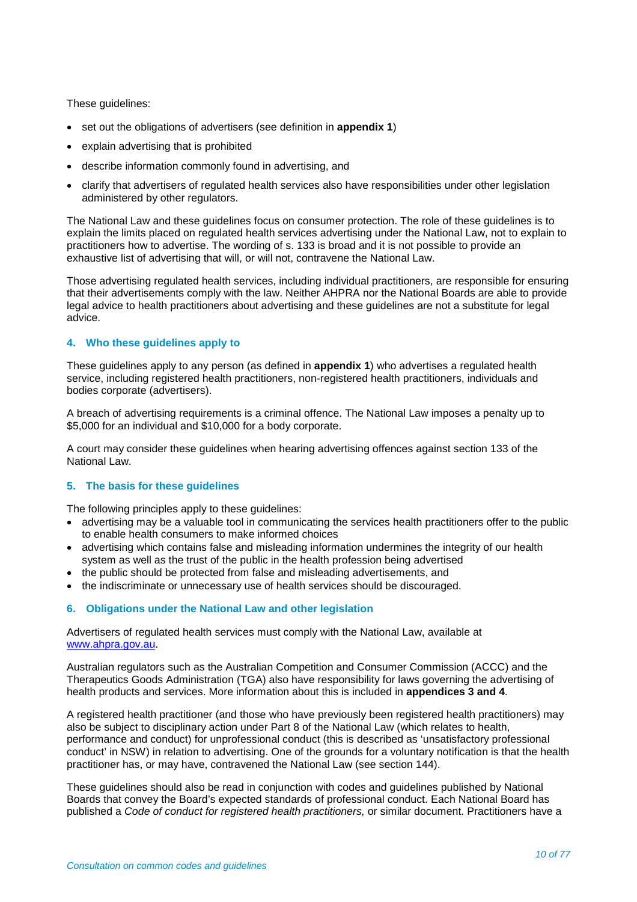These guidelines:

- set out the obligations of advertisers (see definition in **appendix 1**)
- explain advertising that is prohibited
- describe information commonly found in advertising, and
- clarify that advertisers of regulated health services also have responsibilities under other legislation administered by other regulators.

The National Law and these guidelines focus on consumer protection. The role of these guidelines is to explain the limits placed on regulated health services advertising under the National Law, not to explain to practitioners how to advertise. The wording of s. 133 is broad and it is not possible to provide an exhaustive list of advertising that will, or will not, contravene the National Law.

Those advertising regulated health services, including individual practitioners, are responsible for ensuring that their advertisements comply with the law. Neither AHPRA nor the National Boards are able to provide legal advice to health practitioners about advertising and these guidelines are not a substitute for legal advice.

## **4. Who these guidelines apply to**

These guidelines apply to any person (as defined in **appendix 1**) who advertises a regulated health service, including registered health practitioners, non-registered health practitioners, individuals and bodies corporate (advertisers).

A breach of advertising requirements is a criminal offence. The National Law imposes a penalty up to \$5,000 for an individual and \$10,000 for a body corporate.

A court may consider these guidelines when hearing advertising offences against section 133 of the National Law.

## **5. The basis for these guidelines**

The following principles apply to these guidelines:

- advertising may be a valuable tool in communicating the services health practitioners offer to the public to enable health consumers to make informed choices
- advertising which contains false and misleading information undermines the integrity of our health system as well as the trust of the public in the health profession being advertised
- the public should be protected from false and misleading advertisements, and
- the indiscriminate or unnecessary use of health services should be discouraged.

## **6. Obligations under the National Law and other legislation**

Advertisers of regulated health services must comply with the National Law, available at [www.ahpra.gov.au.](http://www.ahpra.gov.au/)

Australian regulators such as the Australian Competition and Consumer Commission (ACCC) and the Therapeutics Goods Administration (TGA) also have responsibility for laws governing the advertising of health products and services. More information about this is included in **appendices 3 and 4**.

A registered health practitioner (and those who have previously been registered health practitioners) may also be subject to disciplinary action under Part 8 of the National Law (which relates to health, performance and conduct) for unprofessional conduct (this is described as 'unsatisfactory professional conduct' in NSW) in relation to advertising. One of the grounds for a voluntary notification is that the health practitioner has, or may have, contravened the National Law (see section 144).

These guidelines should also be read in conjunction with codes and guidelines published by National Boards that convey the Board's expected standards of professional conduct. Each National Board has published a *Code of conduct for registered health practitioners,* or similar document. Practitioners have a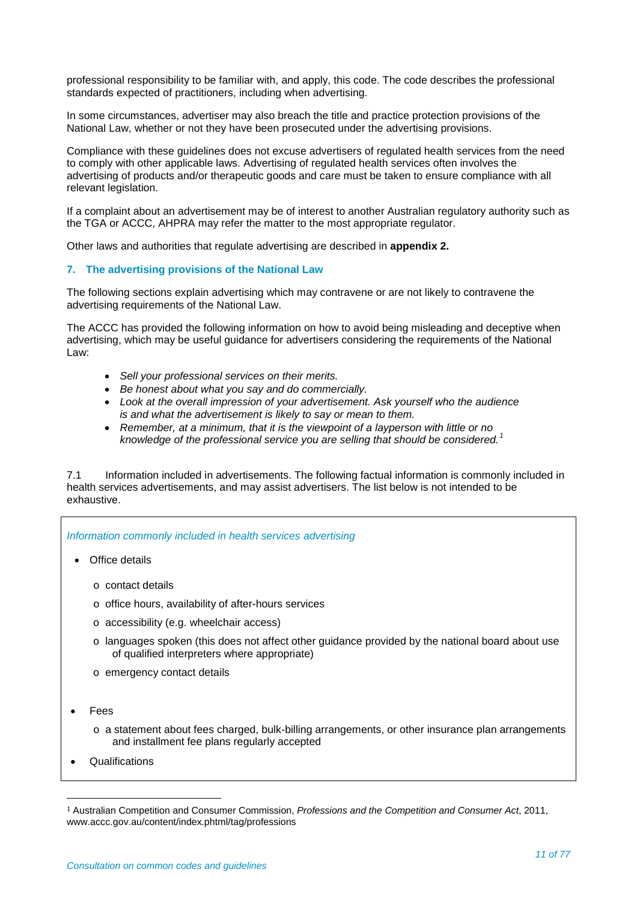professional responsibility to be familiar with, and apply, this code. The code describes the professional standards expected of practitioners, including when advertising.

In some circumstances, advertiser may also breach the title and practice protection provisions of the National Law, whether or not they have been prosecuted under the advertising provisions.

Compliance with these guidelines does not excuse advertisers of regulated health services from the need to comply with other applicable laws. Advertising of regulated health services often involves the advertising of products and/or therapeutic goods and care must be taken to ensure compliance with all relevant legislation.

If a complaint about an advertisement may be of interest to another Australian regulatory authority such as the TGA or ACCC, AHPRA may refer the matter to the most appropriate regulator.

Other laws and authorities that regulate advertising are described in **appendix 2.**

#### **7. The advertising provisions of the National Law**

The following sections explain advertising which may contravene or are not likely to contravene the advertising requirements of the National Law.

The ACCC has provided the following information on how to avoid being misleading and deceptive when advertising, which may be useful guidance for advertisers considering the requirements of the National Law:

- *Sell your professional services on their merits.*
- *Be honest about what you say and do commercially.*
- *Look at the overall impression of your advertisement. Ask yourself who the audience is and what the advertisement is likely to say or mean to them.*
- *Remember, at a minimum, that it is the viewpoint of a layperson with little or no knowledge of the professional service you are selling that should be considered.[1](#page-10-0)*

7.1 Information included in advertisements. The following factual information is commonly included in health services advertisements, and may assist advertisers. The list below is not intended to be exhaustive.

#### *Information commonly included in health services advertising*

- Office details
	- o contact details
	- o office hours, availability of after-hours services
	- o accessibility (e.g. wheelchair access)
	- $\circ$  languages spoken (this does not affect other guidance provided by the national board about use of qualified interpreters where appropriate)
	- o emergency contact details
- Fees
	- o a statement about fees charged, bulk-billing arrangements, or other insurance plan arrangements and installment fee plans regularly accepted
- **Qualifications**

<span id="page-10-0"></span> <sup>1</sup> Australian Competition and Consumer Commission, *Professions and the Competition and Consumer Act*, 2011, www.accc.gov.au/content/index.phtml/tag/professions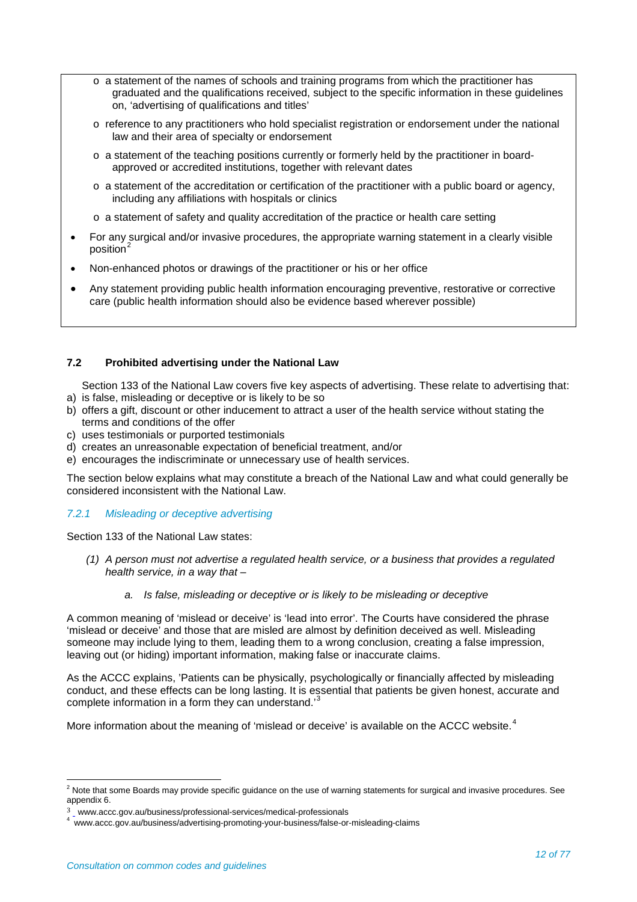- $\circ$  a statement of the names of schools and training programs from which the practitioner has graduated and the qualifications received, subject to the specific information in these guidelines on, 'advertising of qualifications and titles'
- o reference to any practitioners who hold specialist registration or endorsement under the national law and their area of specialty or endorsement
- $\circ$  a statement of the teaching positions currently or formerly held by the practitioner in boardapproved or accredited institutions, together with relevant dates
- $\circ$  a statement of the accreditation or certification of the practitioner with a public board or agency, including any affiliations with hospitals or clinics
- o a statement of safety and quality accreditation of the practice or health care setting
- For any surgical and/or invasive procedures, the appropriate warning statement in a clearly visible position<sup>[2](#page-11-0)</sup>
- Non-enhanced photos or drawings of the practitioner or his or her office
- Any statement providing public health information encouraging preventive, restorative or corrective care (public health information should also be evidence based wherever possible)

## **7.2 Prohibited advertising under the National Law**

Section 133 of the National Law covers five key aspects of advertising. These relate to advertising that:

- a) is false, misleading or deceptive or is likely to be so
- b) offers a gift, discount or other inducement to attract a user of the health service without stating the terms and conditions of the offer
- c) uses testimonials or purported testimonials
- d) creates an unreasonable expectation of beneficial treatment, and/or
- e) encourages the indiscriminate or unnecessary use of health services.

The section below explains what may constitute a breach of the National Law and what could generally be considered inconsistent with the National Law.

## *7.2.1 Misleading or deceptive advertising*

Section 133 of the National Law states:

- *(1) A person must not advertise a regulated health service, or a business that provides a regulated health service, in a way that –*
	- *a. Is false, misleading or deceptive or is likely to be misleading or deceptive*

A common meaning of 'mislead or deceive' is 'lead into error'. The Courts have considered the phrase 'mislead or deceive' and those that are misled are almost by definition deceived as well. Misleading someone may include lying to them, leading them to a wrong conclusion, creating a false impression, leaving out (or hiding) important information, making false or inaccurate claims.

As the ACCC explains, 'Patients can be physically, psychologically or financially affected by misleading conduct, and these effects can be long lasting. It is essential that patients be given honest, accurate and complete information in a form they can understand.<sup>[3](#page-11-1)</sup>

More information about the meaning of 'mislead or deceive' is available on the ACCC website.<sup>[4](#page-11-2)</sup>

<span id="page-11-0"></span> $2$  Note that some Boards may provide specific guidance on the use of warning statements for surgical and invasive procedures. See appendix 6.

<span id="page-11-2"></span><span id="page-11-1"></span><sup>3</sup> [w](http://www.accc.gov.au/content/index.phtml/itemId/5967)ww.accc.gov.au/business/professional-services/medical-professionals <sup>4</sup> www.accc.gov.au/business/advertising-promoting-your-business/false-or-misleading-claims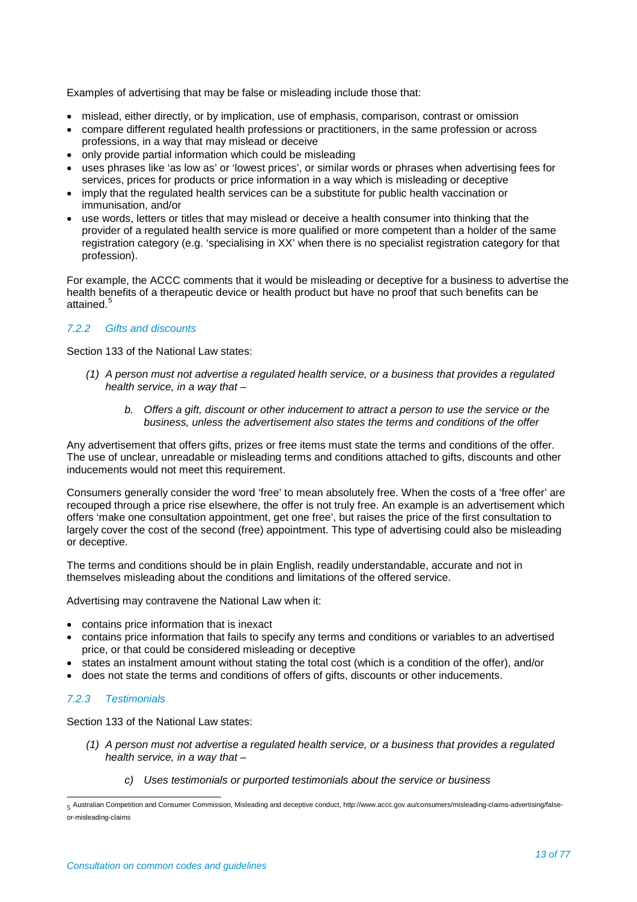Examples of advertising that may be false or misleading include those that:

- mislead, either directly, or by implication, use of emphasis, comparison, contrast or omission
- compare different regulated health professions or practitioners, in the same profession or across professions, in a way that may mislead or deceive
- only provide partial information which could be misleading
- uses phrases like 'as low as' or 'lowest prices', or similar words or phrases when advertising fees for services, prices for products or price information in a way which is misleading or deceptive
- imply that the regulated health services can be a substitute for public health vaccination or immunisation, and/or
- use words, letters or titles that may mislead or deceive a health consumer into thinking that the provider of a regulated health service is more qualified or more competent than a holder of the same registration category (e.g. 'specialising in XX' when there is no specialist registration category for that profession).

For example, the ACCC comments that it would be misleading or deceptive for a business to advertise the health benefits of a therapeutic device or health product but have no proof that such benefits can be attained.<sup>[5](#page-12-0)</sup>

## *7.2.2 Gifts and discounts*

Section 133 of the National Law states:

- *(1) A person must not advertise a regulated health service, or a business that provides a regulated health service, in a way that –*
	- *b. Offers a gift, discount or other inducement to attract a person to use the service or the business, unless the advertisement also states the terms and conditions of the offer*

Any advertisement that offers gifts, prizes or free items must state the terms and conditions of the offer. The use of unclear, unreadable or misleading terms and conditions attached to gifts, discounts and other inducements would not meet this requirement.

Consumers generally consider the word 'free' to mean absolutely free. When the costs of a 'free offer' are recouped through a price rise elsewhere, the offer is not truly free. An example is an advertisement which offers 'make one consultation appointment, get one free', but raises the price of the first consultation to largely cover the cost of the second (free) appointment. This type of advertising could also be misleading or deceptive.

The terms and conditions should be in plain English, readily understandable, accurate and not in themselves misleading about the conditions and limitations of the offered service.

Advertising may contravene the National Law when it:

- contains price information that is inexact
- contains price information that fails to specify any terms and conditions or variables to an advertised price, or that could be considered misleading or deceptive
- states an instalment amount without stating the total cost (which is a condition of the offer), and/or
- does not state the terms and conditions of offers of gifts, discounts or other inducements.

## *7.2.3 Testimonials*

Section 133 of the National Law states:

- *(1) A person must not advertise a regulated health service, or a business that provides a regulated health service, in a way that –*
	- *c) Uses testimonials or purported testimonials about the service or business*

<span id="page-12-0"></span> <sup>5</sup> Australian Competition and Consumer Commission, Misleading and deceptive conduct, http://www.accc.gov.au/consumers/misleading-claims-advertising/falseor-misleading-claims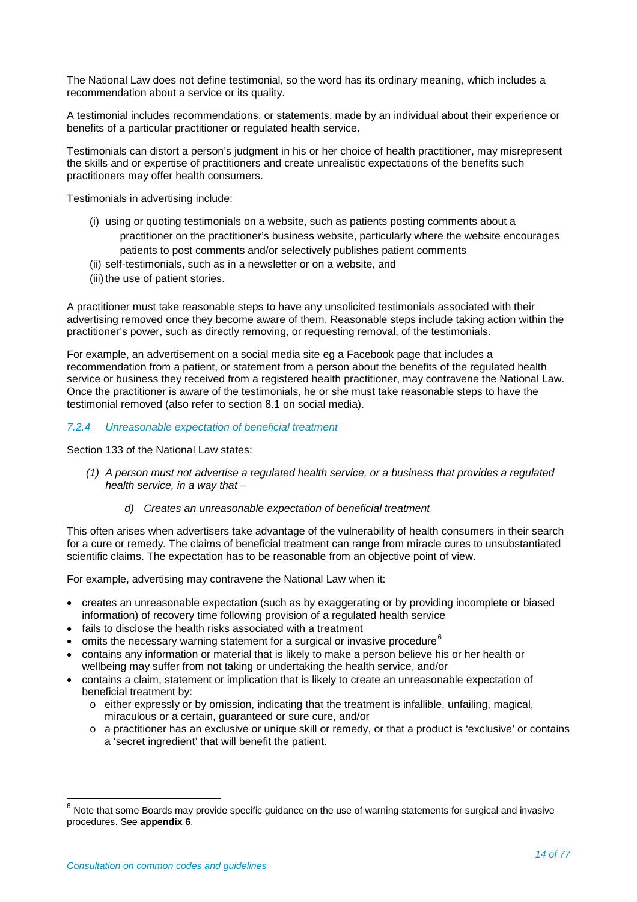The National Law does not define testimonial, so the word has its ordinary meaning, which includes a recommendation about a service or its quality.

A testimonial includes recommendations, or statements, made by an individual about their experience or benefits of a particular practitioner or regulated health service.

Testimonials can distort a person's judgment in his or her choice of health practitioner, may misrepresent the skills and or expertise of practitioners and create unrealistic expectations of the benefits such practitioners may offer health consumers.

Testimonials in advertising include:

- (i) using or quoting testimonials on a website, such as patients posting comments about a practitioner on the practitioner's business website, particularly where the website encourages patients to post comments and/or selectively publishes patient comments
- (ii) self-testimonials, such as in a newsletter or on a website, and
- (iii) the use of patient stories.

A practitioner must take reasonable steps to have any unsolicited testimonials associated with their advertising removed once they become aware of them. Reasonable steps include taking action within the practitioner's power, such as directly removing, or requesting removal, of the testimonials.

For example, an advertisement on a social media site eg a Facebook page that includes a recommendation from a patient, or statement from a person about the benefits of the regulated health service or business they received from a registered health practitioner, may contravene the National Law. Once the practitioner is aware of the testimonials, he or she must take reasonable steps to have the testimonial removed (also refer to section 8.1 on social media).

#### *7.2.4 Unreasonable expectation of beneficial treatment*

Section 133 of the National Law states:

*(1) A person must not advertise a regulated health service, or a business that provides a regulated health service, in a way that –*

#### *d) Creates an unreasonable expectation of beneficial treatment*

This often arises when advertisers take advantage of the vulnerability of health consumers in their search for a cure or remedy. The claims of beneficial treatment can range from miracle cures to unsubstantiated scientific claims. The expectation has to be reasonable from an objective point of view.

For example, advertising may contravene the National Law when it:

- creates an unreasonable expectation (such as by exaggerating or by providing incomplete or biased information) of recovery time following provision of a regulated health service
- fails to disclose the health risks associated with a treatment
- omits the necessary warning statement for a surgical or invasive procedure  $6$
- contains any information or material that is likely to make a person believe his or her health or wellbeing may suffer from not taking or undertaking the health service, and/or
- contains a claim, statement or implication that is likely to create an unreasonable expectation of beneficial treatment by:
	- $\circ$  either expressly or by omission, indicating that the treatment is infallible, unfailing, magical, miraculous or a certain, guaranteed or sure cure, and/or
	- o a practitioner has an exclusive or unique skill or remedy, or that a product is 'exclusive' or contains a 'secret ingredient' that will benefit the patient.

<span id="page-13-0"></span> $6$  Note that some Boards may provide specific guidance on the use of warning statements for surgical and invasive procedures. See **appendix 6**.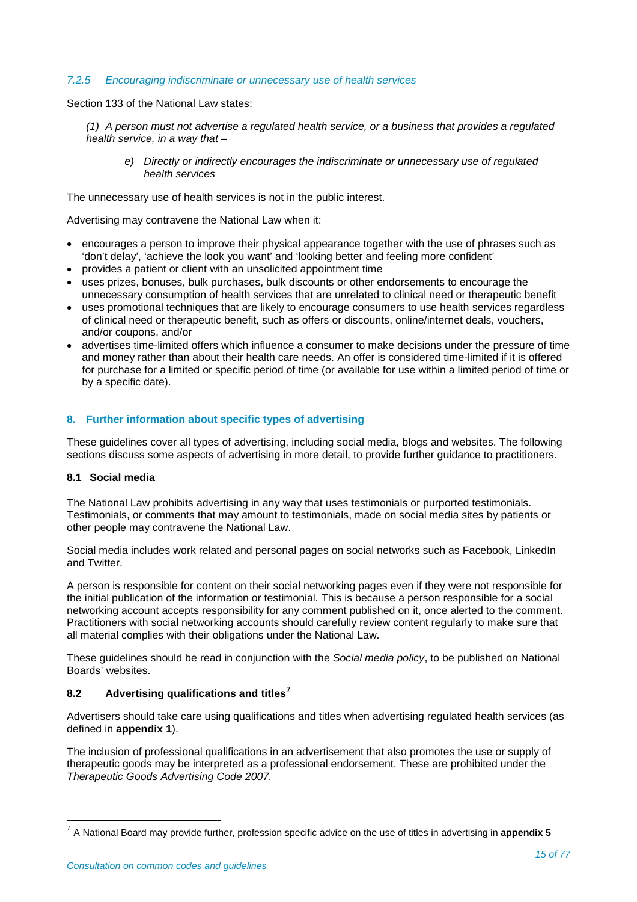#### *7.2.5 Encouraging indiscriminate or unnecessary use of health services*

Section 133 of the National Law states:

*(1) A person must not advertise a regulated health service, or a business that provides a regulated health service, in a way that –*

*e) Directly or indirectly encourages the indiscriminate or unnecessary use of regulated health services*

The unnecessary use of health services is not in the public interest.

Advertising may contravene the National Law when it:

- encourages a person to improve their physical appearance together with the use of phrases such as 'don't delay', 'achieve the look you want' and 'looking better and feeling more confident'
- provides a patient or client with an unsolicited appointment time
- uses prizes, bonuses, bulk purchases, bulk discounts or other endorsements to encourage the unnecessary consumption of health services that are unrelated to clinical need or therapeutic benefit
- uses promotional techniques that are likely to encourage consumers to use health services regardless of clinical need or therapeutic benefit, such as offers or discounts, online/internet deals, vouchers, and/or coupons, and/or
- advertises time-limited offers which influence a consumer to make decisions under the pressure of time and money rather than about their health care needs. An offer is considered time-limited if it is offered for purchase for a limited or specific period of time (or available for use within a limited period of time or by a specific date).

## **8. Further information about specific types of advertising**

These guidelines cover all types of advertising, including social media, blogs and websites. The following sections discuss some aspects of advertising in more detail, to provide further guidance to practitioners.

#### **8.1 Social media**

The National Law prohibits advertising in any way that uses testimonials or purported testimonials. Testimonials, or comments that may amount to testimonials, made on social media sites by patients or other people may contravene the National Law.

Social media includes work related and personal pages on social networks such as Facebook, LinkedIn and Twitter.

A person is responsible for content on their social networking pages even if they were not responsible for the initial publication of the information or testimonial. This is because a person responsible for a social networking account accepts responsibility for any comment published on it, once alerted to the comment. Practitioners with social networking accounts should carefully review content regularly to make sure that all material complies with their obligations under the National Law.

These guidelines should be read in conjunction with the *Social media policy*, to be published on National Boards' websites.

## **8.2 Advertising qualifications and titles[7](#page-14-0)**

Advertisers should take care using qualifications and titles when advertising regulated health services (as defined in **appendix 1**).

The inclusion of professional qualifications in an advertisement that also promotes the use or supply of therapeutic goods may be interpreted as a professional endorsement. These are prohibited under the *Therapeutic Goods Advertising Code 2007.* 

<span id="page-14-0"></span><sup>7</sup> A National Board may provide further, profession specific advice on the use of titles in advertising in **appendix 5**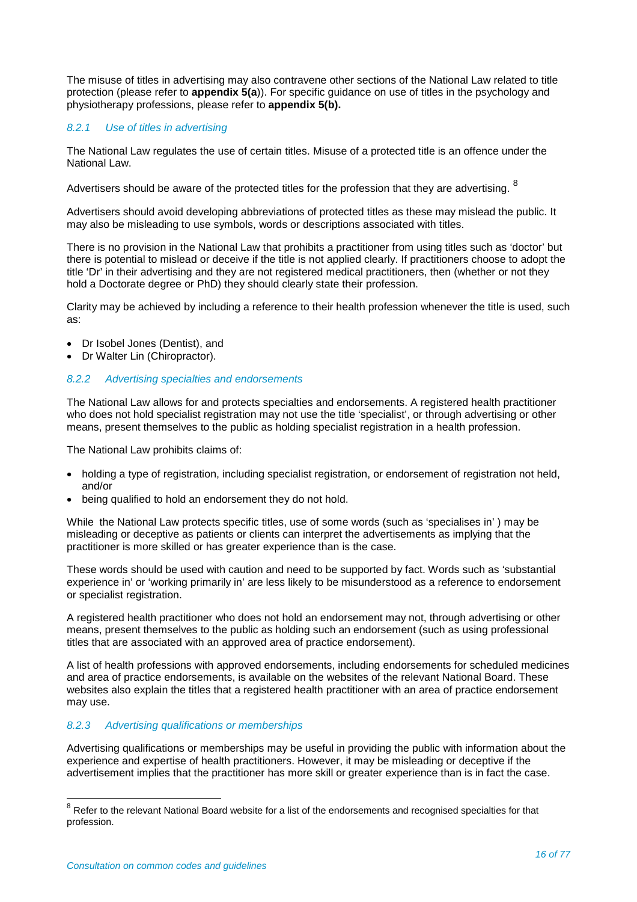The misuse of titles in advertising may also contravene other sections of the National Law related to title protection (please refer to **appendix 5(a**)). For specific guidance on use of titles in the psychology and physiotherapy professions, please refer to **appendix 5(b).** 

## *8.2.1 Use of titles in advertising*

The National Law regulates the use of certain titles. Misuse of a protected title is an offence under the National Law.

Advertisers should be aware of the protected titles for the profession that they are advertising. <sup>[8](#page-15-0)</sup>

Advertisers should avoid developing abbreviations of protected titles as these may mislead the public. It may also be misleading to use symbols, words or descriptions associated with titles.

There is no provision in the National Law that prohibits a practitioner from using titles such as 'doctor' but there is potential to mislead or deceive if the title is not applied clearly. If practitioners choose to adopt the title 'Dr' in their advertising and they are not registered medical practitioners, then (whether or not they hold a Doctorate degree or PhD) they should clearly state their profession.

Clarity may be achieved by including a reference to their health profession whenever the title is used, such as:

- Dr Isobel Jones (Dentist), and
- Dr Walter Lin (Chiropractor).

#### *8.2.2 Advertising specialties and endorsements*

The National Law allows for and protects specialties and endorsements. A registered health practitioner who does not hold specialist registration may not use the title 'specialist', or through advertising or other means, present themselves to the public as holding specialist registration in a health profession.

The National Law prohibits claims of:

- holding a type of registration, including specialist registration, or endorsement of registration not held, and/or
- being qualified to hold an endorsement they do not hold.

While the National Law protects specific titles, use of some words (such as 'specialises in' ) may be misleading or deceptive as patients or clients can interpret the advertisements as implying that the practitioner is more skilled or has greater experience than is the case.

These words should be used with caution and need to be supported by fact. Words such as 'substantial experience in' or 'working primarily in' are less likely to be misunderstood as a reference to endorsement or specialist registration.

A registered health practitioner who does not hold an endorsement may not, through advertising or other means, present themselves to the public as holding such an endorsement (such as using professional titles that are associated with an approved area of practice endorsement).

A list of health professions with approved endorsements, including endorsements for scheduled medicines and area of practice endorsements, is available on the websites of the relevant National Board. These websites also explain the titles that a registered health practitioner with an area of practice endorsement may use.

#### *8.2.3 Advertising qualifications or memberships*

Advertising qualifications or memberships may be useful in providing the public with information about the experience and expertise of health practitioners. However, it may be misleading or deceptive if the advertisement implies that the practitioner has more skill or greater experience than is in fact the case.

<span id="page-15-0"></span> $8$  Refer to the relevant National Board website for a list of the endorsements and recognised specialties for that profession.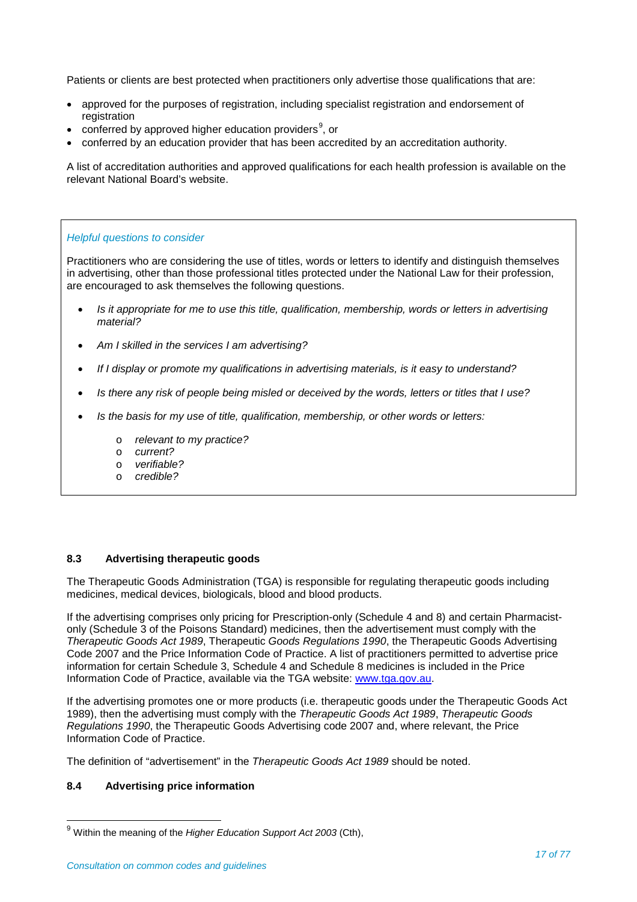Patients or clients are best protected when practitioners only advertise those qualifications that are:

- approved for the purposes of registration, including specialist registration and endorsement of registration
- conferred by approved higher education providers<sup>[9](#page-16-0)</sup>, or
- conferred by an education provider that has been accredited by an accreditation authority.

A list of accreditation authorities and approved qualifications for each health profession is available on the relevant National Board's website.

## *Helpful questions to consider*

Practitioners who are considering the use of titles, words or letters to identify and distinguish themselves in advertising, other than those professional titles protected under the National Law for their profession, are encouraged to ask themselves the following questions.

- *Is it appropriate for me to use this title, qualification, membership, words or letters in advertising material?*
- *Am I skilled in the services I am advertising?*
- *If I display or promote my qualifications in advertising materials, is it easy to understand?*
- *Is there any risk of people being misled or deceived by the words, letters or titles that I use?*
- *Is the basis for my use of title, qualification, membership, or other words or letters:*
	- o *relevant to my practice?*
	- o *current?*
	- o *verifiable?*
	- o *credible?*

## **8.3 Advertising therapeutic goods**

The Therapeutic Goods Administration (TGA) is responsible for regulating therapeutic goods including medicines, medical devices, biologicals, blood and blood products.

If the advertising comprises only pricing for Prescription-only (Schedule 4 and 8) and certain Pharmacistonly (Schedule 3 of the Poisons Standard) medicines, then the advertisement must comply with the *Therapeutic Goods Act 1989*, Therapeutic *Goods Regulations 1990*, the Therapeutic Goods Advertising Code 2007 and the Price Information Code of Practice. A list of practitioners permitted to advertise price information for certain Schedule 3, Schedule 4 and Schedule 8 medicines is included in the Price Information Code of Practice, available via the TGA website: [www.tga.gov.au.](http://www.tga.gov.au/)

If the advertising promotes one or more products (i.e. therapeutic goods under the Therapeutic Goods Act 1989), then the advertising must comply with the *Therapeutic Goods Act 1989*, *Therapeutic Goods Regulations 1990*, the Therapeutic Goods Advertising code 2007 and, where relevant, the Price Information Code of Practice.

The definition of "advertisement" in the *Therapeutic Goods Act 1989* should be noted.

## **8.4 Advertising price information**

<span id="page-16-0"></span><sup>9</sup> Within the meaning of the *Higher Education Support Act 2003* (Cth),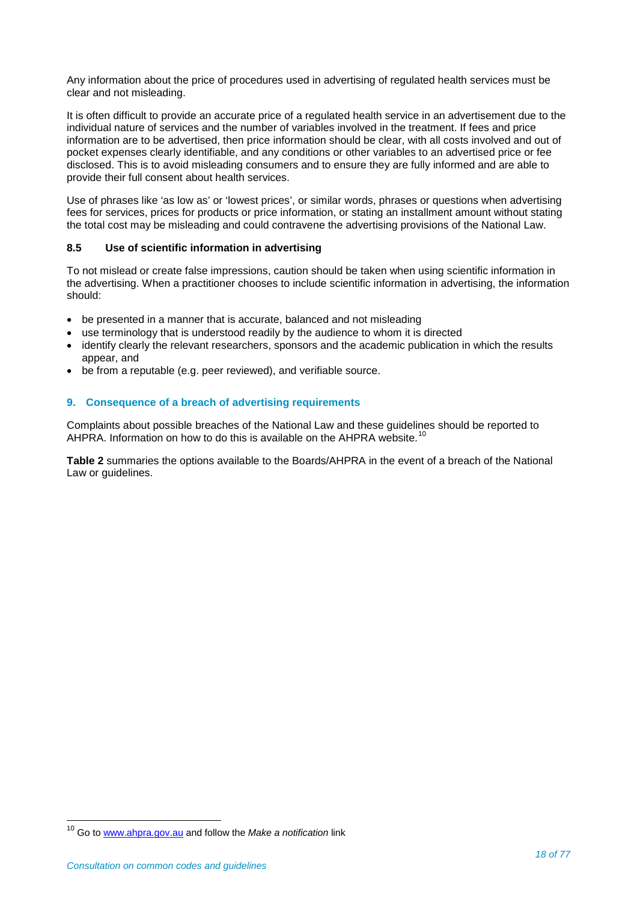Any information about the price of procedures used in advertising of regulated health services must be clear and not misleading.

It is often difficult to provide an accurate price of a regulated health service in an advertisement due to the individual nature of services and the number of variables involved in the treatment. If fees and price information are to be advertised, then price information should be clear, with all costs involved and out of pocket expenses clearly identifiable, and any conditions or other variables to an advertised price or fee disclosed. This is to avoid misleading consumers and to ensure they are fully informed and are able to provide their full consent about health services.

Use of phrases like 'as low as' or 'lowest prices', or similar words, phrases or questions when advertising fees for services, prices for products or price information, or stating an installment amount without stating the total cost may be misleading and could contravene the advertising provisions of the National Law.

## **8.5 Use of scientific information in advertising**

To not mislead or create false impressions, caution should be taken when using scientific information in the advertising. When a practitioner chooses to include scientific information in advertising, the information should:

- be presented in a manner that is accurate, balanced and not misleading
- use terminology that is understood readily by the audience to whom it is directed
- identify clearly the relevant researchers, sponsors and the academic publication in which the results appear, and
- be from a reputable (e.g. peer reviewed), and verifiable source.

## **9. Consequence of a breach of advertising requirements**

Complaints about possible breaches of the National Law and these guidelines should be reported to AHPRA. Information on how to do this is available on the AHPRA website.<sup>[10](#page-17-0)</sup>

**Table 2** summaries the options available to the Boards/AHPRA in the event of a breach of the National Law or guidelines.

<span id="page-17-0"></span><sup>10</sup> Go to [www.ahpra.gov.au](http://www.ahpra.gov.au/) and follow the *Make a notification* link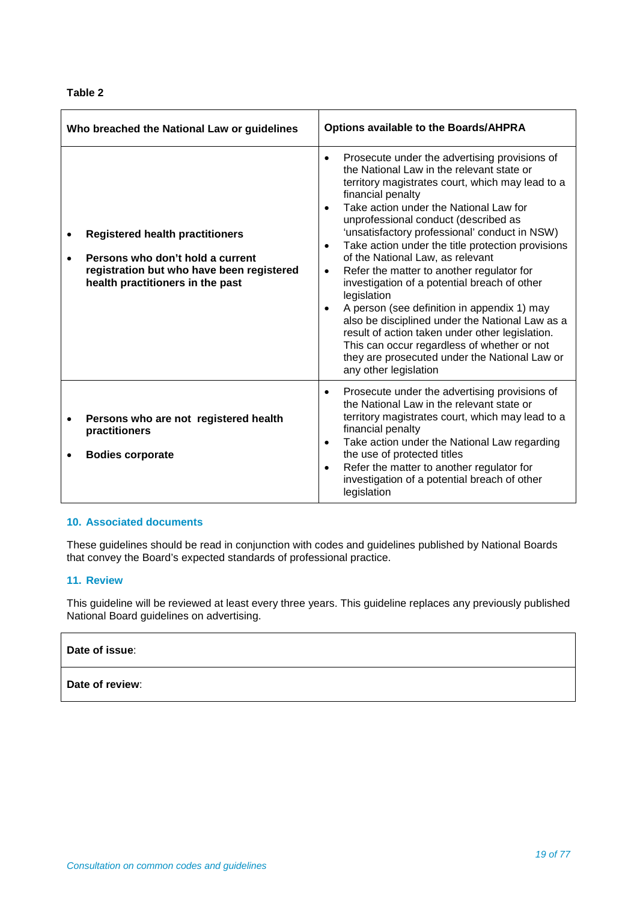## **Table 2**

| Who breached the National Law or guidelines |                                                                                                                                                             | <b>Options available to the Boards/AHPRA</b>                                                                                                                                                                                                                                                                                                                                                                                                                                                                                                                                                                                                                                                                                                                                                                                                               |
|---------------------------------------------|-------------------------------------------------------------------------------------------------------------------------------------------------------------|------------------------------------------------------------------------------------------------------------------------------------------------------------------------------------------------------------------------------------------------------------------------------------------------------------------------------------------------------------------------------------------------------------------------------------------------------------------------------------------------------------------------------------------------------------------------------------------------------------------------------------------------------------------------------------------------------------------------------------------------------------------------------------------------------------------------------------------------------------|
|                                             | <b>Registered health practitioners</b><br>Persons who don't hold a current<br>registration but who have been registered<br>health practitioners in the past | Prosecute under the advertising provisions of<br>$\bullet$<br>the National Law in the relevant state or<br>territory magistrates court, which may lead to a<br>financial penalty<br>Take action under the National Law for<br>$\bullet$<br>unprofessional conduct (described as<br>'unsatisfactory professional' conduct in NSW)<br>Take action under the title protection provisions<br>$\bullet$<br>of the National Law, as relevant<br>Refer the matter to another regulator for<br>$\bullet$<br>investigation of a potential breach of other<br>legislation<br>A person (see definition in appendix 1) may<br>$\bullet$<br>also be disciplined under the National Law as a<br>result of action taken under other legislation.<br>This can occur regardless of whether or not<br>they are prosecuted under the National Law or<br>any other legislation |
|                                             | Persons who are not registered health<br>practitioners<br><b>Bodies corporate</b>                                                                           | Prosecute under the advertising provisions of<br>$\bullet$<br>the National Law in the relevant state or<br>territory magistrates court, which may lead to a<br>financial penalty<br>Take action under the National Law regarding<br>$\bullet$<br>the use of protected titles<br>Refer the matter to another regulator for<br>$\bullet$<br>investigation of a potential breach of other<br>legislation                                                                                                                                                                                                                                                                                                                                                                                                                                                      |

## **10. Associated documents**

These guidelines should be read in conjunction with codes and guidelines published by National Boards that convey the Board's expected standards of professional practice.

## **11. Review**

This guideline will be reviewed at least every three years. This guideline replaces any previously published National Board guidelines on advertising.

## **Date of issue**:

## **Date of review**: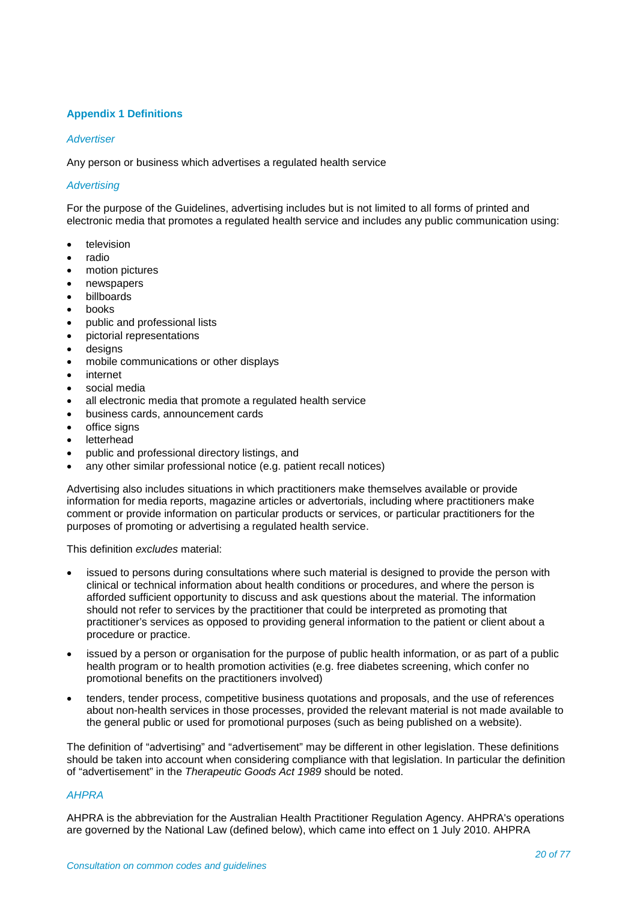## **Appendix 1 Definitions**

## *Advertiser*

Any person or business which advertises a regulated health service

## *Advertising*

For the purpose of the Guidelines, advertising includes but is not limited to all forms of printed and electronic media that promotes a regulated health service and includes any public communication using:

- television
- radio
- motion pictures
- newspapers
- billboards
- **books**
- public and professional lists
- pictorial representations
- desians
- mobile communications or other displays
- internet
- social media
- all electronic media that promote a regulated health service
- business cards, announcement cards
- office signs
- **letterhead**
- public and professional directory listings, and
- any other similar professional notice (e.g. patient recall notices)

Advertising also includes situations in which practitioners make themselves available or provide information for media reports, magazine articles or advertorials, including where practitioners make comment or provide information on particular products or services, or particular practitioners for the purposes of promoting or advertising a regulated health service.

This definition *excludes* material:

- issued to persons during consultations where such material is designed to provide the person with clinical or technical information about health conditions or procedures, and where the person is afforded sufficient opportunity to discuss and ask questions about the material. The information should not refer to services by the practitioner that could be interpreted as promoting that practitioner's services as opposed to providing general information to the patient or client about a procedure or practice.
- issued by a person or organisation for the purpose of public health information, or as part of a public health program or to health promotion activities (e.g. free diabetes screening, which confer no promotional benefits on the practitioners involved)
- tenders, tender process, competitive business quotations and proposals, and the use of references about non-health services in those processes, provided the relevant material is not made available to the general public or used for promotional purposes (such as being published on a website).

The definition of "advertising" and "advertisement" may be different in other legislation. These definitions should be taken into account when considering compliance with that legislation. In particular the definition of "advertisement" in the *Therapeutic Goods Act 1989* should be noted.

#### *AHPRA*

AHPRA is the abbreviation for the Australian Health Practitioner Regulation Agency. AHPRA's operations are governed by the National Law (defined below), which came into effect on 1 July 2010. AHPRA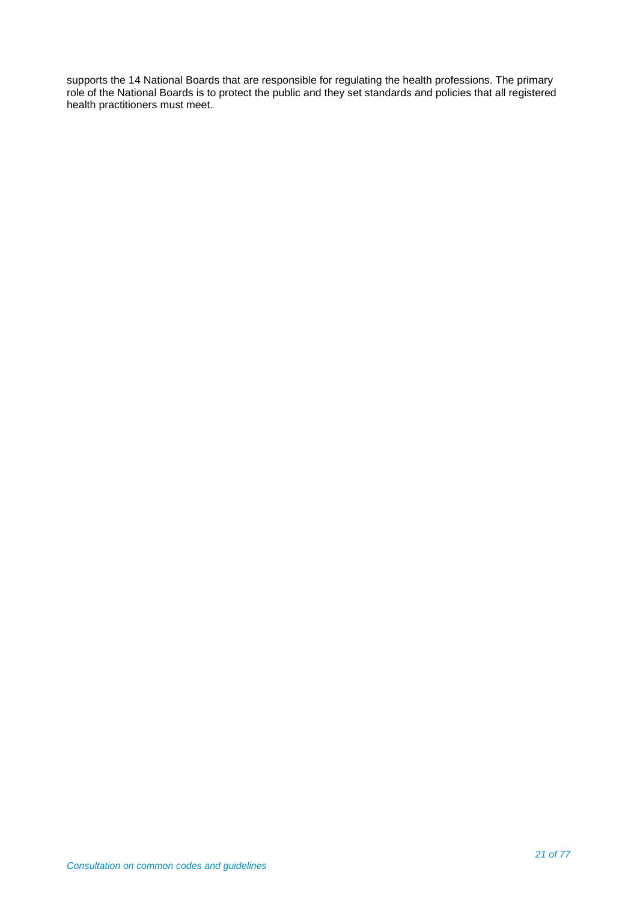supports the [14 National Boards](http://www.ahpra.gov.au/Health-Professions.aspx) that are responsible for regulating the health professions. The primary role of the National Boards is to protect the public and they set standards and policies that all registered health practitioners must meet.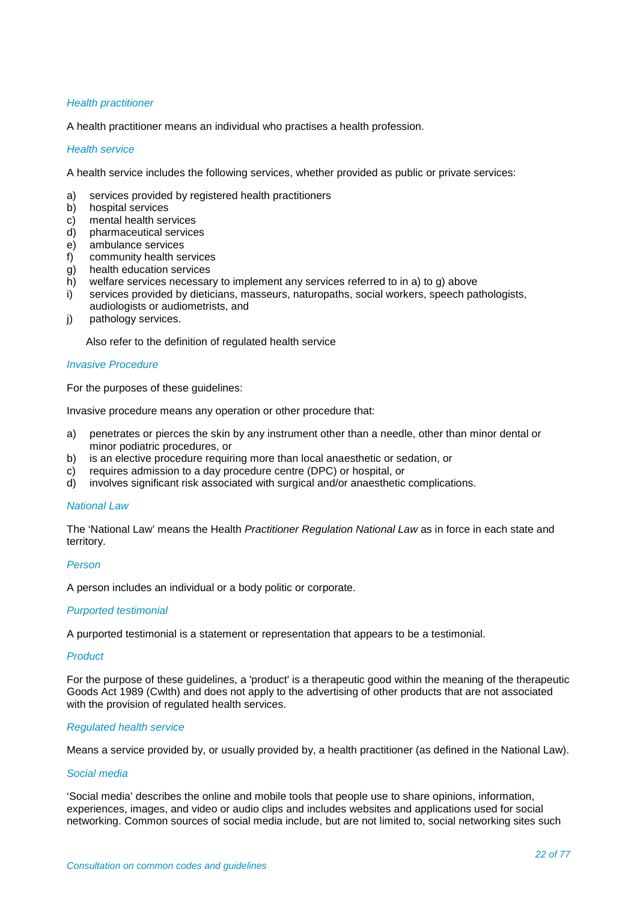#### *Health practitioner*

A health practitioner means an individual who practises a health profession.

## *Health service*

A health service includes the following services, whether provided as public or private services:

- a) services provided by registered health practitioners
- b) hospital services<br>c) mental health ser
- c) mental health services<br>d) bharmaceutical service
- d) pharmaceutical services
- e) ambulance services<br>f) community health se
- community health services
- g) health education services<br>h) welfare services necessar
- welfare services necessary to implement any services referred to in a) to g) above
- i) services provided by dieticians, masseurs, naturopaths, social workers, speech pathologists, audiologists or audiometrists, and
- j) pathology services.

Also refer to the definition of regulated health service

#### *Invasive Procedure*

For the purposes of these guidelines:

Invasive procedure means any operation or other procedure that:

- a) penetrates or pierces the skin by any instrument other than a needle, other than minor dental or minor podiatric procedures, or
- b) is an elective procedure requiring more than local anaesthetic or sedation, or
- c) requires admission to a day procedure centre (DPC) or hospital, or
- d) involves significant risk associated with surgical and/or anaesthetic complications.

#### *National Law*

The 'National Law' means the Health *Practitioner Regulation National Law* as in force in each state and territory.

#### *Person*

A person includes an individual or a body politic or corporate.

#### *Purported testimonial*

A purported testimonial is a statement or representation that appears to be a testimonial.

#### *Product*

For the purpose of these guidelines, a 'product' is a therapeutic good within the meaning of the therapeutic Goods Act 1989 (Cwlth) and does not apply to the advertising of other products that are not associated with the provision of regulated health services.

## *Regulated health service*

Means a service provided by, or usually provided by, a health practitioner (as defined in the National Law).

#### *Social media*

'Social media' describes the online and mobile tools that people use to share opinions, information, experiences, images, and video or audio clips and includes websites and applications used for social networking. Common sources of social media include, but are not limited to, social networking sites such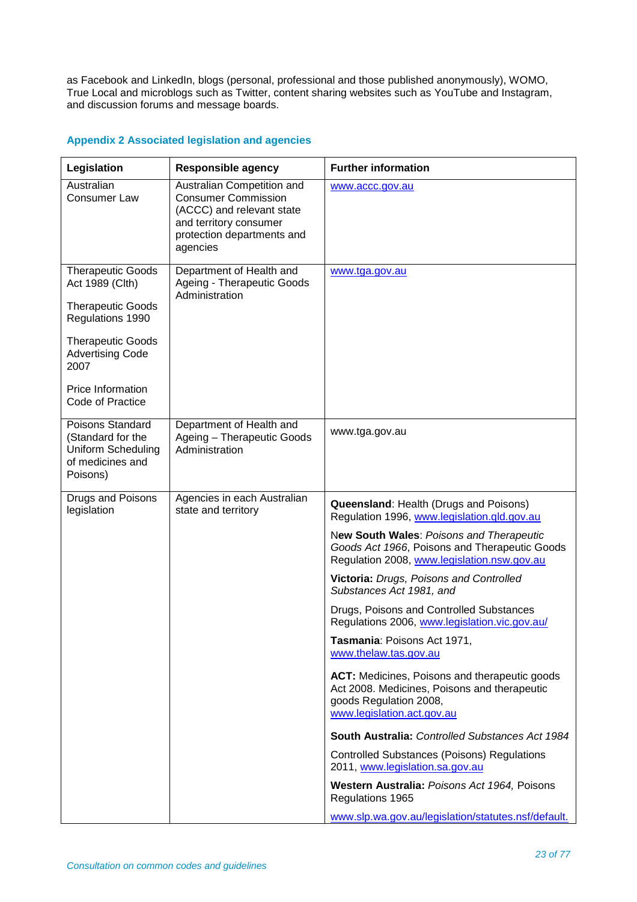as Facebook and LinkedIn, blogs (personal, professional and those published anonymously), WOMO, True Local and microblogs such as Twitter, content sharing websites such as YouTube and Instagram, and discussion forums and message boards.

| Legislation                                                                                                                                                                                         | <b>Responsible agency</b>                                                                                                                                 | <b>Further information</b>                                                                                                                                                                                                                                                                                                                                                                                                                                                                                                                                                                                                                                                                                                                                                                                                                    |
|-----------------------------------------------------------------------------------------------------------------------------------------------------------------------------------------------------|-----------------------------------------------------------------------------------------------------------------------------------------------------------|-----------------------------------------------------------------------------------------------------------------------------------------------------------------------------------------------------------------------------------------------------------------------------------------------------------------------------------------------------------------------------------------------------------------------------------------------------------------------------------------------------------------------------------------------------------------------------------------------------------------------------------------------------------------------------------------------------------------------------------------------------------------------------------------------------------------------------------------------|
| Australian<br><b>Consumer Law</b>                                                                                                                                                                   | Australian Competition and<br><b>Consumer Commission</b><br>(ACCC) and relevant state<br>and territory consumer<br>protection departments and<br>agencies | www.accc.gov.au                                                                                                                                                                                                                                                                                                                                                                                                                                                                                                                                                                                                                                                                                                                                                                                                                               |
| <b>Therapeutic Goods</b><br>Act 1989 (Clth)<br><b>Therapeutic Goods</b><br>Regulations 1990<br><b>Therapeutic Goods</b><br><b>Advertising Code</b><br>2007<br>Price Information<br>Code of Practice | Department of Health and<br>Ageing - Therapeutic Goods<br>Administration                                                                                  | www.tga.gov.au                                                                                                                                                                                                                                                                                                                                                                                                                                                                                                                                                                                                                                                                                                                                                                                                                                |
| Poisons Standard<br>(Standard for the<br><b>Uniform Scheduling</b><br>of medicines and<br>Poisons)                                                                                                  | Department of Health and<br>Ageing - Therapeutic Goods<br>Administration                                                                                  | www.tga.gov.au                                                                                                                                                                                                                                                                                                                                                                                                                                                                                                                                                                                                                                                                                                                                                                                                                                |
| Drugs and Poisons<br>legislation                                                                                                                                                                    | Agencies in each Australian<br>state and territory                                                                                                        | <b>Queensland: Health (Drugs and Poisons)</b><br>Regulation 1996, www.legislation.qld.gov.au<br>New South Wales: Poisons and Therapeutic<br>Goods Act 1966, Poisons and Therapeutic Goods<br>Regulation 2008, www.legislation.nsw.gov.au<br>Victoria: Drugs, Poisons and Controlled<br>Substances Act 1981, and<br>Drugs, Poisons and Controlled Substances<br>Regulations 2006, www.legislation.vic.gov.au/<br>Tasmania: Poisons Act 1971,<br>www.thelaw.tas.gov.au<br>ACT: Medicines, Poisons and therapeutic goods<br>Act 2008. Medicines, Poisons and therapeutic<br>goods Regulation 2008,<br>www.legislation.act.gov.au<br>South Australia: Controlled Substances Act 1984<br><b>Controlled Substances (Poisons) Regulations</b><br>2011, www.legislation.sa.gov.au<br>Western Australia: Poisons Act 1964, Poisons<br>Regulations 1965 |
|                                                                                                                                                                                                     |                                                                                                                                                           | www.slp.wa.gov.au/legislation/statutes.nsf/default.                                                                                                                                                                                                                                                                                                                                                                                                                                                                                                                                                                                                                                                                                                                                                                                           |

## **Appendix 2 Associated legislation and agencies**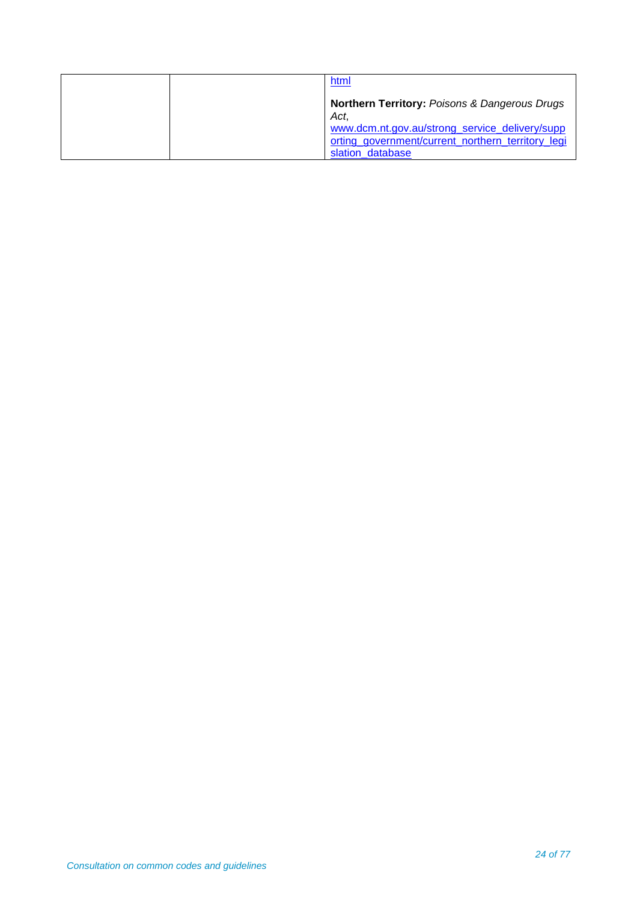| html                                                                                                                    |
|-------------------------------------------------------------------------------------------------------------------------|
| <b>Northern Territory: Poisons &amp; Dangerous Drugs</b><br>Act.                                                        |
| www.dcm.nt.gov.au/strong_service_delivery/supp<br>orting_government/current_northern_territory_legi<br>slation database |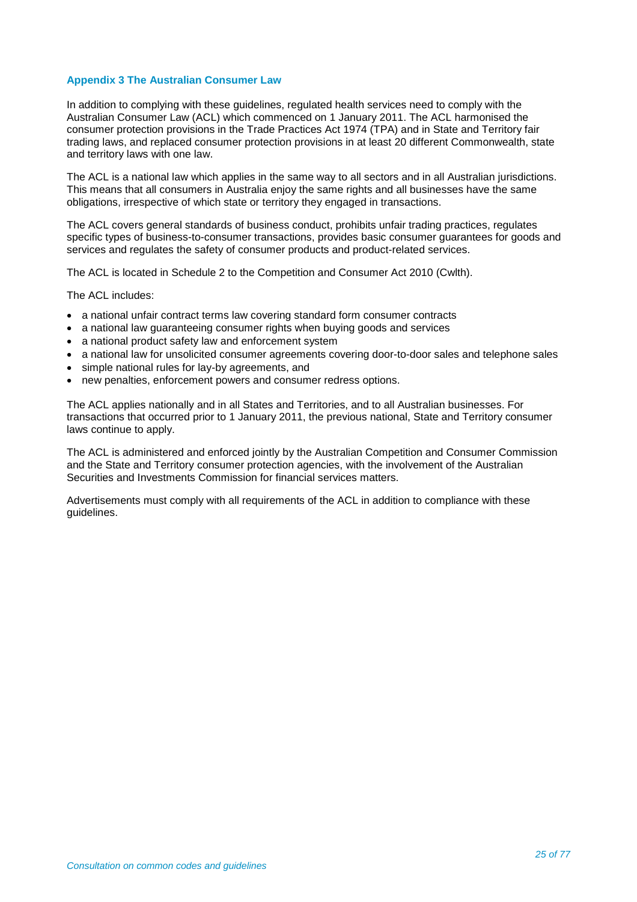## **Appendix 3 The Australian Consumer Law**

In addition to complying with these guidelines, regulated health services need to comply with the Australian Consumer Law (ACL) which commenced on 1 January 2011. The ACL harmonised the consumer protection provisions in the Trade Practices Act 1974 (TPA) and in State and Territory fair trading laws, and replaced consumer protection provisions in at least 20 different Commonwealth, state and territory laws with one law.

The ACL is a national law which applies in the same way to all sectors and in all Australian jurisdictions. This means that all consumers in Australia enjoy the same rights and all businesses have the same obligations, irrespective of which state or territory they engaged in transactions.

The ACL covers general standards of business conduct, prohibits unfair trading practices, regulates specific types of business-to-consumer transactions, provides basic consumer guarantees for goods and services and regulates the safety of consumer products and product-related services.

The ACL is located in Schedule 2 to the Competition and Consumer Act 2010 (Cwlth).

The ACL includes:

- a national unfair contract terms law covering standard form consumer contracts
- a national law guaranteeing consumer rights when buying goods and services
- a national product safety law and enforcement system
- a national law for unsolicited consumer agreements covering door-to-door sales and telephone sales
- simple national rules for lay-by agreements, and
- new penalties, enforcement powers and consumer redress options.

The ACL applies nationally and in all States and Territories, and to all Australian businesses. For transactions that occurred prior to 1 January 2011, the previous national, State and Territory consumer laws continue to apply.

The ACL is administered and enforced jointly by the Australian Competition and Consumer Commission and the State and Territory consumer protection agencies, with the involvement of the Australian Securities and Investments Commission for financial services matters.

Advertisements must comply with all requirements of the ACL in addition to compliance with these guidelines.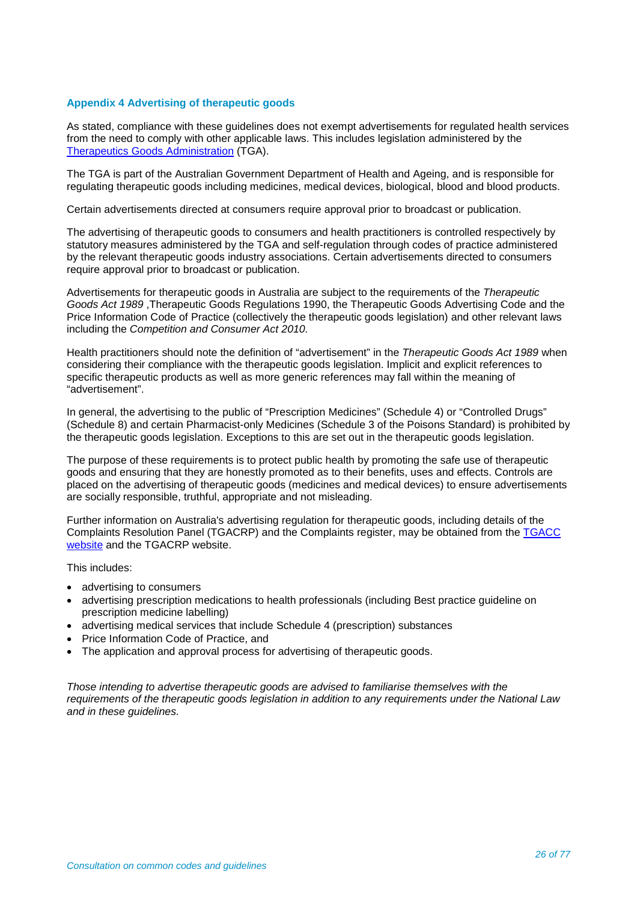## **Appendix 4 Advertising of therapeutic goods**

As stated, compliance with these guidelines does not exempt advertisements for regulated health services from the need to comply with other applicable laws. This includes legislation administered by the [Therapeutics Goods Administration](http://tga.gov.au/) (TGA).

The TGA is part of the Australian Government Department of Health and Ageing, and is responsible for regulating therapeutic goods including medicines, medical devices, biological, blood and blood products.

Certain advertisements directed at consumers require approval prior to broadcast or publication.

The advertising of therapeutic goods to consumers and health practitioners is controlled respectively by statutory measures administered by the TGA and self-regulation through codes of practice administered by the relevant therapeutic goods industry associations. Certain advertisements directed to consumers require approval prior to broadcast or publication.

Advertisements for therapeutic goods in Australia are subject to the requirements of the *Therapeutic Goods Act 1989* ,Therapeutic Goods Regulations 1990, the Therapeutic Goods Advertising Code and the Price Information Code of Practice (collectively the therapeutic goods legislation) and other relevant laws including the *Competition and Consumer Act 2010.*

Health practitioners should note the definition of "advertisement" in the *Therapeutic Goods Act 1989* when considering their compliance with the therapeutic goods legislation. Implicit and explicit references to specific therapeutic products as well as more generic references may fall within the meaning of "advertisement".

In general, the advertising to the public of "Prescription Medicines" (Schedule 4) or "Controlled Drugs" (Schedule 8) and certain Pharmacist-only Medicines (Schedule 3 of the Poisons Standard) is prohibited by the therapeutic goods legislation. Exceptions to this are set out in the therapeutic goods legislation.

The purpose of these requirements is to protect public health by promoting the safe use of therapeutic goods and ensuring that they are honestly promoted as to their benefits, uses and effects. Controls are placed on the advertising of therapeutic goods (medicines and medical devices) to ensure advertisements are socially responsible, truthful, appropriate and not misleading.

Further information on Australia's advertising regulation for therapeutic goods, including details of the Complaints Resolution Panel (TGACRP) and the Complaints register, may be obtained from the [TGACC](http://www.tgacc.com.au/)  [website](http://www.tgacc.com.au/) and the TGACRP website.

This includes:

- advertising to consumers
- advertising prescription medications to health professionals (including Best practice guideline on prescription medicine labelling)
- advertising medical services that include Schedule 4 (prescription) substances
- Price Information Code of Practice, and
- The application and approval process for advertising of therapeutic goods.

*Those intending to advertise therapeutic goods are advised to familiarise themselves with the requirements of the therapeutic goods legislation in addition to any requirements under the National Law and in these guidelines.*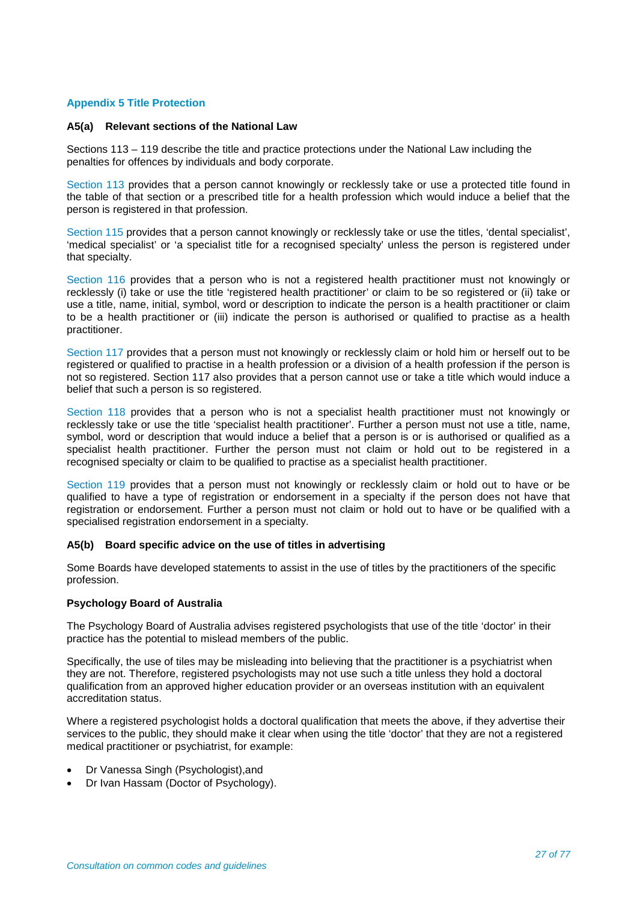## **Appendix 5 Title Protection**

#### **A5(a) Relevant sections of the National Law**

Sections 113 – 119 describe the title and practice protections under the National Law including the penalties for offences by individuals and body corporate.

Section 113 provides that a person cannot knowingly or recklessly take or use a protected title found in the table of that section or a prescribed title for a health profession which would induce a belief that the person is registered in that profession.

Section 115 provides that a person cannot knowingly or recklessly take or use the titles, 'dental specialist', 'medical specialist' or 'a specialist title for a recognised specialty' unless the person is registered under that specialty.

Section 116 provides that a person who is not a registered health practitioner must not knowingly or recklessly (i) take or use the title 'registered health practitioner' or claim to be so registered or (ii) take or use a title, name, initial, symbol, word or description to indicate the person is a health practitioner or claim to be a health practitioner or (iii) indicate the person is authorised or qualified to practise as a health practitioner.

Section 117 provides that a person must not knowingly or recklessly claim or hold him or herself out to be registered or qualified to practise in a health profession or a division of a health profession if the person is not so registered. Section 117 also provides that a person cannot use or take a title which would induce a belief that such a person is so registered.

Section 118 provides that a person who is not a specialist health practitioner must not knowingly or recklessly take or use the title 'specialist health practitioner'. Further a person must not use a title, name, symbol, word or description that would induce a belief that a person is or is authorised or qualified as a specialist health practitioner. Further the person must not claim or hold out to be registered in a recognised specialty or claim to be qualified to practise as a specialist health practitioner.

Section 119 provides that a person must not knowingly or recklessly claim or hold out to have or be qualified to have a type of registration or endorsement in a specialty if the person does not have that registration or endorsement. Further a person must not claim or hold out to have or be qualified with a specialised registration endorsement in a specialty.

#### **A5(b) Board specific advice on the use of titles in advertising**

Some Boards have developed statements to assist in the use of titles by the practitioners of the specific profession.

#### **Psychology Board of Australia**

The Psychology Board of Australia advises registered psychologists that use of the title 'doctor' in their practice has the potential to mislead members of the public.

Specifically, the use of tiles may be misleading into believing that the practitioner is a psychiatrist when they are not. Therefore, registered psychologists may not use such a title unless they hold a doctoral qualification from an approved higher education provider or an overseas institution with an equivalent accreditation status.

Where a registered psychologist holds a doctoral qualification that meets the above, if they advertise their services to the public, they should make it clear when using the title 'doctor' that they are not a registered medical practitioner or psychiatrist, for example:

- Dr Vanessa Singh (Psychologist),and
- Dr Ivan Hassam (Doctor of Psychology).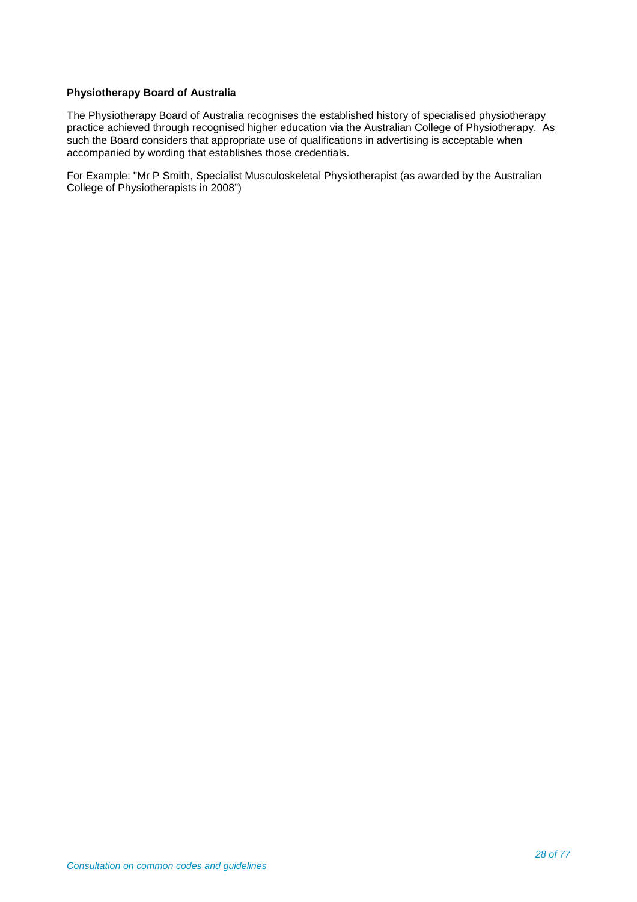## **Physiotherapy Board of Australia**

The Physiotherapy Board of Australia recognises the established history of specialised physiotherapy practice achieved through recognised higher education via the Australian College of Physiotherapy. As such the Board considers that appropriate use of qualifications in advertising is acceptable when accompanied by wording that establishes those credentials.

For Example: "Mr P Smith, Specialist Musculoskeletal Physiotherapist (as awarded by the Australian College of Physiotherapists in 2008")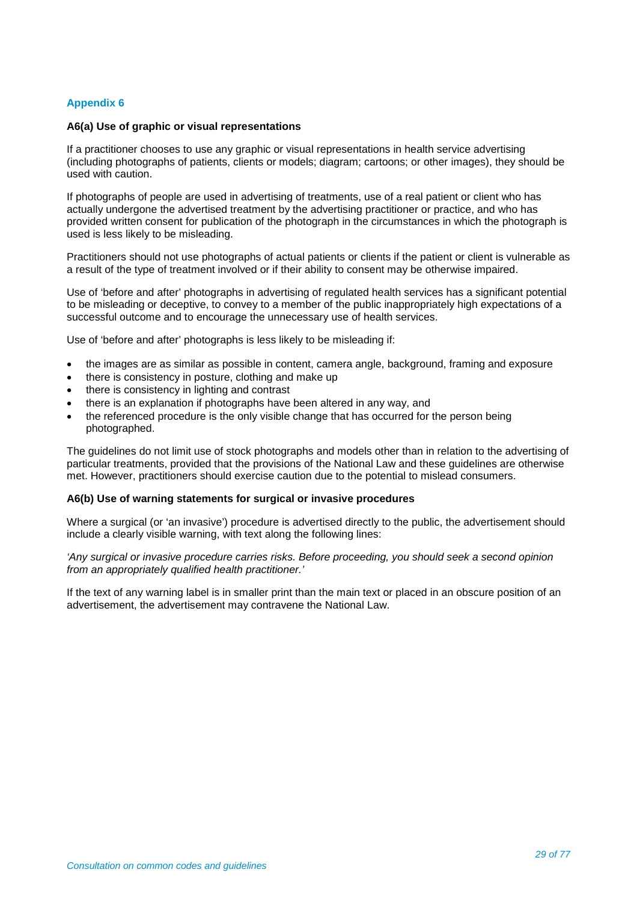## **Appendix 6**

## **A6(a) Use of graphic or visual representations**

If a practitioner chooses to use any graphic or visual representations in health service advertising (including photographs of patients, clients or models; diagram; cartoons; or other images), they should be used with caution.

If photographs of people are used in advertising of treatments, use of a real patient or client who has actually undergone the advertised treatment by the advertising practitioner or practice, and who has provided written consent for publication of the photograph in the circumstances in which the photograph is used is less likely to be misleading.

Practitioners should not use photographs of actual patients or clients if the patient or client is vulnerable as a result of the type of treatment involved or if their ability to consent may be otherwise impaired.

Use of 'before and after' photographs in advertising of regulated health services has a significant potential to be misleading or deceptive, to convey to a member of the public inappropriately high expectations of a successful outcome and to encourage the unnecessary use of health services.

Use of 'before and after' photographs is less likely to be misleading if:

- the images are as similar as possible in content, camera angle, background, framing and exposure
- there is consistency in posture, clothing and make up
- there is consistency in lighting and contrast
- there is an explanation if photographs have been altered in any way, and
- the referenced procedure is the only visible change that has occurred for the person being photographed.

The guidelines do not limit use of stock photographs and models other than in relation to the advertising of particular treatments, provided that the provisions of the National Law and these guidelines are otherwise met. However, practitioners should exercise caution due to the potential to mislead consumers.

#### **A6(b) Use of warning statements for surgical or invasive procedures**

Where a surgical (or 'an invasive') procedure is advertised directly to the public, the advertisement should include a clearly visible warning, with text along the following lines:

*'Any surgical or invasive procedure carries risks. Before proceeding, you should seek a second opinion from an appropriately qualified health practitioner.'*

If the text of any warning label is in smaller print than the main text or placed in an obscure position of an advertisement, the advertisement may contravene the National Law.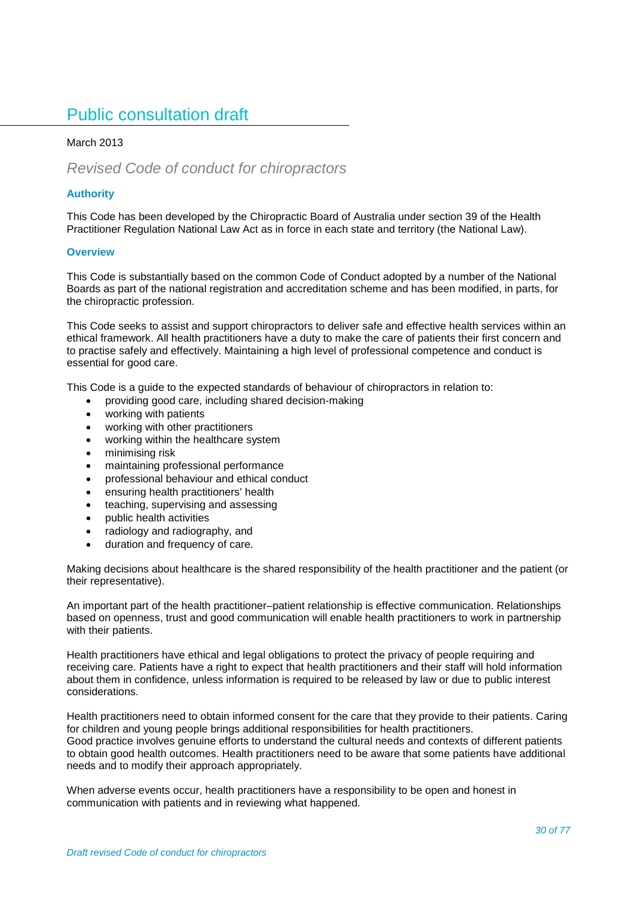# Public consultation draft

## March 2013

## *Revised Code of conduct for chiropractors*

## **Authority**

This Code has been developed by the Chiropractic Board of Australia under section 39 of the Health Practitioner Regulation National Law Act as in force in each state and territory (the National Law).

## **Overview**

This Code is substantially based on the common Code of Conduct adopted by a number of the National Boards as part of the national registration and accreditation scheme and has been modified, in parts, for the chiropractic profession.

This Code seeks to assist and support chiropractors to deliver safe and effective health services within an ethical framework. All health practitioners have a duty to make the care of patients their first concern and to practise safely and effectively. Maintaining a high level of professional competence and conduct is essential for good care.

This Code is a guide to the expected standards of behaviour of chiropractors in relation to:

- providing good care, including shared decision-making
- working with patients
- working with other practitioners
- working within the healthcare system
- minimising risk
- maintaining professional performance
- professional behaviour and ethical conduct
- ensuring health practitioners' health
- teaching, supervising and assessing
- public health activities
- radiology and radiography, and
- duration and frequency of care.

Making decisions about healthcare is the shared responsibility of the health practitioner and the patient (or their representative).

An important part of the health practitioner–patient relationship is effective communication. Relationships based on openness, trust and good communication will enable health practitioners to work in partnership with their patients.

Health practitioners have ethical and legal obligations to protect the privacy of people requiring and receiving care. Patients have a right to expect that health practitioners and their staff will hold information about them in confidence, unless information is required to be released by law or due to public interest considerations.

Health practitioners need to obtain informed consent for the care that they provide to their patients. Caring for children and young people brings additional responsibilities for health practitioners. Good practice involves genuine efforts to understand the cultural needs and contexts of different patients to obtain good health outcomes. Health practitioners need to be aware that some patients have additional needs and to modify their approach appropriately.

When adverse events occur, health practitioners have a responsibility to be open and honest in communication with patients and in reviewing what happened.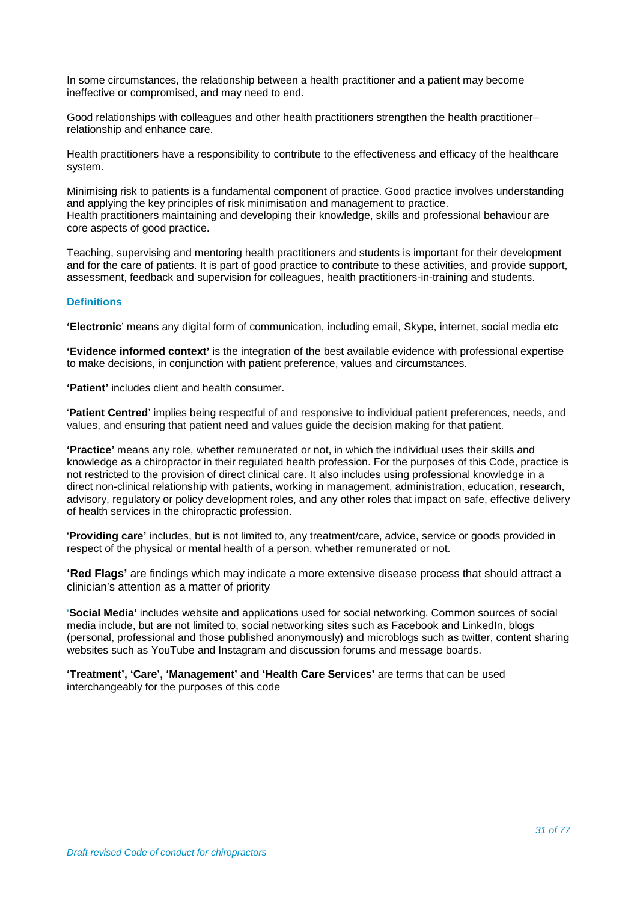In some circumstances, the relationship between a health practitioner and a patient may become ineffective or compromised, and may need to end.

Good relationships with colleagues and other health practitioners strengthen the health practitioner– relationship and enhance care.

Health practitioners have a responsibility to contribute to the effectiveness and efficacy of the healthcare system.

Minimising risk to patients is a fundamental component of practice. Good practice involves understanding and applying the key principles of risk minimisation and management to practice. Health practitioners maintaining and developing their knowledge, skills and professional behaviour are core aspects of good practice.

Teaching, supervising and mentoring health practitioners and students is important for their development and for the care of patients. It is part of good practice to contribute to these activities, and provide support, assessment, feedback and supervision for colleagues, health practitioners-in-training and students.

## **Definitions**

**'Electronic**' means any digital form of communication, including email, Skype, internet, social media etc

**'Evidence informed context'** is the integration of the best available evidence with professional expertise to make decisions, in conjunction with patient preference, values and circumstances.

**'Patient'** includes client and health consumer.

'**Patient Centred**' implies being respectful of and responsive to individual patient preferences, needs, and values, and ensuring that patient need and values guide the decision making for that patient.

**'Practice'** means any role, whether remunerated or not, in which the individual uses their skills and knowledge as a chiropractor in their regulated health profession. For the purposes of this Code, practice is not restricted to the provision of direct clinical care. It also includes using professional knowledge in a direct non-clinical relationship with patients, working in management, administration, education, research, advisory, regulatory or policy development roles, and any other roles that impact on safe, effective delivery of health services in the chiropractic profession.

'**Providing care'** includes, but is not limited to, any treatment/care, advice, service or goods provided in respect of the physical or mental health of a person, whether remunerated or not.

**'Red Flags'** are findings which may indicate a more extensive disease process that should attract a clinician's attention as a matter of priority

'**Social Media'** includes website and applications used for social networking. Common sources of social media include, but are not limited to, social networking sites such as Facebook and LinkedIn, blogs (personal, professional and those published anonymously) and microblogs such as twitter, content sharing websites such as YouTube and Instagram and discussion forums and message boards.

**'Treatment', 'Care', 'Management' and 'Health Care Services'** are terms that can be used interchangeably for the purposes of this code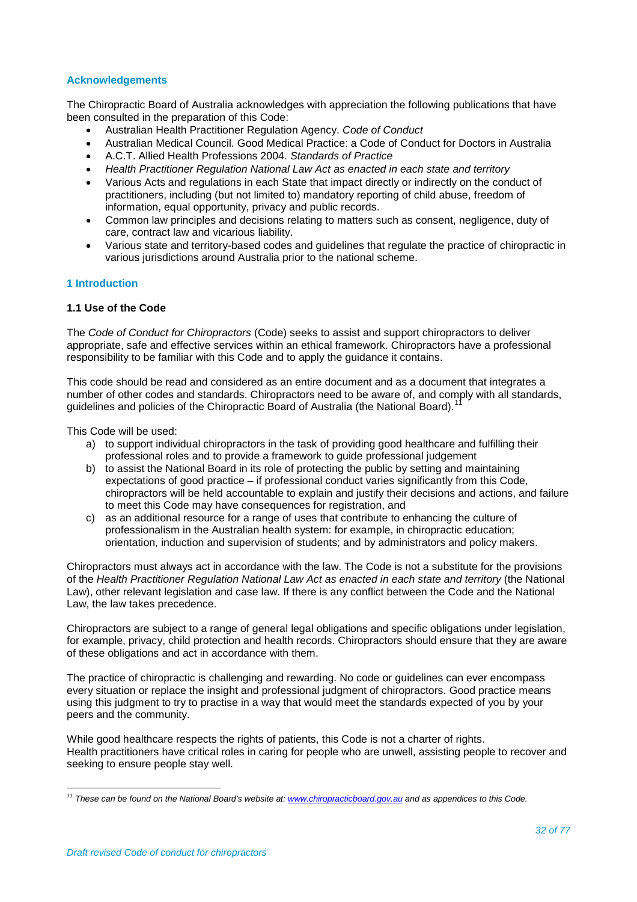## **Acknowledgements**

The Chiropractic Board of Australia acknowledges with appreciation the following publications that have been consulted in the preparation of this Code:

- Australian Health Practitioner Regulation Agency. *Code of Conduct*
- Australian Medical Council. Good Medical Practice: a Code of Conduct for Doctors in Australia
- A.C.T. Allied Health Professions 2004. *Standards of Practice*
- *Health Practitioner Regulation National Law Act as enacted in each state and territory*
- Various Acts and regulations in each State that impact directly or indirectly on the conduct of practitioners, including (but not limited to) mandatory reporting of child abuse, freedom of information, equal opportunity, privacy and public records.
- Common law principles and decisions relating to matters such as consent, negligence, duty of care, contract law and vicarious liability.
- Various state and territory-based codes and guidelines that regulate the practice of chiropractic in various jurisdictions around Australia prior to the national scheme.

#### **1 Introduction**

#### **1.1 Use of the Code**

The *Code of Conduct for Chiropractors* (Code) seeks to assist and support chiropractors to deliver appropriate, safe and effective services within an ethical framework. Chiropractors have a professional responsibility to be familiar with this Code and to apply the guidance it contains.

This code should be read and considered as an entire document and as a document that integrates a number of other codes and standards. Chiropractors need to be aware of, and comply with all standards, guidelines and policies of the Chiropractic Board of Australia (the National Board).

This Code will be used:

- a) to support individual chiropractors in the task of providing good healthcare and fulfilling their professional roles and to provide a framework to guide professional judgement
- b) to assist the National Board in its role of protecting the public by setting and maintaining expectations of good practice – if professional conduct varies significantly from this Code, chiropractors will be held accountable to explain and justify their decisions and actions, and failure to meet this Code may have consequences for registration, and
- c) as an additional resource for a range of uses that contribute to enhancing the culture of professionalism in the Australian health system: for example, in chiropractic education; orientation, induction and supervision of students; and by administrators and policy makers.

Chiropractors must always act in accordance with the law. The Code is not a substitute for the provisions of the *Health Practitioner Regulation National Law Act as enacted in each state and territory* (the National Law), other relevant legislation and case law. If there is any conflict between the Code and the National Law, the law takes precedence.

Chiropractors are subject to a range of general legal obligations and specific obligations under legislation, for example, privacy, child protection and health records. Chiropractors should ensure that they are aware of these obligations and act in accordance with them.

The practice of chiropractic is challenging and rewarding. No code or guidelines can ever encompass every situation or replace the insight and professional judgment of chiropractors. Good practice means using this judgment to try to practise in a way that would meet the standards expected of you by your peers and the community.

While good healthcare respects the rights of patients, this Code is not a charter of rights. Health practitioners have critical roles in caring for people who are unwell, assisting people to recover and seeking to ensure people stay well.

<span id="page-31-0"></span><sup>11</sup> *These can be found on the National Board's website at: [www.chiropracticboard.gov.au](http://www.chiropracticboard.gov.au/) and as appendices to this Code.*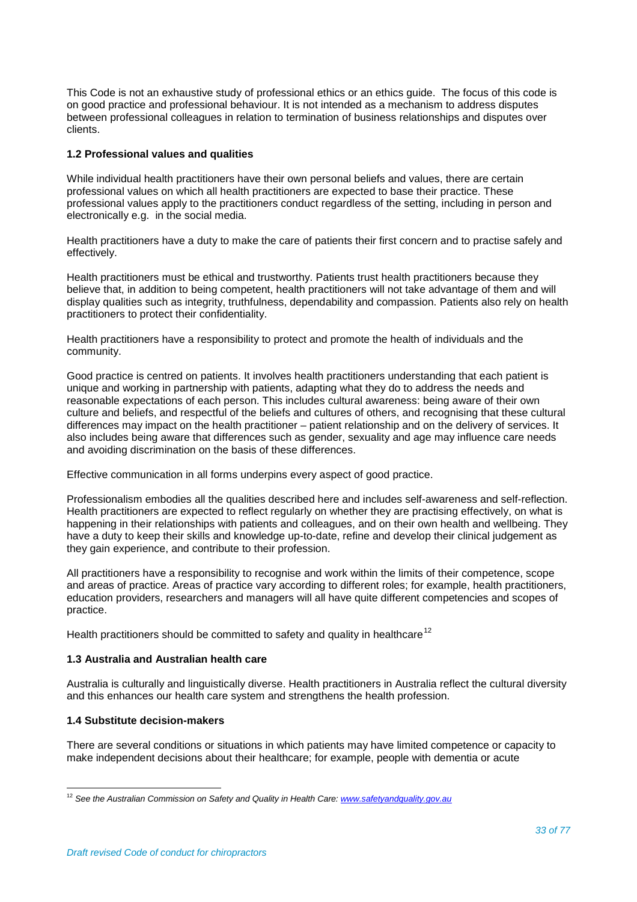This Code is not an exhaustive study of professional ethics or an ethics guide. The focus of this code is on good practice and professional behaviour. It is not intended as a mechanism to address disputes between professional colleagues in relation to termination of business relationships and disputes over clients.

## **1.2 Professional values and qualities**

While individual health practitioners have their own personal beliefs and values, there are certain professional values on which all health practitioners are expected to base their practice. These professional values apply to the practitioners conduct regardless of the setting, including in person and electronically e.g. in the social media.

Health practitioners have a duty to make the care of patients their first concern and to practise safely and effectively.

Health practitioners must be ethical and trustworthy. Patients trust health practitioners because they believe that, in addition to being competent, health practitioners will not take advantage of them and will display qualities such as integrity, truthfulness, dependability and compassion. Patients also rely on health practitioners to protect their confidentiality.

Health practitioners have a responsibility to protect and promote the health of individuals and the community.

Good practice is centred on patients. It involves health practitioners understanding that each patient is unique and working in partnership with patients, adapting what they do to address the needs and reasonable expectations of each person. This includes cultural awareness: being aware of their own culture and beliefs, and respectful of the beliefs and cultures of others, and recognising that these cultural differences may impact on the health practitioner – patient relationship and on the delivery of services. It also includes being aware that differences such as gender, sexuality and age may influence care needs and avoiding discrimination on the basis of these differences.

Effective communication in all forms underpins every aspect of good practice.

Professionalism embodies all the qualities described here and includes self-awareness and self-reflection. Health practitioners are expected to reflect regularly on whether they are practising effectively, on what is happening in their relationships with patients and colleagues, and on their own health and wellbeing. They have a duty to keep their skills and knowledge up-to-date, refine and develop their clinical judgement as they gain experience, and contribute to their profession.

All practitioners have a responsibility to recognise and work within the limits of their competence, scope and areas of practice. Areas of practice vary according to different roles; for example, health practitioners, education providers, researchers and managers will all have quite different competencies and scopes of practice.

Health practitioners should be committed to safety and quality in healthcare<sup>[12](#page-32-0)</sup>

#### **1.3 Australia and Australian health care**

Australia is culturally and linguistically diverse. Health practitioners in Australia reflect the cultural diversity and this enhances our health care system and strengthens the health profession.

## **1.4 Substitute decision-makers**

There are several conditions or situations in which patients may have limited competence or capacity to make independent decisions about their healthcare; for example, people with dementia or acute

<span id="page-32-0"></span><sup>12</sup> *See the Australian Commission on Safety and Quality in Health Care[: www.safetyandquality.gov.au](http://www.safetyandquality.gov.au/)*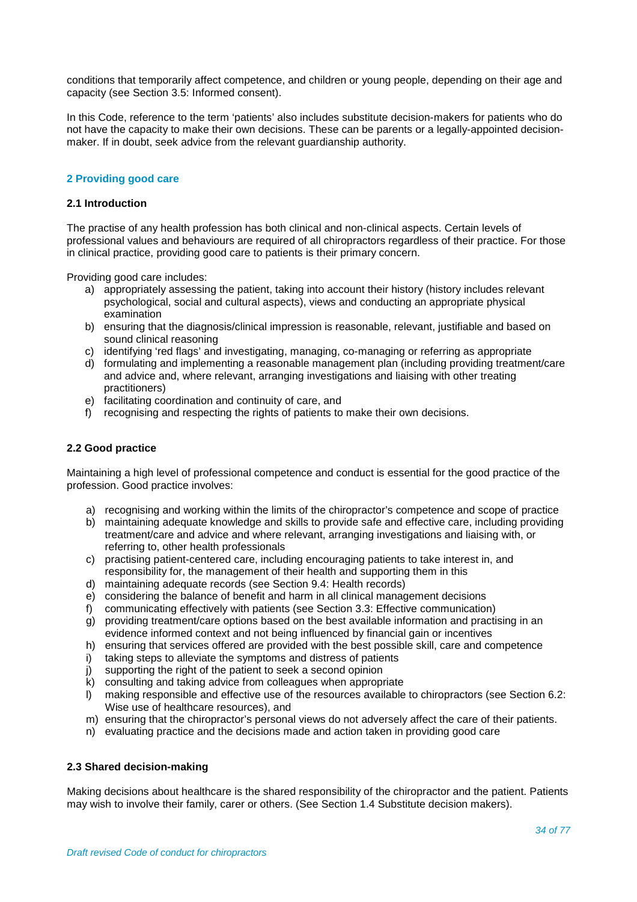conditions that temporarily affect competence, and children or young people, depending on their age and capacity (see Section 3.5: Informed consent).

In this Code, reference to the term 'patients' also includes substitute decision-makers for patients who do not have the capacity to make their own decisions. These can be parents or a legally-appointed decisionmaker. If in doubt, seek advice from the relevant guardianship authority.

#### **2 Providing good care**

#### **2.1 Introduction**

The practise of any health profession has both clinical and non-clinical aspects. Certain levels of professional values and behaviours are required of all chiropractors regardless of their practice. For those in clinical practice, providing good care to patients is their primary concern.

Providing good care includes:

- a) appropriately assessing the patient, taking into account their history (history includes relevant psychological, social and cultural aspects), views and conducting an appropriate physical examination
- b) ensuring that the diagnosis/clinical impression is reasonable, relevant, justifiable and based on sound clinical reasoning
- c) identifying 'red flags' and investigating, managing, co-managing or referring as appropriate
- d) formulating and implementing a reasonable management plan (including providing treatment/care and advice and, where relevant, arranging investigations and liaising with other treating practitioners)
- e) facilitating coordination and continuity of care, and
- f) recognising and respecting the rights of patients to make their own decisions.

#### **2.2 Good practice**

Maintaining a high level of professional competence and conduct is essential for the good practice of the profession. Good practice involves:

- a) recognising and working within the limits of the chiropractor's competence and scope of practice
- b) maintaining adequate knowledge and skills to provide safe and effective care, including providing treatment/care and advice and where relevant, arranging investigations and liaising with, or referring to, other health professionals
- c) practising patient-centered care, including encouraging patients to take interest in, and responsibility for, the management of their health and supporting them in this
- d) maintaining adequate records (see Section 9.4: Health records)
- e) considering the balance of benefit and harm in all clinical management decisions
- f) communicating effectively with patients (see Section 3.3: Effective communication)
- g) providing treatment/care options based on the best available information and practising in an evidence informed context and not being influenced by financial gain or incentives
- h) ensuring that services offered are provided with the best possible skill, care and competence
- i) taking steps to alleviate the symptoms and distress of patients
- j) supporting the right of the patient to seek a second opinion
- k) consulting and taking advice from colleagues when appropriate
- l) making responsible and effective use of the resources available to chiropractors (see Section 6.2: Wise use of healthcare resources), and
- m) ensuring that the chiropractor's personal views do not adversely affect the care of their patients.
- n) evaluating practice and the decisions made and action taken in providing good care

#### **2.3 Shared decision-making**

Making decisions about healthcare is the shared responsibility of the chiropractor and the patient. Patients may wish to involve their family, carer or others. (See Section 1.4 Substitute decision makers).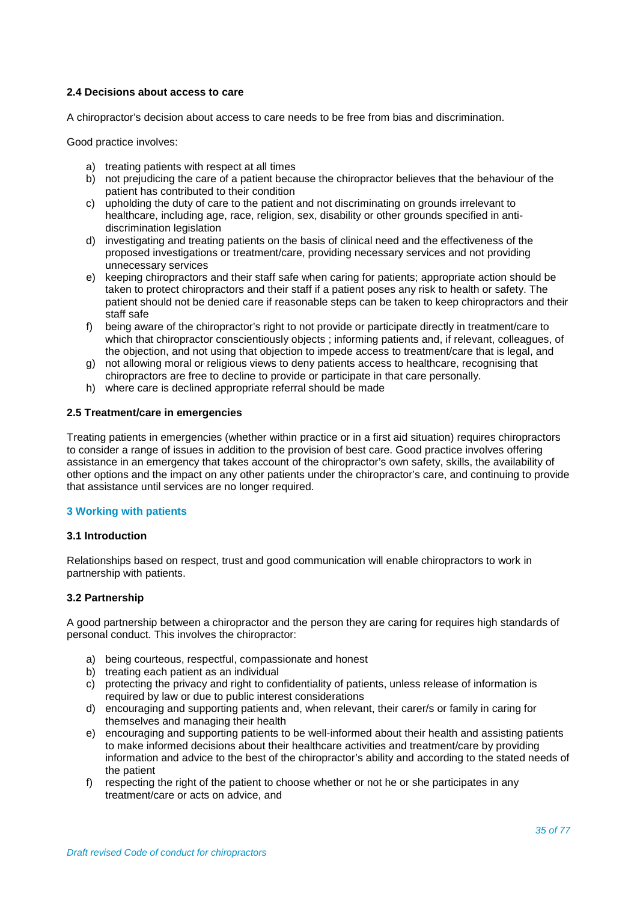## **2.4 Decisions about access to care**

A chiropractor's decision about access to care needs to be free from bias and discrimination.

Good practice involves:

- a) treating patients with respect at all times
- b) not prejudicing the care of a patient because the chiropractor believes that the behaviour of the patient has contributed to their condition
- c) upholding the duty of care to the patient and not discriminating on grounds irrelevant to healthcare, including age, race, religion, sex, disability or other grounds specified in antidiscrimination legislation
- d) investigating and treating patients on the basis of clinical need and the effectiveness of the proposed investigations or treatment/care, providing necessary services and not providing unnecessary services
- e) keeping chiropractors and their staff safe when caring for patients; appropriate action should be taken to protect chiropractors and their staff if a patient poses any risk to health or safety. The patient should not be denied care if reasonable steps can be taken to keep chiropractors and their staff safe
- f) being aware of the chiropractor's right to not provide or participate directly in treatment/care to which that chiropractor conscientiously objects ; informing patients and, if relevant, colleagues, of the objection, and not using that objection to impede access to treatment/care that is legal, and
- g) not allowing moral or religious views to deny patients access to healthcare, recognising that chiropractors are free to decline to provide or participate in that care personally.
- h) where care is declined appropriate referral should be made

#### **2.5 Treatment/care in emergencies**

Treating patients in emergencies (whether within practice or in a first aid situation) requires chiropractors to consider a range of issues in addition to the provision of best care. Good practice involves offering assistance in an emergency that takes account of the chiropractor's own safety, skills, the availability of other options and the impact on any other patients under the chiropractor's care, and continuing to provide that assistance until services are no longer required.

#### **3 Working with patients**

## **3.1 Introduction**

Relationships based on respect, trust and good communication will enable chiropractors to work in partnership with patients.

#### **3.2 Partnership**

A good partnership between a chiropractor and the person they are caring for requires high standards of personal conduct. This involves the chiropractor:

- a) being courteous, respectful, compassionate and honest
- b) treating each patient as an individual
- c) protecting the privacy and right to confidentiality of patients, unless release of information is required by law or due to public interest considerations
- d) encouraging and supporting patients and, when relevant, their carer/s or family in caring for themselves and managing their health
- e) encouraging and supporting patients to be well-informed about their health and assisting patients to make informed decisions about their healthcare activities and treatment/care by providing information and advice to the best of the chiropractor's ability and according to the stated needs of the patient
- f) respecting the right of the patient to choose whether or not he or she participates in any treatment/care or acts on advice, and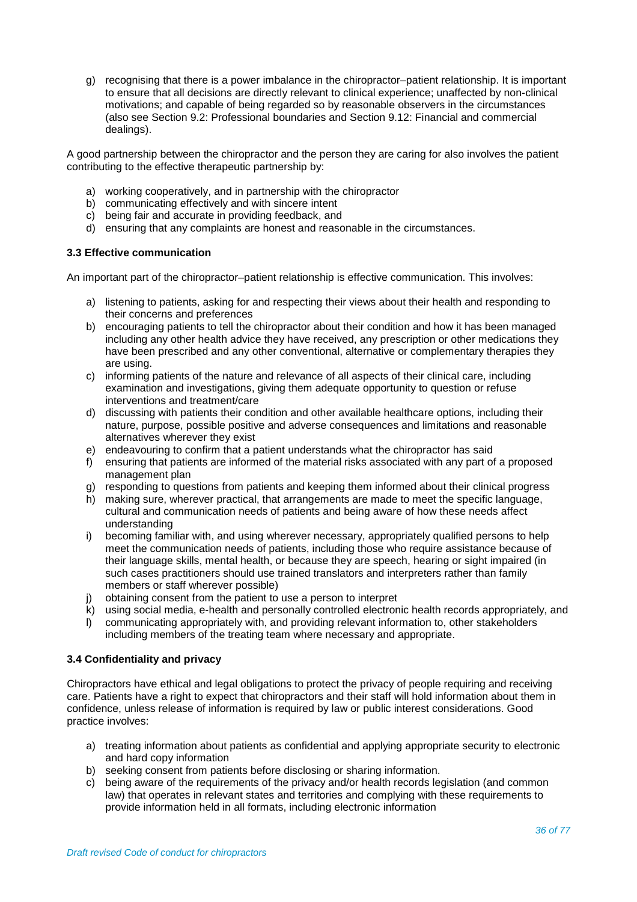g) recognising that there is a power imbalance in the chiropractor–patient relationship. It is important to ensure that all decisions are directly relevant to clinical experience; unaffected by non-clinical motivations; and capable of being regarded so by reasonable observers in the circumstances (also see Section 9.2: Professional boundaries and Section 9.12: Financial and commercial dealings).

A good partnership between the chiropractor and the person they are caring for also involves the patient contributing to the effective therapeutic partnership by:

- a) working cooperatively, and in partnership with the chiropractor
- b) communicating effectively and with sincere intent
- c) being fair and accurate in providing feedback, and
- d) ensuring that any complaints are honest and reasonable in the circumstances.

## **3.3 Effective communication**

An important part of the chiropractor–patient relationship is effective communication. This involves:

- a) listening to patients, asking for and respecting their views about their health and responding to their concerns and preferences
- b) encouraging patients to tell the chiropractor about their condition and how it has been managed including any other health advice they have received, any prescription or other medications they have been prescribed and any other conventional, alternative or complementary therapies they are using.
- c) informing patients of the nature and relevance of all aspects of their clinical care, including examination and investigations, giving them adequate opportunity to question or refuse interventions and treatment/care
- d) discussing with patients their condition and other available healthcare options, including their nature, purpose, possible positive and adverse consequences and limitations and reasonable alternatives wherever they exist
- e) endeavouring to confirm that a patient understands what the chiropractor has said
- f) ensuring that patients are informed of the material risks associated with any part of a proposed management plan
- g) responding to questions from patients and keeping them informed about their clinical progress
- h) making sure, wherever practical, that arrangements are made to meet the specific language, cultural and communication needs of patients and being aware of how these needs affect understanding
- i) becoming familiar with, and using wherever necessary, appropriately qualified persons to help meet the communication needs of patients, including those who require assistance because of their language skills, mental health, or because they are speech, hearing or sight impaired (in such cases practitioners should use trained translators and interpreters rather than family members or staff wherever possible)
- j) obtaining consent from the patient to use a person to interpret
- k) using social media, e-health and personally controlled electronic health records appropriately, and
- l) communicating appropriately with, and providing relevant information to, other stakeholders including members of the treating team where necessary and appropriate.

#### **3.4 Confidentiality and privacy**

Chiropractors have ethical and legal obligations to protect the privacy of people requiring and receiving care. Patients have a right to expect that chiropractors and their staff will hold information about them in confidence, unless release of information is required by law or public interest considerations. Good practice involves:

- a) treating information about patients as confidential and applying appropriate security to electronic and hard copy information
- b) seeking consent from patients before disclosing or sharing information.
- c) being aware of the requirements of the privacy and/or health records legislation (and common law) that operates in relevant states and territories and complying with these requirements to provide information held in all formats, including electronic information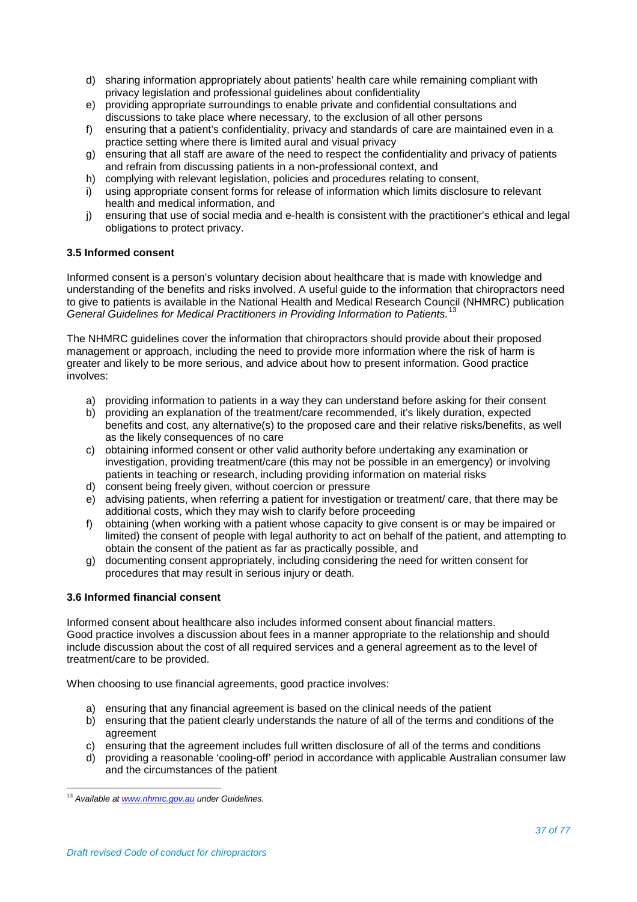- d) sharing information appropriately about patients' health care while remaining compliant with privacy legislation and professional guidelines about confidentiality
- e) providing appropriate surroundings to enable private and confidential consultations and discussions to take place where necessary, to the exclusion of all other persons
- f) ensuring that a patient's confidentiality, privacy and standards of care are maintained even in a practice setting where there is limited aural and visual privacy
- g) ensuring that all staff are aware of the need to respect the confidentiality and privacy of patients and refrain from discussing patients in a non-professional context, and
- h) complying with relevant legislation, policies and procedures relating to consent,
- i) using appropriate consent forms for release of information which limits disclosure to relevant health and medical information, and
- j) ensuring that use of social media and e-health is consistent with the practitioner's ethical and legal obligations to protect privacy.

# **3.5 Informed consent**

Informed consent is a person's voluntary decision about healthcare that is made with knowledge and understanding of the benefits and risks involved. A useful guide to the information that chiropractors need to give to patients is available in the National Health and Medical Research Council (NHMRC) publication *General Guidelines for Medical Practitioners in Providing Information to Patients.*[13](#page-36-0)

The NHMRC guidelines cover the information that chiropractors should provide about their proposed management or approach, including the need to provide more information where the risk of harm is greater and likely to be more serious, and advice about how to present information. Good practice involves:

- a) providing information to patients in a way they can understand before asking for their consent
- b) providing an explanation of the treatment/care recommended, it's likely duration, expected benefits and cost, any alternative(s) to the proposed care and their relative risks/benefits, as well as the likely consequences of no care
- c) obtaining informed consent or other valid authority before undertaking any examination or investigation, providing treatment/care (this may not be possible in an emergency) or involving patients in teaching or research, including providing information on material risks
- d) consent being freely given, without coercion or pressure
- e) advising patients, when referring a patient for investigation or treatment/ care, that there may be additional costs, which they may wish to clarify before proceeding
- f) obtaining (when working with a patient whose capacity to give consent is or may be impaired or limited) the consent of people with legal authority to act on behalf of the patient, and attempting to obtain the consent of the patient as far as practically possible, and
- g) documenting consent appropriately, including considering the need for written consent for procedures that may result in serious injury or death.

# **3.6 Informed financial consent**

Informed consent about healthcare also includes informed consent about financial matters. Good practice involves a discussion about fees in a manner appropriate to the relationship and should include discussion about the cost of all required services and a general agreement as to the level of treatment/care to be provided.

When choosing to use financial agreements, good practice involves:

- a) ensuring that any financial agreement is based on the clinical needs of the patient
- b) ensuring that the patient clearly understands the nature of all of the terms and conditions of the agreement
- c) ensuring that the agreement includes full written disclosure of all of the terms and conditions
- d) providing a reasonable 'cooling-off' period in accordance with applicable Australian consumer law and the circumstances of the patient

<span id="page-36-0"></span><sup>13</sup> *Available a[t www.nhmrc.gov.au](http://www.nhmrc.gov.au/) under Guidelines.*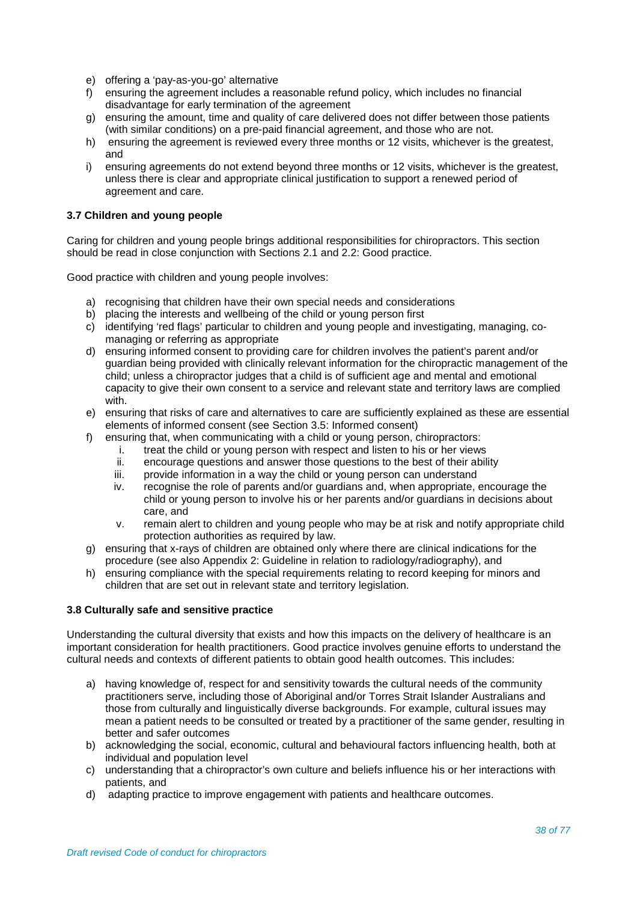- e) offering a 'pay-as-you-go' alternative
- f) ensuring the agreement includes a reasonable refund policy, which includes no financial disadvantage for early termination of the agreement
- g) ensuring the amount, time and quality of care delivered does not differ between those patients (with similar conditions) on a pre-paid financial agreement, and those who are not.
- h) ensuring the agreement is reviewed every three months or 12 visits, whichever is the greatest, and
- i) ensuring agreements do not extend beyond three months or 12 visits, whichever is the greatest, unless there is clear and appropriate clinical justification to support a renewed period of agreement and care.

# **3.7 Children and young people**

Caring for children and young people brings additional responsibilities for chiropractors. This section should be read in close conjunction with Sections 2.1 and 2.2: Good practice.

Good practice with children and young people involves:

- a) recognising that children have their own special needs and considerations
- b) placing the interests and wellbeing of the child or young person first
- c) identifying 'red flags' particular to children and young people and investigating, managing, comanaging or referring as appropriate
- d) ensuring informed consent to providing care for children involves the patient's parent and/or guardian being provided with clinically relevant information for the chiropractic management of the child; unless a chiropractor judges that a child is of sufficient age and mental and emotional capacity to give their own consent to a service and relevant state and territory laws are complied with.
- e) ensuring that risks of care and alternatives to care are sufficiently explained as these are essential elements of informed consent (see Section 3.5: Informed consent)
- f) ensuring that, when communicating with a child or young person, chiropractors:
	- i. treat the child or young person with respect and listen to his or her views ii. encourage questions and answer those questions to the best of their abil
	- encourage questions and answer those questions to the best of their ability
	- iii. provide information in a way the child or young person can understand iv. recognise the role of parents and/or quardians and, when appropriate,
	- recognise the role of parents and/or guardians and, when appropriate, encourage the child or young person to involve his or her parents and/or guardians in decisions about care, and
	- v. remain alert to children and young people who may be at risk and notify appropriate child protection authorities as required by law.
- g) ensuring that x-rays of children are obtained only where there are clinical indications for the procedure (see also Appendix 2: Guideline in relation to radiology/radiography), and
- h) ensuring compliance with the special requirements relating to record keeping for minors and children that are set out in relevant state and territory legislation.

#### **3.8 Culturally safe and sensitive practice**

Understanding the cultural diversity that exists and how this impacts on the delivery of healthcare is an important consideration for health practitioners. Good practice involves genuine efforts to understand the cultural needs and contexts of different patients to obtain good health outcomes. This includes:

- a) having knowledge of, respect for and sensitivity towards the cultural needs of the community practitioners serve, including those of Aboriginal and/or Torres Strait Islander Australians and those from culturally and linguistically diverse backgrounds. For example, cultural issues may mean a patient needs to be consulted or treated by a practitioner of the same gender, resulting in better and safer outcomes
- b) acknowledging the social, economic, cultural and behavioural factors influencing health, both at individual and population level
- c) understanding that a chiropractor's own culture and beliefs influence his or her interactions with patients, and
- d) adapting practice to improve engagement with patients and healthcare outcomes.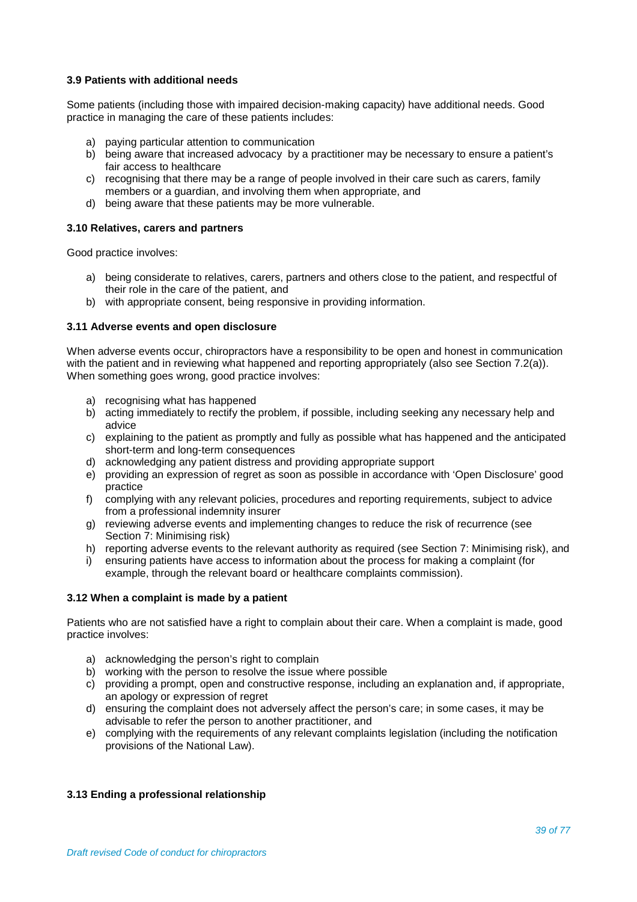# **3.9 Patients with additional needs**

Some patients (including those with impaired decision-making capacity) have additional needs. Good practice in managing the care of these patients includes:

- a) paying particular attention to communication
- b) being aware that increased advocacy by a practitioner may be necessary to ensure a patient's fair access to healthcare
- c) recognising that there may be a range of people involved in their care such as carers, family members or a guardian, and involving them when appropriate, and
- d) being aware that these patients may be more vulnerable.

# **3.10 Relatives, carers and partners**

Good practice involves:

- a) being considerate to relatives, carers, partners and others close to the patient, and respectful of their role in the care of the patient, and
- b) with appropriate consent, being responsive in providing information.

# **3.11 Adverse events and open disclosure**

When adverse events occur, chiropractors have a responsibility to be open and honest in communication with the patient and in reviewing what happened and reporting appropriately (also see Section 7.2(a)). When something goes wrong, good practice involves:

- a) recognising what has happened
- b) acting immediately to rectify the problem, if possible, including seeking any necessary help and advice
- c) explaining to the patient as promptly and fully as possible what has happened and the anticipated short-term and long-term consequences
- d) acknowledging any patient distress and providing appropriate support
- e) providing an expression of regret as soon as possible in accordance with 'Open Disclosure' good practice
- f) complying with any relevant policies, procedures and reporting requirements, subject to advice from a professional indemnity insurer
- g) reviewing adverse events and implementing changes to reduce the risk of recurrence (see Section 7: Minimising risk)
- h) reporting adverse events to the relevant authority as required (see Section 7: Minimising risk), and
- i) ensuring patients have access to information about the process for making a complaint (for example, through the relevant board or healthcare complaints commission).

#### **3.12 When a complaint is made by a patient**

Patients who are not satisfied have a right to complain about their care. When a complaint is made, good practice involves:

- a) acknowledging the person's right to complain
- b) working with the person to resolve the issue where possible
- c) providing a prompt, open and constructive response, including an explanation and, if appropriate, an apology or expression of regret
- d) ensuring the complaint does not adversely affect the person's care; in some cases, it may be advisable to refer the person to another practitioner, and
- e) complying with the requirements of any relevant complaints legislation (including the notification provisions of the National Law).

# **3.13 Ending a professional relationship**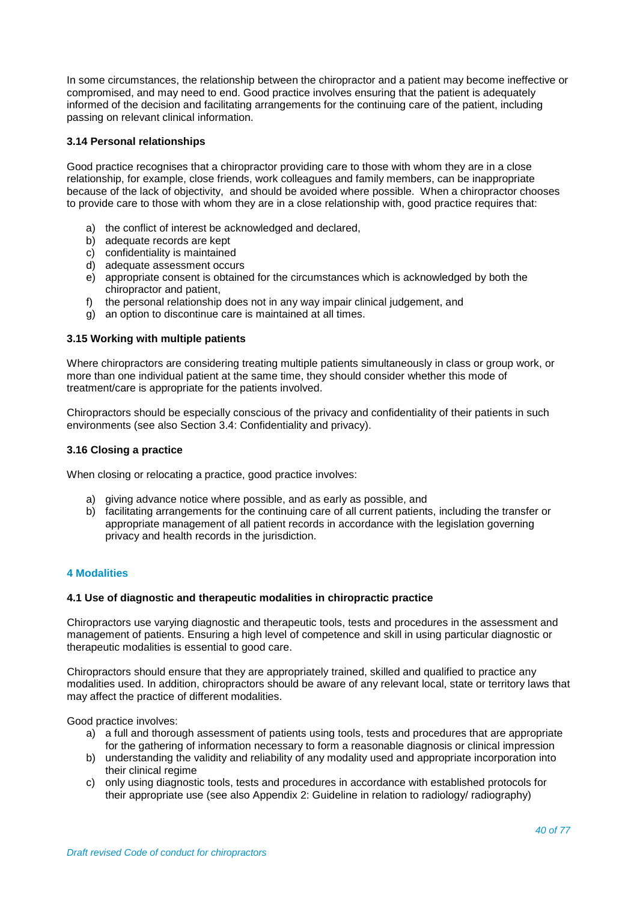In some circumstances, the relationship between the chiropractor and a patient may become ineffective or compromised, and may need to end. Good practice involves ensuring that the patient is adequately informed of the decision and facilitating arrangements for the continuing care of the patient, including passing on relevant clinical information.

# **3.14 Personal relationships**

Good practice recognises that a chiropractor providing care to those with whom they are in a close relationship, for example, close friends, work colleagues and family members, can be inappropriate because of the lack of objectivity, and should be avoided where possible. When a chiropractor chooses to provide care to those with whom they are in a close relationship with, good practice requires that:

- a) the conflict of interest be acknowledged and declared,
- b) adequate records are kept
- c) confidentiality is maintained
- d) adequate assessment occurs
- e) appropriate consent is obtained for the circumstances which is acknowledged by both the chiropractor and patient,
- f) the personal relationship does not in any way impair clinical judgement, and
- g) an option to discontinue care is maintained at all times.

#### **3.15 Working with multiple patients**

Where chiropractors are considering treating multiple patients simultaneously in class or group work, or more than one individual patient at the same time, they should consider whether this mode of treatment/care is appropriate for the patients involved.

Chiropractors should be especially conscious of the privacy and confidentiality of their patients in such environments (see also Section 3.4: Confidentiality and privacy).

#### **3.16 Closing a practice**

When closing or relocating a practice, good practice involves:

- a) giving advance notice where possible, and as early as possible, and
- b) facilitating arrangements for the continuing care of all current patients, including the transfer or appropriate management of all patient records in accordance with the legislation governing privacy and health records in the jurisdiction.

# **4 Modalities**

#### **4.1 Use of diagnostic and therapeutic modalities in chiropractic practice**

Chiropractors use varying diagnostic and therapeutic tools, tests and procedures in the assessment and management of patients. Ensuring a high level of competence and skill in using particular diagnostic or therapeutic modalities is essential to good care.

Chiropractors should ensure that they are appropriately trained, skilled and qualified to practice any modalities used. In addition, chiropractors should be aware of any relevant local, state or territory laws that may affect the practice of different modalities.

Good practice involves:

- a) a full and thorough assessment of patients using tools, tests and procedures that are appropriate for the gathering of information necessary to form a reasonable diagnosis or clinical impression
- b) understanding the validity and reliability of any modality used and appropriate incorporation into their clinical regime
- c) only using diagnostic tools, tests and procedures in accordance with established protocols for their appropriate use (see also Appendix 2: Guideline in relation to radiology/ radiography)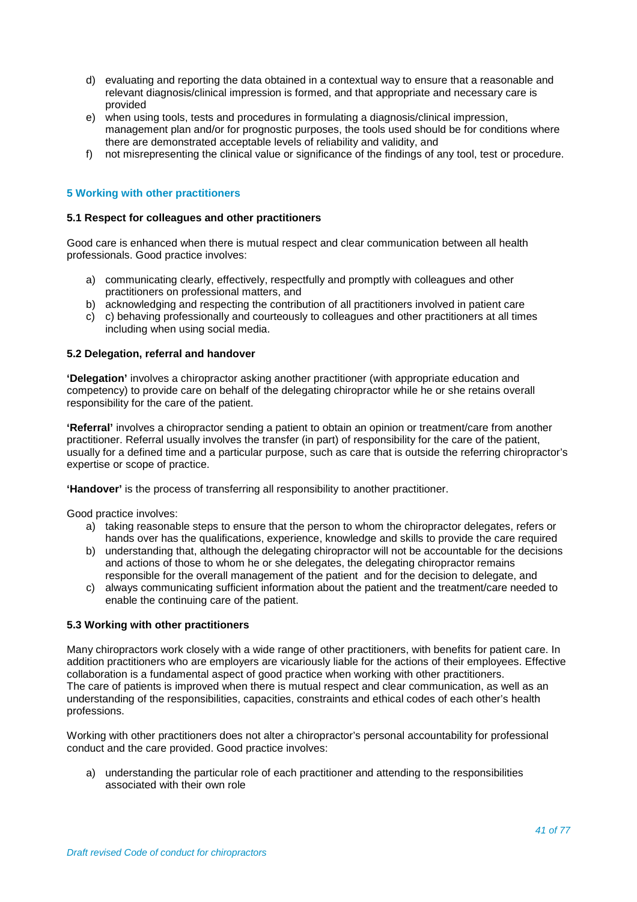- d) evaluating and reporting the data obtained in a contextual way to ensure that a reasonable and relevant diagnosis/clinical impression is formed, and that appropriate and necessary care is provided
- e) when using tools, tests and procedures in formulating a diagnosis/clinical impression, management plan and/or for prognostic purposes, the tools used should be for conditions where there are demonstrated acceptable levels of reliability and validity, and
- f) not misrepresenting the clinical value or significance of the findings of any tool, test or procedure.

# **5 Working with other practitioners**

#### **5.1 Respect for colleagues and other practitioners**

Good care is enhanced when there is mutual respect and clear communication between all health professionals. Good practice involves:

- a) communicating clearly, effectively, respectfully and promptly with colleagues and other practitioners on professional matters, and
- b) acknowledging and respecting the contribution of all practitioners involved in patient care
- c) c) behaving professionally and courteously to colleagues and other practitioners at all times including when using social media.

#### **5.2 Delegation, referral and handover**

**'Delegation'** involves a chiropractor asking another practitioner (with appropriate education and competency) to provide care on behalf of the delegating chiropractor while he or she retains overall responsibility for the care of the patient.

**'Referral'** involves a chiropractor sending a patient to obtain an opinion or treatment/care from another practitioner. Referral usually involves the transfer (in part) of responsibility for the care of the patient, usually for a defined time and a particular purpose, such as care that is outside the referring chiropractor's expertise or scope of practice.

**'Handover'** is the process of transferring all responsibility to another practitioner.

Good practice involves:

- a) taking reasonable steps to ensure that the person to whom the chiropractor delegates, refers or hands over has the qualifications, experience, knowledge and skills to provide the care required
- b) understanding that, although the delegating chiropractor will not be accountable for the decisions and actions of those to whom he or she delegates, the delegating chiropractor remains responsible for the overall management of the patient and for the decision to delegate, and
- c) always communicating sufficient information about the patient and the treatment/care needed to enable the continuing care of the patient.

#### **5.3 Working with other practitioners**

Many chiropractors work closely with a wide range of other practitioners, with benefits for patient care. In addition practitioners who are employers are vicariously liable for the actions of their employees. Effective collaboration is a fundamental aspect of good practice when working with other practitioners. The care of patients is improved when there is mutual respect and clear communication, as well as an understanding of the responsibilities, capacities, constraints and ethical codes of each other's health professions.

Working with other practitioners does not alter a chiropractor's personal accountability for professional conduct and the care provided. Good practice involves:

a) understanding the particular role of each practitioner and attending to the responsibilities associated with their own role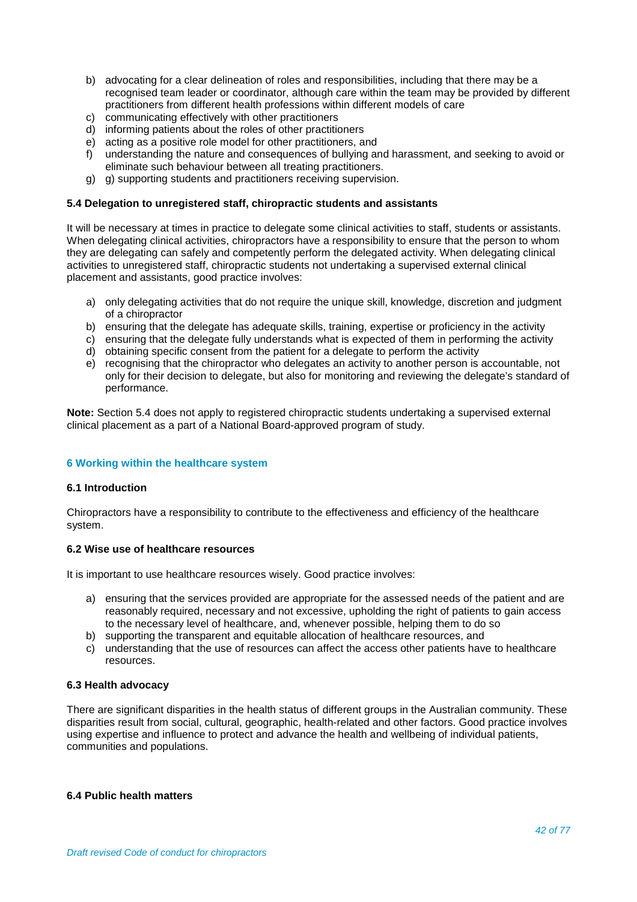- b) advocating for a clear delineation of roles and responsibilities, including that there may be a recognised team leader or coordinator, although care within the team may be provided by different practitioners from different health professions within different models of care
- c) communicating effectively with other practitioners
- d) informing patients about the roles of other practitioners
- e) acting as a positive role model for other practitioners, and<br>f) understanding the nature and consequences of bullying are
- understanding the nature and consequences of bullying and harassment, and seeking to avoid or eliminate such behaviour between all treating practitioners.
- g) g) supporting students and practitioners receiving supervision.

# **5.4 Delegation to unregistered staff, chiropractic students and assistants**

It will be necessary at times in practice to delegate some clinical activities to staff, students or assistants. When delegating clinical activities, chiropractors have a responsibility to ensure that the person to whom they are delegating can safely and competently perform the delegated activity. When delegating clinical activities to unregistered staff, chiropractic students not undertaking a supervised external clinical placement and assistants, good practice involves:

- a) only delegating activities that do not require the unique skill, knowledge, discretion and judgment of a chiropractor
- b) ensuring that the delegate has adequate skills, training, expertise or proficiency in the activity
- c) ensuring that the delegate fully understands what is expected of them in performing the activity
- d) obtaining specific consent from the patient for a delegate to perform the activity
- e) recognising that the chiropractor who delegates an activity to another person is accountable, not only for their decision to delegate, but also for monitoring and reviewing the delegate's standard of performance.

**Note:** Section 5.4 does not apply to registered chiropractic students undertaking a supervised external clinical placement as a part of a National Board-approved program of study.

# **6 Working within the healthcare system**

# **6.1 Introduction**

Chiropractors have a responsibility to contribute to the effectiveness and efficiency of the healthcare system.

#### **6.2 Wise use of healthcare resources**

It is important to use healthcare resources wisely. Good practice involves:

- a) ensuring that the services provided are appropriate for the assessed needs of the patient and are reasonably required, necessary and not excessive, upholding the right of patients to gain access to the necessary level of healthcare, and, whenever possible, helping them to do so
- b) supporting the transparent and equitable allocation of healthcare resources, and
- c) understanding that the use of resources can affect the access other patients have to healthcare resources.

#### **6.3 Health advocacy**

There are significant disparities in the health status of different groups in the Australian community. These disparities result from social, cultural, geographic, health-related and other factors. Good practice involves using expertise and influence to protect and advance the health and wellbeing of individual patients, communities and populations.

#### **6.4 Public health matters**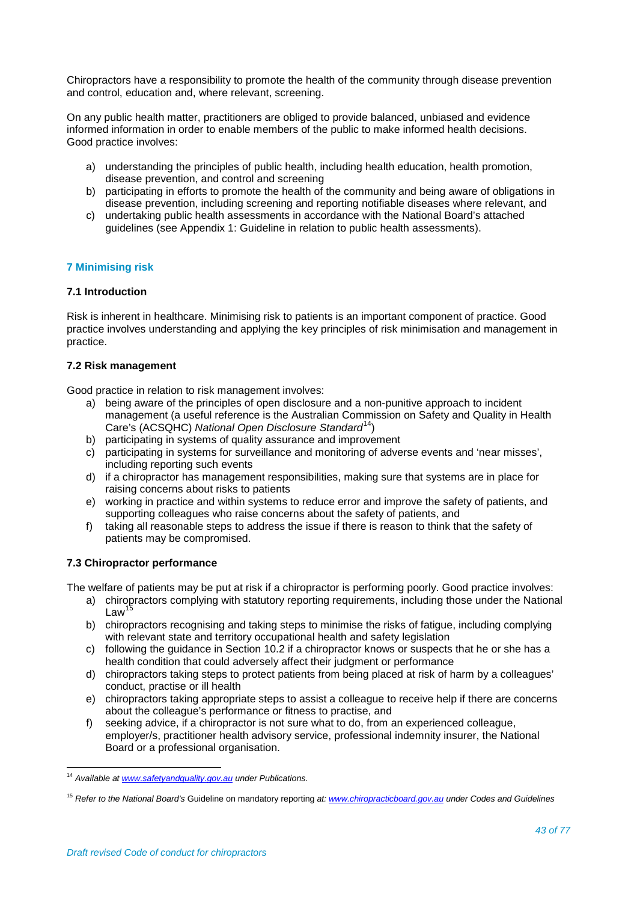Chiropractors have a responsibility to promote the health of the community through disease prevention and control, education and, where relevant, screening.

On any public health matter, practitioners are obliged to provide balanced, unbiased and evidence informed information in order to enable members of the public to make informed health decisions. Good practice involves:

- a) understanding the principles of public health, including health education, health promotion, disease prevention, and control and screening
- b) participating in efforts to promote the health of the community and being aware of obligations in disease prevention, including screening and reporting notifiable diseases where relevant, and
- c) undertaking public health assessments in accordance with the National Board's attached guidelines (see Appendix 1: Guideline in relation to public health assessments).

# **7 Minimising risk**

# **7.1 Introduction**

Risk is inherent in healthcare. Minimising risk to patients is an important component of practice. Good practice involves understanding and applying the key principles of risk minimisation and management in practice.

#### **7.2 Risk management**

Good practice in relation to risk management involves:

- a) being aware of the principles of open disclosure and a non-punitive approach to incident management (a useful reference is the Australian Commission on Safety and Quality in Health Care's (ACSQHC) National Open Disclosure Standard<sup>[14](#page-42-0)</sup>)
- b) participating in systems of quality assurance and improvement
- c) participating in systems for surveillance and monitoring of adverse events and 'near misses', including reporting such events
- d) if a chiropractor has management responsibilities, making sure that systems are in place for raising concerns about risks to patients
- e) working in practice and within systems to reduce error and improve the safety of patients, and supporting colleagues who raise concerns about the safety of patients, and
- f) taking all reasonable steps to address the issue if there is reason to think that the safety of patients may be compromised.

#### **7.3 Chiropractor performance**

The welfare of patients may be put at risk if a chiropractor is performing poorly. Good practice involves:

- a) chiropractors complying with statutory reporting requirements, including those under the National Law
- b) chiropractors recognising and taking steps to minimise the risks of fatigue, including complying with relevant state and territory occupational health and safety legislation
- c) following the guidance in Section 10.2 if a chiropractor knows or suspects that he or she has a health condition that could adversely affect their judgment or performance
- d) chiropractors taking steps to protect patients from being placed at risk of harm by a colleagues' conduct, practise or ill health
- e) chiropractors taking appropriate steps to assist a colleague to receive help if there are concerns about the colleague's performance or fitness to practise, and
- f) seeking advice, if a chiropractor is not sure what to do, from an experienced colleague, employer/s, practitioner health advisory service, professional indemnity insurer, the National Board or a professional organisation.

<span id="page-42-0"></span><sup>14</sup> *Available a[t www.safetyandquality.gov.au](http://www.safetyandquality.gov.au/) under Publications.*

<span id="page-42-1"></span><sup>15</sup> *Refer to the National Board's* Guideline on mandatory reporting *at[: www.chiropracticboard.gov.au](http://www.chiropracticboard.gov.au/) under Codes and Guidelines*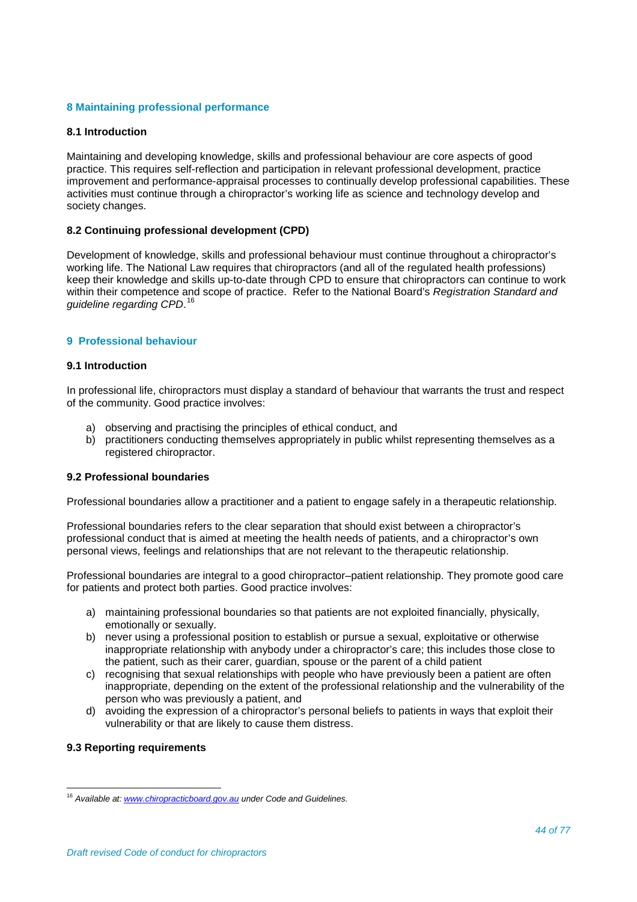# **8 Maintaining professional performance**

#### **8.1 Introduction**

Maintaining and developing knowledge, skills and professional behaviour are core aspects of good practice. This requires self-reflection and participation in relevant professional development, practice improvement and performance-appraisal processes to continually develop professional capabilities. These activities must continue through a chiropractor's working life as science and technology develop and society changes.

# **8.2 Continuing professional development (CPD)**

Development of knowledge, skills and professional behaviour must continue throughout a chiropractor's working life. The National Law requires that chiropractors (and all of the regulated health professions) keep their knowledge and skills up-to-date through CPD to ensure that chiropractors can continue to work within their competence and scope of practice. Refer to the National Board's *Registration Standard and guideline regarding CPD*. [16](#page-43-0)

# **9 Professional behaviour**

#### **9.1 Introduction**

In professional life, chiropractors must display a standard of behaviour that warrants the trust and respect of the community. Good practice involves:

- a) observing and practising the principles of ethical conduct, and
- b) practitioners conducting themselves appropriately in public whilst representing themselves as a registered chiropractor.

# **9.2 Professional boundaries**

Professional boundaries allow a practitioner and a patient to engage safely in a therapeutic relationship.

Professional boundaries refers to the clear separation that should exist between a chiropractor's professional conduct that is aimed at meeting the health needs of patients, and a chiropractor's own personal views, feelings and relationships that are not relevant to the therapeutic relationship.

Professional boundaries are integral to a good chiropractor–patient relationship. They promote good care for patients and protect both parties. Good practice involves:

- a) maintaining professional boundaries so that patients are not exploited financially, physically, emotionally or sexually.
- b) never using a professional position to establish or pursue a sexual, exploitative or otherwise inappropriate relationship with anybody under a chiropractor's care; this includes those close to the patient, such as their carer, guardian, spouse or the parent of a child patient
- c) recognising that sexual relationships with people who have previously been a patient are often inappropriate, depending on the extent of the professional relationship and the vulnerability of the person who was previously a patient, and
- d) avoiding the expression of a chiropractor's personal beliefs to patients in ways that exploit their vulnerability or that are likely to cause them distress.

#### **9.3 Reporting requirements**

<span id="page-43-0"></span><sup>16</sup> *Available at: [www.chiropracticboard.gov.au](http://www.chiropracticboard.gov.au/) under Code and Guidelines.*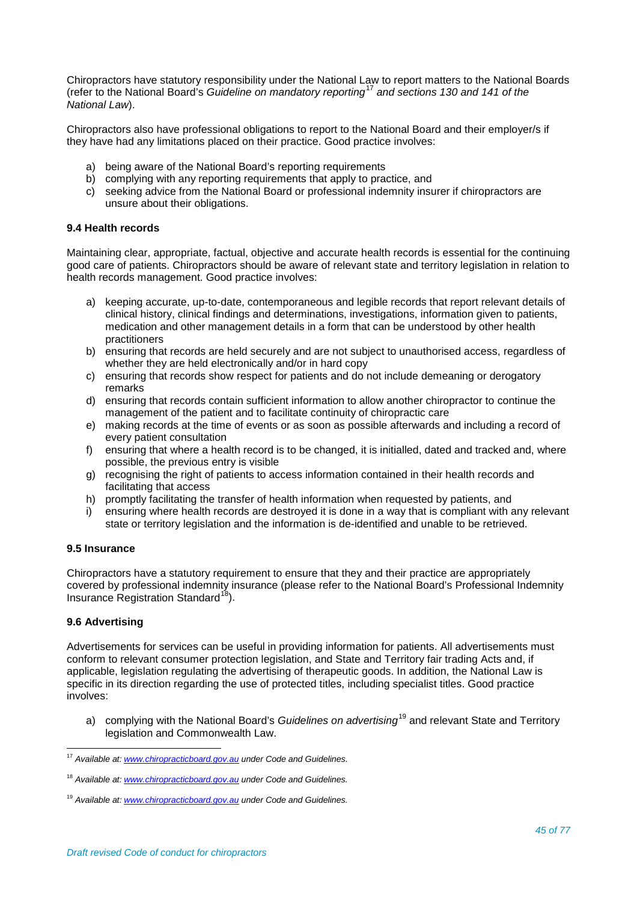Chiropractors have statutory responsibility under the National Law to report matters to the National Boards (refer to the National Board's *Guideline on mandatory reporting*[17](#page-44-0) *and sections 130 and 141 of the National Law*).

Chiropractors also have professional obligations to report to the National Board and their employer/s if they have had any limitations placed on their practice. Good practice involves:

- a) being aware of the National Board's reporting requirements
- b) complying with any reporting requirements that apply to practice, and
- c) seeking advice from the National Board or professional indemnity insurer if chiropractors are unsure about their obligations.

# **9.4 Health records**

Maintaining clear, appropriate, factual, objective and accurate health records is essential for the continuing good care of patients. Chiropractors should be aware of relevant state and territory legislation in relation to health records management. Good practice involves:

- a) keeping accurate, up-to-date, contemporaneous and legible records that report relevant details of clinical history, clinical findings and determinations, investigations, information given to patients, medication and other management details in a form that can be understood by other health practitioners
- b) ensuring that records are held securely and are not subject to unauthorised access, regardless of whether they are held electronically and/or in hard copy
- c) ensuring that records show respect for patients and do not include demeaning or derogatory remarks
- d) ensuring that records contain sufficient information to allow another chiropractor to continue the management of the patient and to facilitate continuity of chiropractic care
- e) making records at the time of events or as soon as possible afterwards and including a record of every patient consultation
- f) ensuring that where a health record is to be changed, it is initialled, dated and tracked and, where possible, the previous entry is visible
- g) recognising the right of patients to access information contained in their health records and facilitating that access
- h) promptly facilitating the transfer of health information when requested by patients, and
- i) ensuring where health records are destroyed it is done in a way that is compliant with any relevant state or territory legislation and the information is de-identified and unable to be retrieved.

# **9.5 Insurance**

Chiropractors have a statutory requirement to ensure that they and their practice are appropriately covered by professional indemnity insurance (please refer to the National Board's Professional Indemnity Insurance Registration Standard<sup>[18](#page-44-1)</sup>).

# **9.6 Advertising**

Advertisements for services can be useful in providing information for patients. All advertisements must conform to relevant consumer protection legislation, and State and Territory fair trading Acts and, if applicable, legislation regulating the advertising of therapeutic goods. In addition, the National Law is specific in its direction regarding the use of protected titles, including specialist titles. Good practice involves:

a) complying with the National Board's *Guidelines on advertising*[19](#page-44-2) and relevant State and Territory legislation and Commonwealth Law.

<span id="page-44-0"></span><sup>17</sup> *Available at: [www.chiropracticboard.gov.au](http://www.chiropracticboard.gov.au/) under Code and Guidelines.*

<span id="page-44-1"></span><sup>18</sup> *Available at: [www.chiropracticboard.gov.au](http://www.chiropracticboard.gov.au/) under Code and Guidelines.*

<span id="page-44-2"></span><sup>19</sup> *Available at: [www.chiropracticboard.gov.au](http://www.chiropracticboard.gov.au/) under Code and Guidelines.*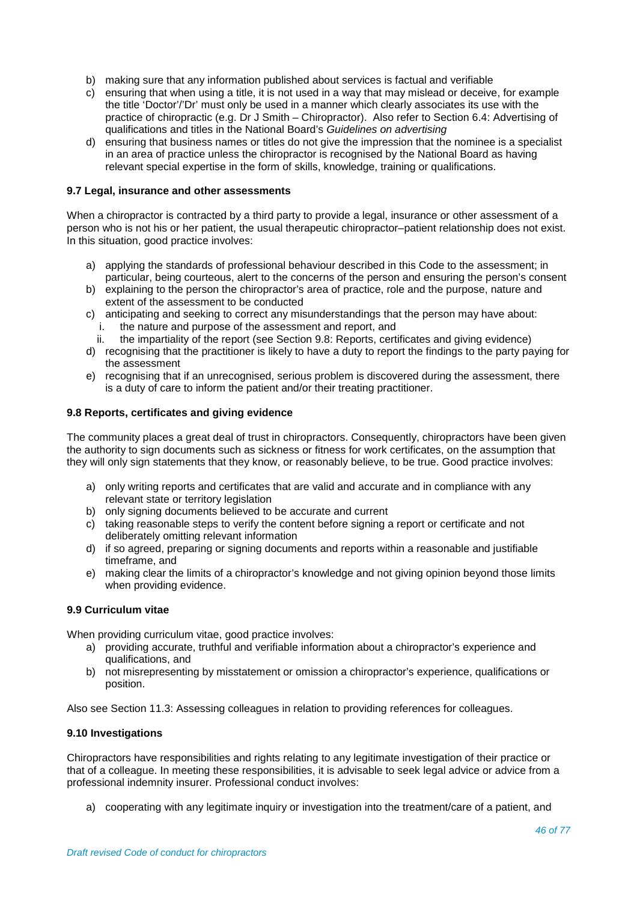- b) making sure that any information published about services is factual and verifiable
- c) ensuring that when using a title, it is not used in a way that may mislead or deceive, for example the title 'Doctor'/'Dr' must only be used in a manner which clearly associates its use with the practice of chiropractic (e.g. Dr J Smith – Chiropractor). Also refer to Section 6.4: Advertising of qualifications and titles in the National Board's *Guidelines on advertising*
- d) ensuring that business names or titles do not give the impression that the nominee is a specialist in an area of practice unless the chiropractor is recognised by the National Board as having relevant special expertise in the form of skills, knowledge, training or qualifications.

# **9.7 Legal, insurance and other assessments**

When a chiropractor is contracted by a third party to provide a legal, insurance or other assessment of a person who is not his or her patient, the usual therapeutic chiropractor–patient relationship does not exist. In this situation, good practice involves:

- a) applying the standards of professional behaviour described in this Code to the assessment; in particular, being courteous, alert to the concerns of the person and ensuring the person's consent
- b) explaining to the person the chiropractor's area of practice, role and the purpose, nature and extent of the assessment to be conducted
- c) anticipating and seeking to correct any misunderstandings that the person may have about:
	- i. the nature and purpose of the assessment and report, and
	- ii. the impartiality of the report (see Section 9.8: Reports, certificates and giving evidence)
- d) recognising that the practitioner is likely to have a duty to report the findings to the party paying for the assessment
- e) recognising that if an unrecognised, serious problem is discovered during the assessment, there is a duty of care to inform the patient and/or their treating practitioner.

# **9.8 Reports, certificates and giving evidence**

The community places a great deal of trust in chiropractors. Consequently, chiropractors have been given the authority to sign documents such as sickness or fitness for work certificates, on the assumption that they will only sign statements that they know, or reasonably believe, to be true. Good practice involves:

- a) only writing reports and certificates that are valid and accurate and in compliance with any relevant state or territory legislation
- b) only signing documents believed to be accurate and current
- c) taking reasonable steps to verify the content before signing a report or certificate and not deliberately omitting relevant information
- d) if so agreed, preparing or signing documents and reports within a reasonable and justifiable timeframe, and
- e) making clear the limits of a chiropractor's knowledge and not giving opinion beyond those limits when providing evidence.

#### **9.9 Curriculum vitae**

When providing curriculum vitae, good practice involves:

- a) providing accurate, truthful and verifiable information about a chiropractor's experience and qualifications, and
- b) not misrepresenting by misstatement or omission a chiropractor's experience, qualifications or position.

Also see Section 11.3: Assessing colleagues in relation to providing references for colleagues.

#### **9.10 Investigations**

Chiropractors have responsibilities and rights relating to any legitimate investigation of their practice or that of a colleague. In meeting these responsibilities, it is advisable to seek legal advice or advice from a professional indemnity insurer. Professional conduct involves:

a) cooperating with any legitimate inquiry or investigation into the treatment/care of a patient, and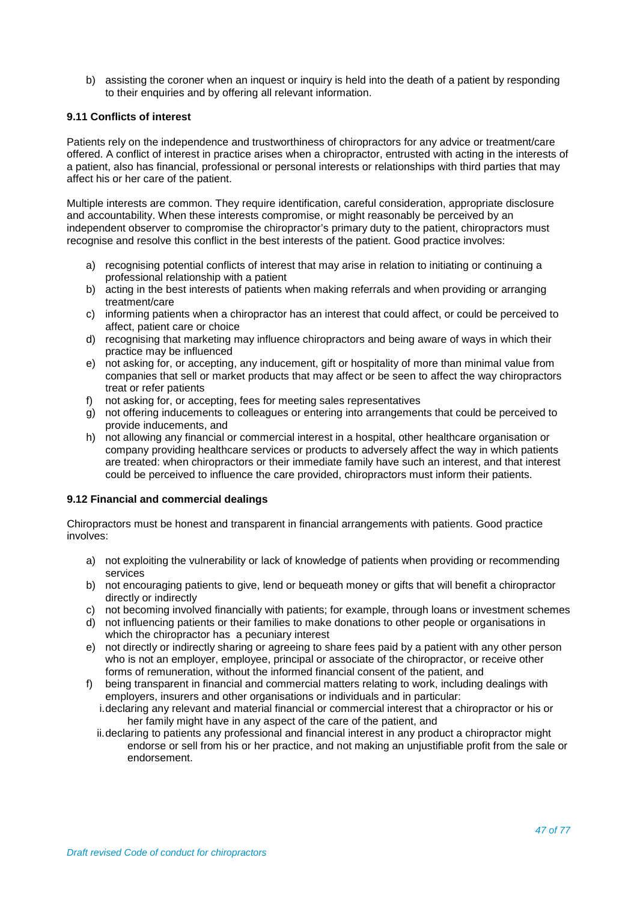b) assisting the coroner when an inquest or inquiry is held into the death of a patient by responding to their enquiries and by offering all relevant information.

# **9.11 Conflicts of interest**

Patients rely on the independence and trustworthiness of chiropractors for any advice or treatment/care offered. A conflict of interest in practice arises when a chiropractor, entrusted with acting in the interests of a patient, also has financial, professional or personal interests or relationships with third parties that may affect his or her care of the patient.

Multiple interests are common. They require identification, careful consideration, appropriate disclosure and accountability. When these interests compromise, or might reasonably be perceived by an independent observer to compromise the chiropractor's primary duty to the patient, chiropractors must recognise and resolve this conflict in the best interests of the patient. Good practice involves:

- a) recognising potential conflicts of interest that may arise in relation to initiating or continuing a professional relationship with a patient
- b) acting in the best interests of patients when making referrals and when providing or arranging treatment/care
- c) informing patients when a chiropractor has an interest that could affect, or could be perceived to affect, patient care or choice
- d) recognising that marketing may influence chiropractors and being aware of ways in which their practice may be influenced
- e) not asking for, or accepting, any inducement, gift or hospitality of more than minimal value from companies that sell or market products that may affect or be seen to affect the way chiropractors treat or refer patients
- f) not asking for, or accepting, fees for meeting sales representatives
- g) not offering inducements to colleagues or entering into arrangements that could be perceived to provide inducements, and
- h) not allowing any financial or commercial interest in a hospital, other healthcare organisation or company providing healthcare services or products to adversely affect the way in which patients are treated: when chiropractors or their immediate family have such an interest, and that interest could be perceived to influence the care provided, chiropractors must inform their patients.

# **9.12 Financial and commercial dealings**

Chiropractors must be honest and transparent in financial arrangements with patients. Good practice involves:

- a) not exploiting the vulnerability or lack of knowledge of patients when providing or recommending services
- b) not encouraging patients to give, lend or bequeath money or gifts that will benefit a chiropractor directly or indirectly
- c) not becoming involved financially with patients; for example, through loans or investment schemes
- d) not influencing patients or their families to make donations to other people or organisations in which the chiropractor has a pecuniary interest
- e) not directly or indirectly sharing or agreeing to share fees paid by a patient with any other person who is not an employer, employee, principal or associate of the chiropractor, or receive other forms of remuneration, without the informed financial consent of the patient, and
- f) being transparent in financial and commercial matters relating to work, including dealings with employers, insurers and other organisations or individuals and in particular:
	- i.declaring any relevant and material financial or commercial interest that a chiropractor or his or her family might have in any aspect of the care of the patient, and
	- ii.declaring to patients any professional and financial interest in any product a chiropractor might endorse or sell from his or her practice, and not making an unjustifiable profit from the sale or endorsement.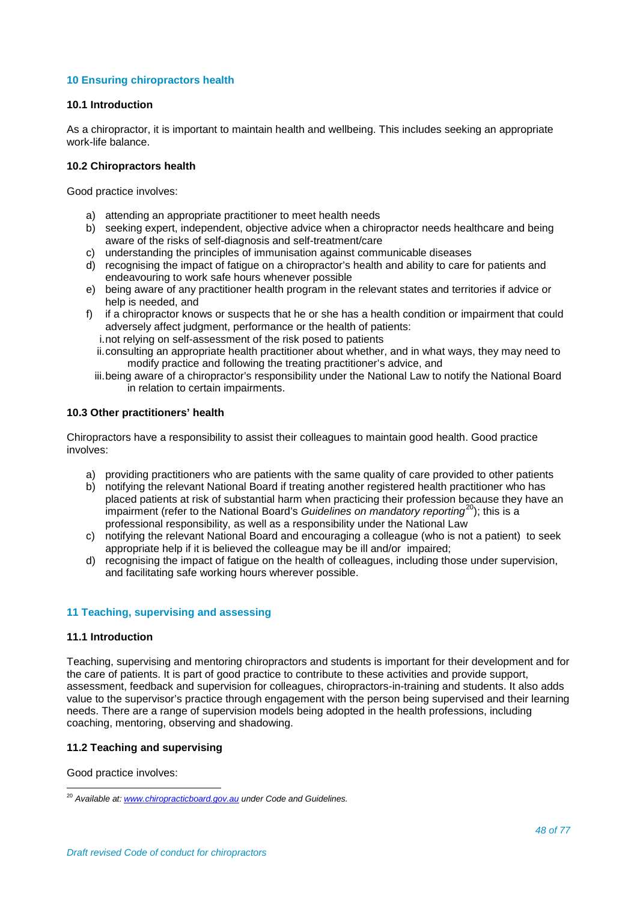# **10 Ensuring chiropractors health**

#### **10.1 Introduction**

As a chiropractor, it is important to maintain health and wellbeing. This includes seeking an appropriate work-life balance.

# **10.2 Chiropractors health**

Good practice involves:

- a) attending an appropriate practitioner to meet health needs
- b) seeking expert, independent, objective advice when a chiropractor needs healthcare and being aware of the risks of self-diagnosis and self-treatment/care
- c) understanding the principles of immunisation against communicable diseases
- d) recognising the impact of fatigue on a chiropractor's health and ability to care for patients and endeavouring to work safe hours whenever possible
- e) being aware of any practitioner health program in the relevant states and territories if advice or help is needed, and
- f) if a chiropractor knows or suspects that he or she has a health condition or impairment that could adversely affect judgment, performance or the health of patients:
	- i.not relying on self-assessment of the risk posed to patients
	- ii.consulting an appropriate health practitioner about whether, and in what ways, they may need to modify practice and following the treating practitioner's advice, and
	- iii.being aware of a chiropractor's responsibility under the National Law to notify the National Board in relation to certain impairments.

# **10.3 Other practitioners' health**

Chiropractors have a responsibility to assist their colleagues to maintain good health. Good practice involves:

- a) providing practitioners who are patients with the same quality of care provided to other patients
- b) notifying the relevant National Board if treating another registered health practitioner who has placed patients at risk of substantial harm when practicing their profession because they have an impairment (refer to the National Board's *Guidelines on mandatory reporting*[20](#page-47-0) ); this is a professional responsibility, as well as a responsibility under the National Law
- c) notifying the relevant National Board and encouraging a colleague (who is not a patient) to seek appropriate help if it is believed the colleague may be ill and/or impaired;
- d) recognising the impact of fatigue on the health of colleagues, including those under supervision, and facilitating safe working hours wherever possible.

#### **11 Teaching, supervising and assessing**

#### **11.1 Introduction**

Teaching, supervising and mentoring chiropractors and students is important for their development and for the care of patients. It is part of good practice to contribute to these activities and provide support, assessment, feedback and supervision for colleagues, chiropractors-in-training and students. It also adds value to the supervisor's practice through engagement with the person being supervised and their learning needs. There are a range of supervision models being adopted in the health professions, including coaching, mentoring, observing and shadowing.

# **11.2 Teaching and supervising**

Good practice involves:

<span id="page-47-0"></span><sup>20</sup> *Available at: [www.chiropracticboard.gov.au](http://www.chiropracticboard.gov.au/) under Code and Guidelines.*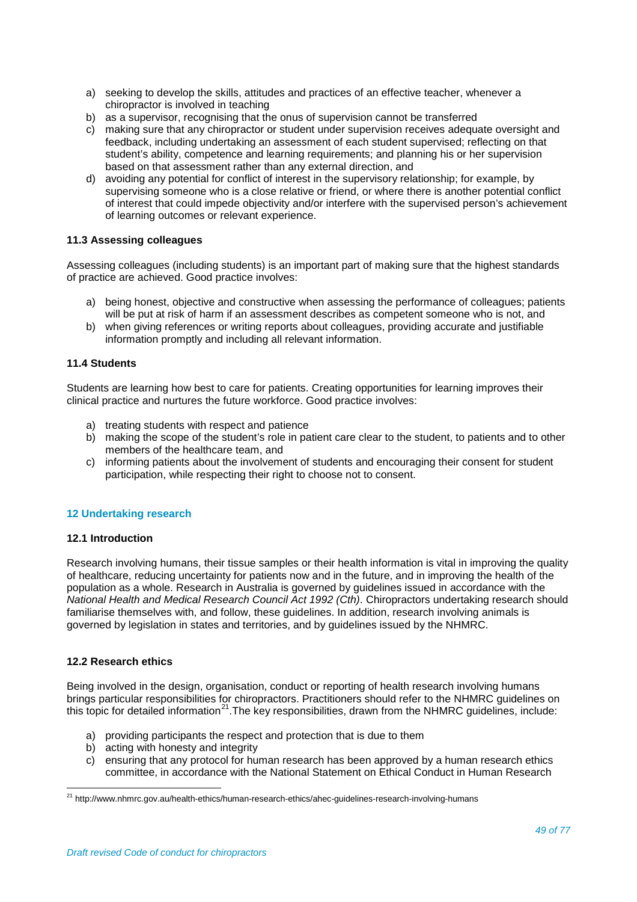- a) seeking to develop the skills, attitudes and practices of an effective teacher, whenever a chiropractor is involved in teaching
- b) as a supervisor, recognising that the onus of supervision cannot be transferred
- c) making sure that any chiropractor or student under supervision receives adequate oversight and feedback, including undertaking an assessment of each student supervised; reflecting on that student's ability, competence and learning requirements; and planning his or her supervision based on that assessment rather than any external direction, and
- d) avoiding any potential for conflict of interest in the supervisory relationship; for example, by supervising someone who is a close relative or friend, or where there is another potential conflict of interest that could impede objectivity and/or interfere with the supervised person's achievement of learning outcomes or relevant experience.

# **11.3 Assessing colleagues**

Assessing colleagues (including students) is an important part of making sure that the highest standards of practice are achieved. Good practice involves:

- a) being honest, objective and constructive when assessing the performance of colleagues; patients will be put at risk of harm if an assessment describes as competent someone who is not, and
- b) when giving references or writing reports about colleagues, providing accurate and justifiable information promptly and including all relevant information.

# **11.4 Students**

Students are learning how best to care for patients. Creating opportunities for learning improves their clinical practice and nurtures the future workforce. Good practice involves:

- a) treating students with respect and patience
- b) making the scope of the student's role in patient care clear to the student, to patients and to other members of the healthcare team, and
- c) informing patients about the involvement of students and encouraging their consent for student participation, while respecting their right to choose not to consent.

#### **12 Undertaking research**

#### **12.1 Introduction**

Research involving humans, their tissue samples or their health information is vital in improving the quality of healthcare, reducing uncertainty for patients now and in the future, and in improving the health of the population as a whole. Research in Australia is governed by guidelines issued in accordance with the *National Health and Medical Research Council Act 1992 (Cth)*. Chiropractors undertaking research should familiarise themselves with, and follow, these guidelines. In addition, research involving animals is governed by legislation in states and territories, and by guidelines issued by the NHMRC.

#### **12.2 Research ethics**

Being involved in the design, organisation, conduct or reporting of health research involving humans brings particular responsibilities for chiropractors. Practitioners should refer to the NHMRC guidelines on this topic for detailed information<sup>[21](#page-48-0)</sup>. The key responsibilities, drawn from the NHMRC guidelines, include:

- a) providing participants the respect and protection that is due to them
- b) acting with honesty and integrity
- c) ensuring that any protocol for human research has been approved by a human research ethics committee, in accordance with the National Statement on Ethical Conduct in Human Research

<span id="page-48-0"></span><sup>21</sup> http://www.nhmrc.gov.au/health-ethics/human-research-ethics/ahec-guidelines-research-involving-humans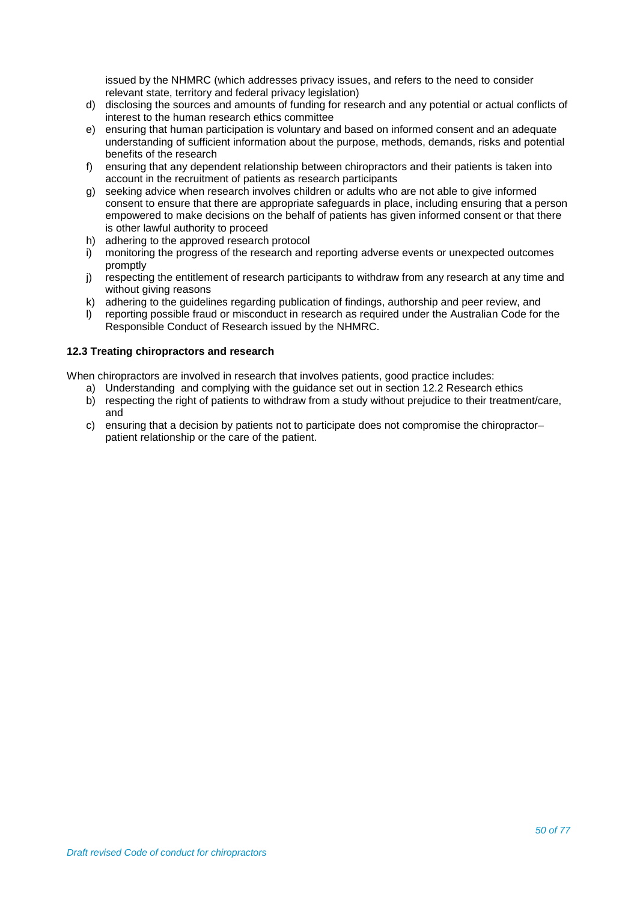issued by the NHMRC (which addresses privacy issues, and refers to the need to consider relevant state, territory and federal privacy legislation)

- d) disclosing the sources and amounts of funding for research and any potential or actual conflicts of interest to the human research ethics committee
- e) ensuring that human participation is voluntary and based on informed consent and an adequate understanding of sufficient information about the purpose, methods, demands, risks and potential benefits of the research
- f) ensuring that any dependent relationship between chiropractors and their patients is taken into account in the recruitment of patients as research participants
- g) seeking advice when research involves children or adults who are not able to give informed consent to ensure that there are appropriate safeguards in place, including ensuring that a person empowered to make decisions on the behalf of patients has given informed consent or that there is other lawful authority to proceed
- h) adhering to the approved research protocol
- i) monitoring the progress of the research and reporting adverse events or unexpected outcomes promptly
- j) respecting the entitlement of research participants to withdraw from any research at any time and without giving reasons
- k) adhering to the guidelines regarding publication of findings, authorship and peer review, and<br>
I) reporting possible fraud or misconduct in research as required under the Australian Code for
- reporting possible fraud or misconduct in research as required under the Australian Code for the Responsible Conduct of Research issued by the NHMRC.

# **12.3 Treating chiropractors and research**

When chiropractors are involved in research that involves patients, good practice includes:

- a) Understanding and complying with the guidance set out in section 12.2 Research ethics
- b) respecting the right of patients to withdraw from a study without prejudice to their treatment/care, and
- c) ensuring that a decision by patients not to participate does not compromise the chiropractor– patient relationship or the care of the patient.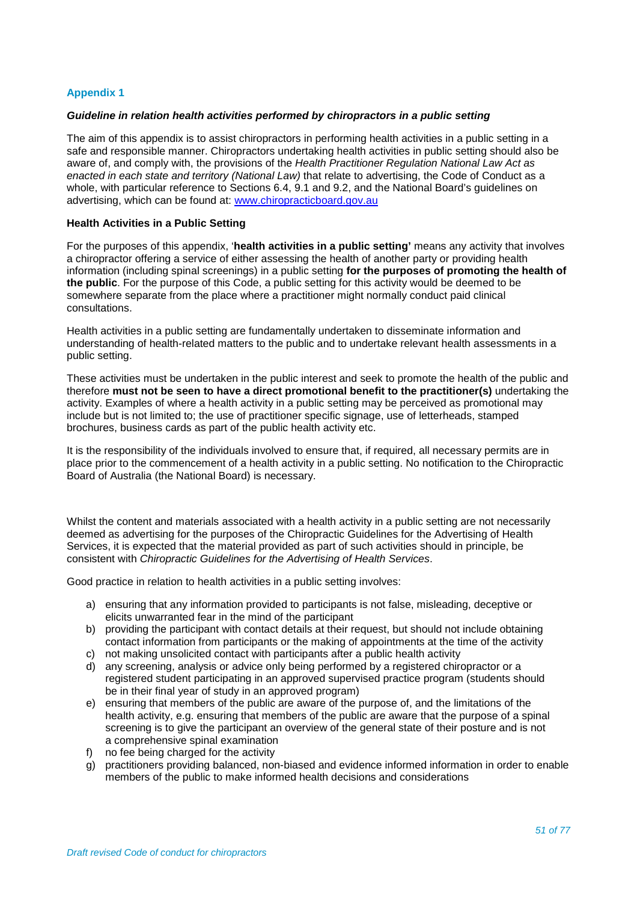# **Appendix 1**

#### *Guideline in relation health activities performed by chiropractors in a public setting*

The aim of this appendix is to assist chiropractors in performing health activities in a public setting in a safe and responsible manner. Chiropractors undertaking health activities in public setting should also be aware of, and comply with, the provisions of the *Health Practitioner Regulation National Law Act as enacted in each state and territory (National Law)* that relate to advertising, the Code of Conduct as a whole, with particular reference to Sections 6.4, 9.1 and 9.2, and the National Board's guidelines on advertising, which can be found at: [www.chiropracticboard.gov.au](http://www.chiropracticboard.gov.au/)

#### **Health Activities in a Public Setting**

For the purposes of this appendix, '**health activities in a public setting'** means any activity that involves a chiropractor offering a service of either assessing the health of another party or providing health information (including spinal screenings) in a public setting **for the purposes of promoting the health of the public**. For the purpose of this Code, a public setting for this activity would be deemed to be somewhere separate from the place where a practitioner might normally conduct paid clinical consultations.

Health activities in a public setting are fundamentally undertaken to disseminate information and understanding of health-related matters to the public and to undertake relevant health assessments in a public setting.

These activities must be undertaken in the public interest and seek to promote the health of the public and therefore **must not be seen to have a direct promotional benefit to the practitioner(s)** undertaking the activity. Examples of where a health activity in a public setting may be perceived as promotional may include but is not limited to; the use of practitioner specific signage, use of letterheads, stamped brochures, business cards as part of the public health activity etc.

It is the responsibility of the individuals involved to ensure that, if required, all necessary permits are in place prior to the commencement of a health activity in a public setting. No notification to the Chiropractic Board of Australia (the National Board) is necessary.

Whilst the content and materials associated with a health activity in a public setting are not necessarily deemed as advertising for the purposes of the Chiropractic Guidelines for the Advertising of Health Services, it is expected that the material provided as part of such activities should in principle, be consistent with *Chiropractic Guidelines for the Advertising of Health Services*.

Good practice in relation to health activities in a public setting involves:

- a) ensuring that any information provided to participants is not false, misleading, deceptive or elicits unwarranted fear in the mind of the participant
- b) providing the participant with contact details at their request, but should not include obtaining contact information from participants or the making of appointments at the time of the activity c) not making unsolicited contact with participants after a public health activity
- d) any screening, analysis or advice only being performed by a registered chiropractor or a
- registered student participating in an approved supervised practice program (students should be in their final year of study in an approved program)
- e) ensuring that members of the public are aware of the purpose of, and the limitations of the health activity, e.g. ensuring that members of the public are aware that the purpose of a spinal screening is to give the participant an overview of the general state of their posture and is not a comprehensive spinal examination
- f) no fee being charged for the activity
- g) practitioners providing balanced, non-biased and evidence informed information in order to enable members of the public to make informed health decisions and considerations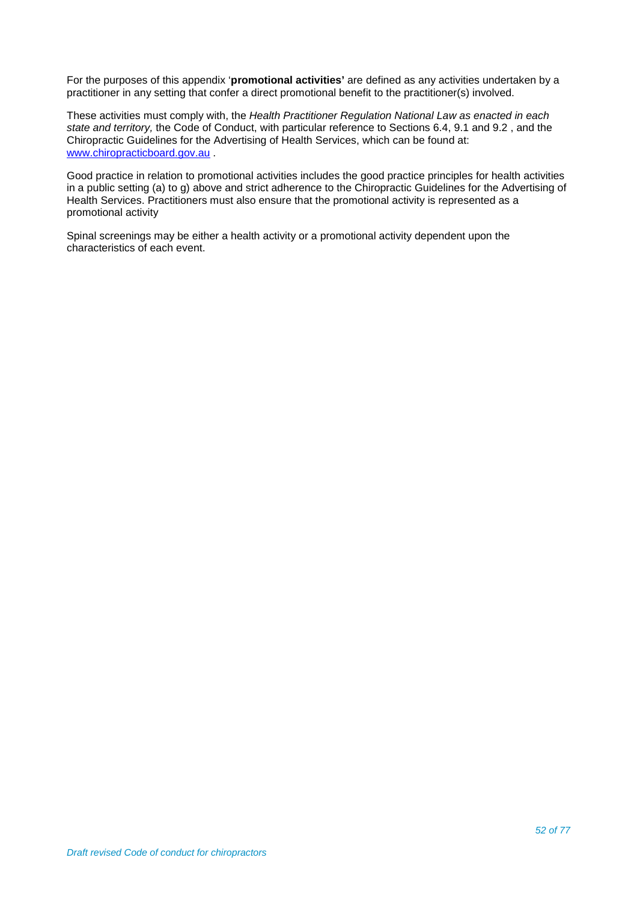For the purposes of this appendix '**promotional activities'** are defined as any activities undertaken by a practitioner in any setting that confer a direct promotional benefit to the practitioner(s) involved.

These activities must comply with, the *Health Practitioner Regulation National Law as enacted in each state and territory,* the Code of Conduct, with particular reference to Sections 6.4, 9.1 and 9.2 , and the Chiropractic Guidelines for the Advertising of Health Services, which can be found at: [www.chiropracticboard.gov.au](http://www.chiropracticboard.gov.au/) .

Good practice in relation to promotional activities includes the good practice principles for health activities in a public setting (a) to g) above and strict adherence to the Chiropractic Guidelines for the Advertising of Health Services. Practitioners must also ensure that the promotional activity is represented as a promotional activity

Spinal screenings may be either a health activity or a promotional activity dependent upon the characteristics of each event.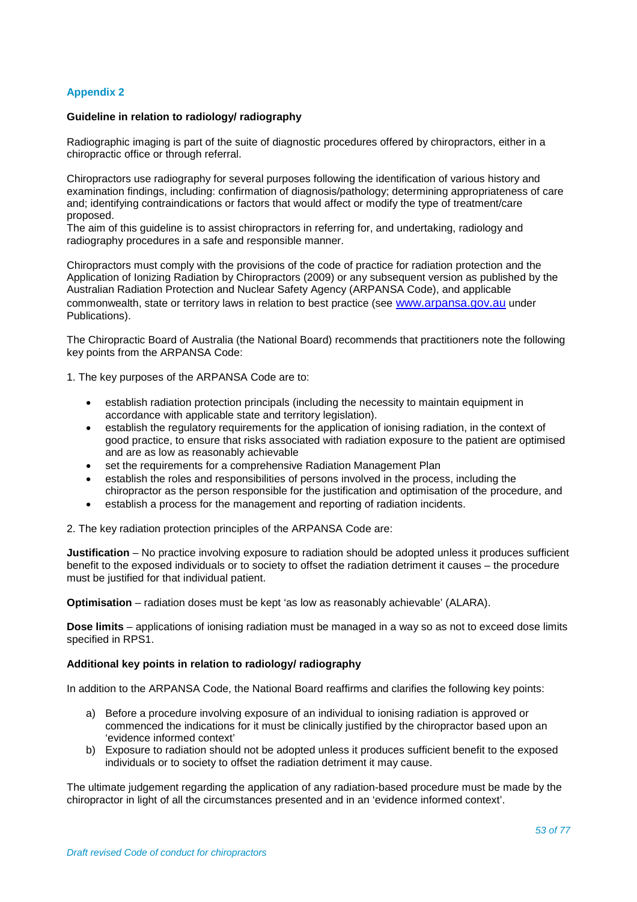# **Appendix 2**

#### **Guideline in relation to radiology/ radiography**

Radiographic imaging is part of the suite of diagnostic procedures offered by chiropractors, either in a chiropractic office or through referral.

Chiropractors use radiography for several purposes following the identification of various history and examination findings, including: confirmation of diagnosis/pathology; determining appropriateness of care and; identifying contraindications or factors that would affect or modify the type of treatment/care proposed.

The aim of this guideline is to assist chiropractors in referring for, and undertaking, radiology and radiography procedures in a safe and responsible manner.

Chiropractors must comply with the provisions of the code of practice for radiation protection and the Application of Ionizing Radiation by Chiropractors (2009) or any subsequent version as published by the Australian Radiation Protection and Nuclear Safety Agency (ARPANSA Code), and applicable commonwealth, state or territory laws in relation to best practice (see [www.arpansa.gov.au](http://www.arpansa.gov.au/) under Publications).

The Chiropractic Board of Australia (the National Board) recommends that practitioners note the following key points from the ARPANSA Code:

1. The key purposes of the ARPANSA Code are to:

- establish radiation protection principals (including the necessity to maintain equipment in accordance with applicable state and territory legislation).
- establish the regulatory requirements for the application of ionising radiation, in the context of good practice, to ensure that risks associated with radiation exposure to the patient are optimised and are as low as reasonably achievable
- set the requirements for a comprehensive Radiation Management Plan
- establish the roles and responsibilities of persons involved in the process, including the chiropractor as the person responsible for the justification and optimisation of the procedure, and
- establish a process for the management and reporting of radiation incidents.

2. The key radiation protection principles of the ARPANSA Code are:

**Justification** – No practice involving exposure to radiation should be adopted unless it produces sufficient benefit to the exposed individuals or to society to offset the radiation detriment it causes – the procedure must be justified for that individual patient.

**Optimisation** – radiation doses must be kept 'as low as reasonably achievable' (ALARA).

**Dose limits** – applications of ionising radiation must be managed in a way so as not to exceed dose limits specified in RPS1.

#### **Additional key points in relation to radiology/ radiography**

In addition to the ARPANSA Code, the National Board reaffirms and clarifies the following key points:

- a) Before a procedure involving exposure of an individual to ionising radiation is approved or commenced the indications for it must be clinically justified by the chiropractor based upon an 'evidence informed context'
- b) Exposure to radiation should not be adopted unless it produces sufficient benefit to the exposed individuals or to society to offset the radiation detriment it may cause.

The ultimate judgement regarding the application of any radiation-based procedure must be made by the chiropractor in light of all the circumstances presented and in an 'evidence informed context'.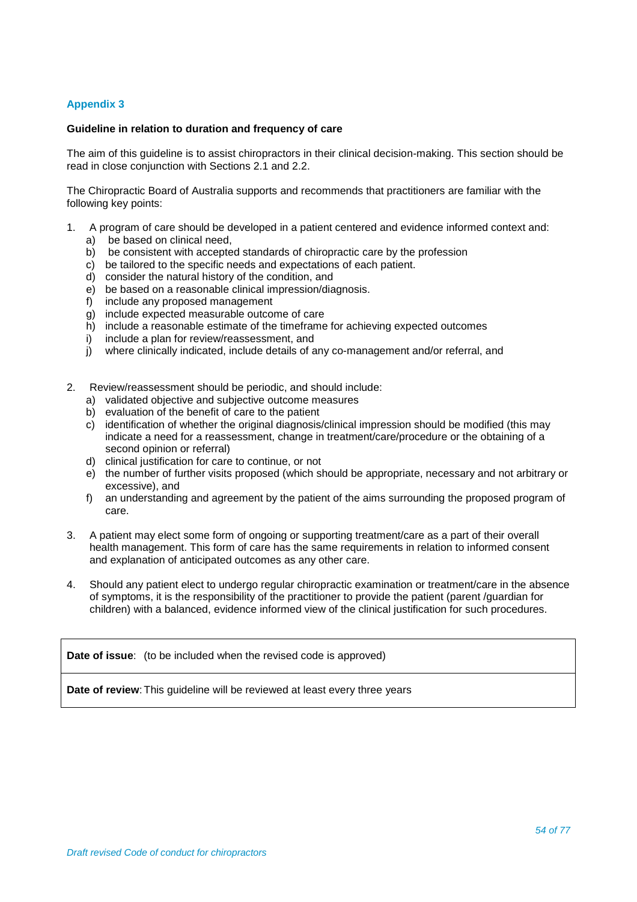# **Appendix 3**

#### **Guideline in relation to duration and frequency of care**

The aim of this guideline is to assist chiropractors in their clinical decision-making. This section should be read in close conjunction with Sections 2.1 and 2.2.

The Chiropractic Board of Australia supports and recommends that practitioners are familiar with the following key points:

- 1. A program of care should be developed in a patient centered and evidence informed context and: a) be based on clinical need.
	- b) be consistent with accepted standards of chiropractic care by the profession
	- c) be tailored to the specific needs and expectations of each patient.
	- d) consider the natural history of the condition, and
	- e) be based on a reasonable clinical impression/diagnosis.
	- f) include any proposed management
	- g) include expected measurable outcome of care
	- h) include a reasonable estimate of the timeframe for achieving expected outcomes
	- i) include a plan for review/reassessment, and<br>i) where clinically indicated, include details of a
	- where clinically indicated, include details of any co-management and/or referral, and
- 2. Review/reassessment should be periodic, and should include:
	- a) validated objective and subjective outcome measures
	- b) evaluation of the benefit of care to the patient
	- c) identification of whether the original diagnosis/clinical impression should be modified (this may indicate a need for a reassessment, change in treatment/care/procedure or the obtaining of a second opinion or referral)
	- d) clinical justification for care to continue, or not
	- e) the number of further visits proposed (which should be appropriate, necessary and not arbitrary or excessive), and
	- f) an understanding and agreement by the patient of the aims surrounding the proposed program of care.
- 3. A patient may elect some form of ongoing or supporting treatment/care as a part of their overall health management. This form of care has the same requirements in relation to informed consent and explanation of anticipated outcomes as any other care.
- 4. Should any patient elect to undergo regular chiropractic examination or treatment/care in the absence of symptoms, it is the responsibility of the practitioner to provide the patient (parent /guardian for children) with a balanced, evidence informed view of the clinical justification for such procedures.

**Date of issue:** (to be included when the revised code is approved)

**Date of review:** This guideline will be reviewed at least every three years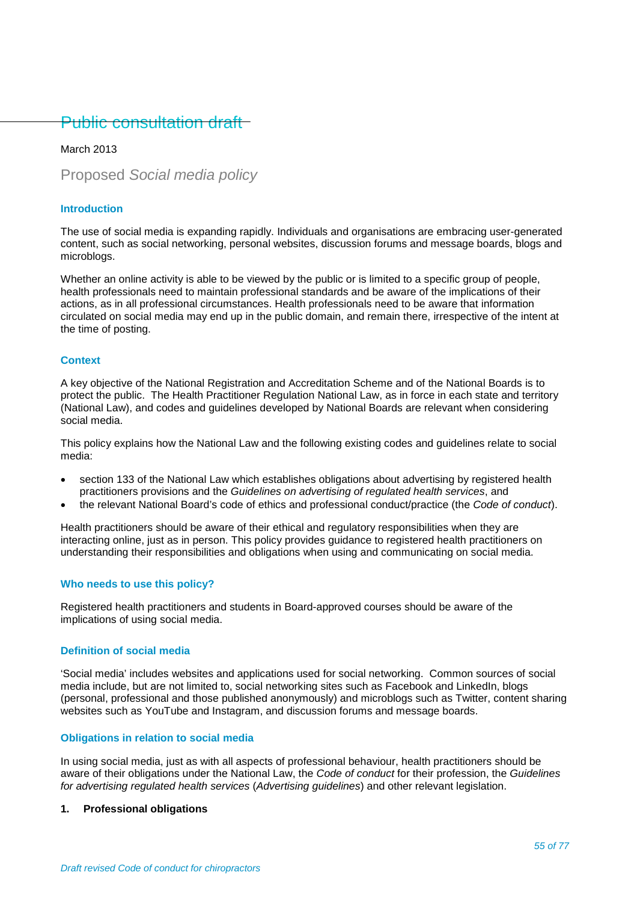# Public consultation draft

# March 2013

Proposed *Social media policy*

# **Introduction**

The use of social media is expanding rapidly. Individuals and organisations are embracing user-generated content, such as social networking, personal websites, discussion forums and message boards, blogs and microblogs.

Whether an online activity is able to be viewed by the public or is limited to a specific group of people, health professionals need to maintain professional standards and be aware of the implications of their actions, as in all professional circumstances. Health professionals need to be aware that information circulated on social media may end up in the public domain, and remain there, irrespective of the intent at the time of posting.

#### **Context**

A key objective of the National Registration and Accreditation Scheme and of the National Boards is to protect the public. The Health Practitioner Regulation National Law, as in force in each state and territory (National Law), and codes and guidelines developed by National Boards are relevant when considering social media.

This policy explains how the National Law and the following existing codes and guidelines relate to social media:

- section 133 of the National Law which establishes obligations about advertising by registered health practitioners provisions and the *Guidelines on advertising of regulated health services*, and
- the relevant National Board's code of ethics and professional conduct/practice (the *Code of conduct*).

Health practitioners should be aware of their ethical and regulatory responsibilities when they are interacting online, just as in person. This policy provides guidance to registered health practitioners on understanding their responsibilities and obligations when using and communicating on social media.

# **Who needs to use this policy?**

Registered health practitioners and students in Board-approved courses should be aware of the implications of using social media.

### **Definition of social media**

'Social media' includes websites and applications used for social networking. Common sources of social media include, but are not limited to, social networking sites such as Facebook and LinkedIn, blogs (personal, professional and those published anonymously) and microblogs such as Twitter, content sharing websites such as YouTube and Instagram, and discussion forums and message boards.

#### **Obligations in relation to social media**

In using social media, just as with all aspects of professional behaviour, health practitioners should be aware of their obligations under the National Law, the *Code of conduct* for their profession, the *Guidelines for advertising regulated health services* (*Advertising guidelines*) and other relevant legislation.

#### **1. Professional obligations**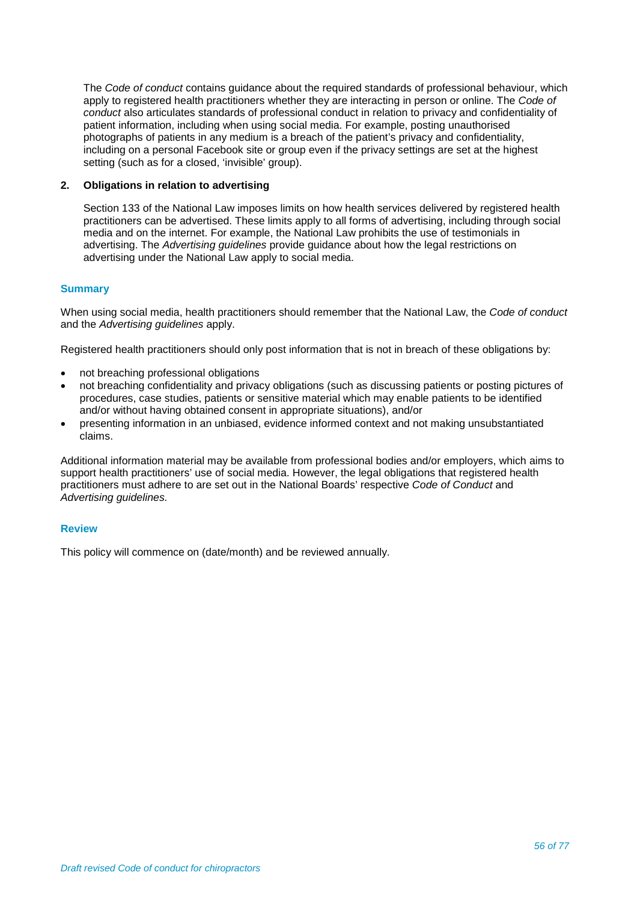The *Code of conduct* contains guidance about the required standards of professional behaviour, which apply to registered health practitioners whether they are interacting in person or online. The *Code of conduct* also articulates standards of professional conduct in relation to privacy and confidentiality of patient information, including when using social media. For example, posting unauthorised photographs of patients in any medium is a breach of the patient's privacy and confidentiality, including on a personal Facebook site or group even if the privacy settings are set at the highest setting (such as for a closed, 'invisible' group).

# **2. Obligations in relation to advertising**

Section 133 of the National Law imposes limits on how health services delivered by registered health practitioners can be advertised. These limits apply to all forms of advertising, including through social media and on the internet. For example, the National Law prohibits the use of testimonials in advertising. The *Advertising guidelines* provide guidance about how the legal restrictions on advertising under the National Law apply to social media.

# **Summary**

When using social media, health practitioners should remember that the National Law, the *Code of conduct* and the *Advertising guidelines* apply.

Registered health practitioners should only post information that is not in breach of these obligations by:

- not breaching professional obligations
- not breaching confidentiality and privacy obligations (such as discussing patients or posting pictures of procedures, case studies, patients or sensitive material which may enable patients to be identified and/or without having obtained consent in appropriate situations), and/or
- presenting information in an unbiased, evidence informed context and not making unsubstantiated claims.

Additional information material may be available from professional bodies and/or employers, which aims to support health practitioners' use of social media. However, the legal obligations that registered health practitioners must adhere to are set out in the National Boards' respective *Code of Conduct* and *Advertising guidelines.*

#### **Review**

This policy will commence on (date/month) and be reviewed annually.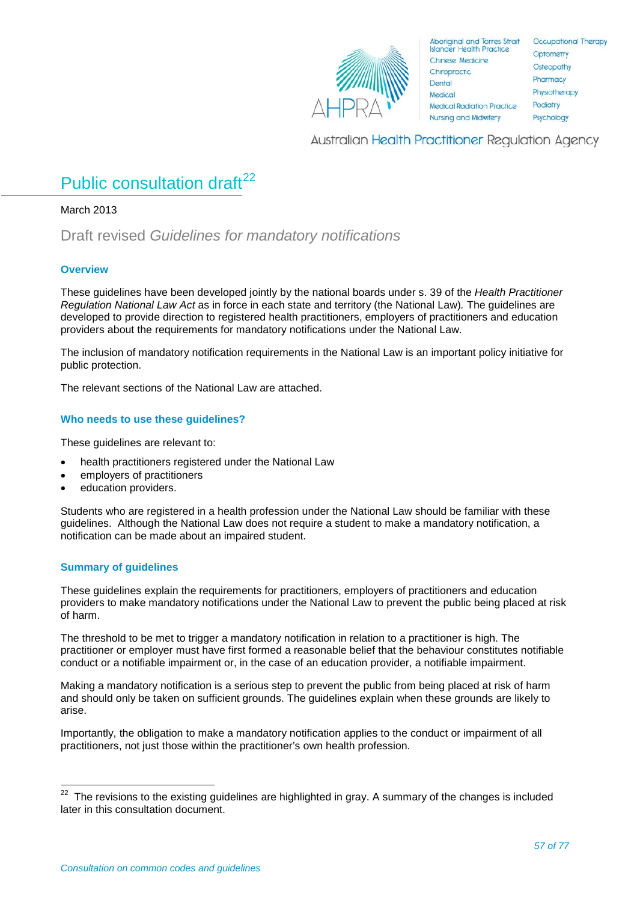

Australian Health Practitioner Regulation Agency

# Public consultation draft<sup>[22](#page-56-0)</sup>

March 2013

Draft revised *Guidelines for mandatory notifications*

# **Overview**

These guidelines have been developed jointly by the national boards under s. 39 of the *Health Practitioner Regulation National Law Act* as in force in each state and territory (the National Law)*.* The guidelines are developed to provide direction to registered health practitioners, employers of practitioners and education providers about the requirements for mandatory notifications under the National Law.

The inclusion of mandatory notification requirements in the National Law is an important policy initiative for public protection.

The relevant sections of the National Law are attached.

# **Who needs to use these guidelines?**

These guidelines are relevant to:

- health practitioners registered under the National Law
- employers of practitioners
- education providers.

Students who are registered in a health profession under the National Law should be familiar with these guidelines. Although the National Law does not require a student to make a mandatory notification, a notification can be made about an impaired student.

# **Summary of guidelines**

These guidelines explain the requirements for practitioners, employers of practitioners and education providers to make mandatory notifications under the National Law to prevent the public being placed at risk of harm.

The threshold to be met to trigger a mandatory notification in relation to a practitioner is high. The practitioner or employer must have first formed a reasonable belief that the behaviour constitutes notifiable conduct or a notifiable impairment or, in the case of an education provider, a notifiable impairment.

Making a mandatory notification is a serious step to prevent the public from being placed at risk of harm and should only be taken on sufficient grounds. The guidelines explain when these grounds are likely to arise.

Importantly, the obligation to make a mandatory notification applies to the conduct or impairment of all practitioners, not just those within the practitioner's own health profession.

<span id="page-56-0"></span>The revisions to the existing guidelines are highlighted in gray. A summary of the changes is included later in this consultation document.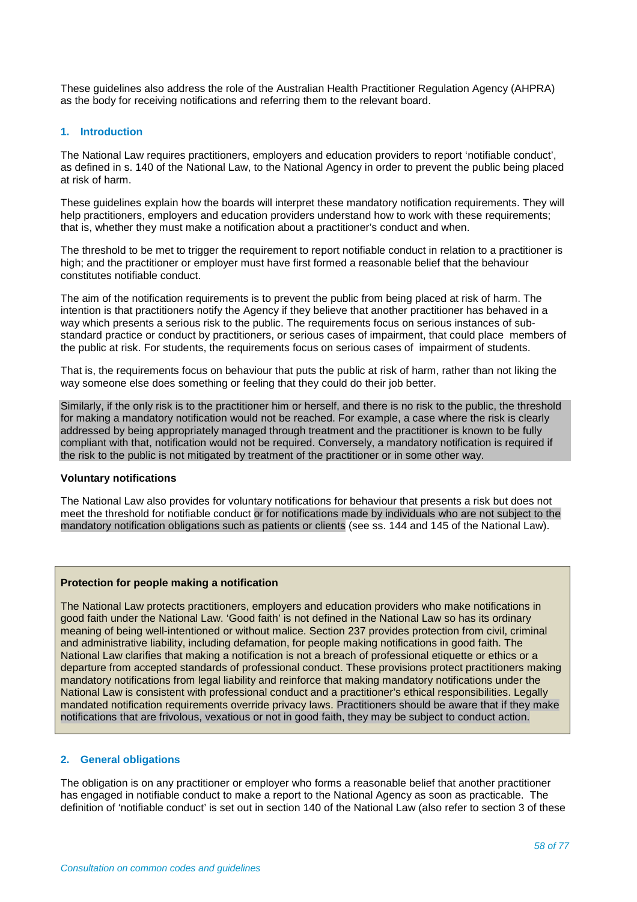These guidelines also address the role of the Australian Health Practitioner Regulation Agency (AHPRA) as the body for receiving notifications and referring them to the relevant board.

#### **1. Introduction**

The National Law requires practitioners, employers and education providers to report 'notifiable conduct', as defined in s. 140 of the National Law, to the National Agency in order to prevent the public being placed at risk of harm.

These guidelines explain how the boards will interpret these mandatory notification requirements. They will help practitioners, employers and education providers understand how to work with these requirements; that is, whether they must make a notification about a practitioner's conduct and when.

The threshold to be met to trigger the requirement to report notifiable conduct in relation to a practitioner is high; and the practitioner or employer must have first formed a reasonable belief that the behaviour constitutes notifiable conduct.

The aim of the notification requirements is to prevent the public from being placed at risk of harm. The intention is that practitioners notify the Agency if they believe that another practitioner has behaved in a way which presents a serious risk to the public. The requirements focus on serious instances of substandard practice or conduct by practitioners, or serious cases of impairment, that could place members of the public at risk. For students, the requirements focus on serious cases of impairment of students.

That is, the requirements focus on behaviour that puts the public at risk of harm, rather than not liking the way someone else does something or feeling that they could do their job better.

Similarly, if the only risk is to the practitioner him or herself, and there is no risk to the public, the threshold for making a mandatory notification would not be reached. For example, a case where the risk is clearly addressed by being appropriately managed through treatment and the practitioner is known to be fully compliant with that, notification would not be required. Conversely, a mandatory notification is required if the risk to the public is not mitigated by treatment of the practitioner or in some other way.

#### **Voluntary notifications**

The National Law also provides for voluntary notifications for behaviour that presents a risk but does not meet the threshold for notifiable conduct or for notifications made by individuals who are not subject to the mandatory notification obligations such as patients or clients (see ss. 144 and 145 of the National Law).

#### **Protection for people making a notification**

The National Law protects practitioners, employers and education providers who make notifications in good faith under the National Law. 'Good faith' is not defined in the National Law so has its ordinary meaning of being well-intentioned or without malice. Section 237 provides protection from civil, criminal and administrative liability, including defamation, for people making notifications in good faith. The National Law clarifies that making a notification is not a breach of professional etiquette or ethics or a departure from accepted standards of professional conduct. These provisions protect practitioners making mandatory notifications from legal liability and reinforce that making mandatory notifications under the National Law is consistent with professional conduct and a practitioner's ethical responsibilities. Legally mandated notification requirements override privacy laws. Practitioners should be aware that if they make notifications that are frivolous, vexatious or not in good faith, they may be subject to conduct action.

#### **2. General obligations**

The obligation is on any practitioner or employer who forms a reasonable belief that another practitioner has engaged in notifiable conduct to make a report to the National Agency as soon as practicable. The definition of 'notifiable conduct' is set out in section 140 of the National Law (also refer to section 3 of these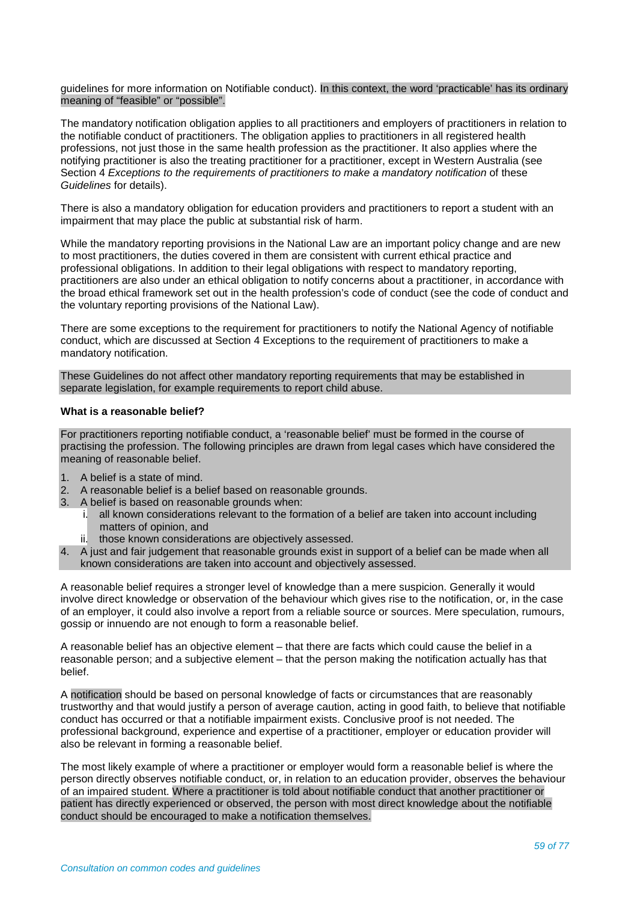guidelines for more information on Notifiable conduct). In this context, the word 'practicable' has its ordinary meaning of "feasible" or "possible".

The mandatory notification obligation applies to all practitioners and employers of practitioners in relation to the notifiable conduct of practitioners. The obligation applies to practitioners in all registered health professions, not just those in the same health profession as the practitioner. It also applies where the notifying practitioner is also the treating practitioner for a practitioner, except in Western Australia (see Section 4 *Exceptions to the requirements of practitioners to make a mandatory notification* of these *Guidelines* for details).

There is also a mandatory obligation for education providers and practitioners to report a student with an impairment that may place the public at substantial risk of harm.

While the mandatory reporting provisions in the National Law are an important policy change and are new to most practitioners, the duties covered in them are consistent with current ethical practice and professional obligations. In addition to their legal obligations with respect to mandatory reporting, practitioners are also under an ethical obligation to notify concerns about a practitioner, in accordance with the broad ethical framework set out in the health profession's code of conduct (see the code of conduct and the voluntary reporting provisions of the National Law).

There are some exceptions to the requirement for practitioners to notify the National Agency of notifiable conduct, which are discussed at Section 4 Exceptions to the requirement of practitioners to make a mandatory notification.

These Guidelines do not affect other mandatory reporting requirements that may be established in separate legislation, for example requirements to report child abuse.

#### **What is a reasonable belief?**

For practitioners reporting notifiable conduct, a 'reasonable belief' must be formed in the course of practising the profession. The following principles are drawn from legal cases which have considered the meaning of reasonable belief.

- 1. A belief is a state of mind.
- 2. A reasonable belief is a belief based on reasonable grounds.
- 3. A belief is based on reasonable grounds when:
	- i. all known considerations relevant to the formation of a belief are taken into account including matters of opinion, and
	- ii. those known considerations are objectively assessed.
- 4. A just and fair judgement that reasonable grounds exist in support of a belief can be made when all known considerations are taken into account and objectively assessed.

A reasonable belief requires a stronger level of knowledge than a mere suspicion. Generally it would involve direct knowledge or observation of the behaviour which gives rise to the notification, or, in the case of an employer, it could also involve a report from a reliable source or sources. Mere speculation, rumours, gossip or innuendo are not enough to form a reasonable belief.

A reasonable belief has an objective element – that there are facts which could cause the belief in a reasonable person; and a subjective element – that the person making the notification actually has that belief.

A notification should be based on personal knowledge of facts or circumstances that are reasonably trustworthy and that would justify a person of average caution, acting in good faith, to believe that notifiable conduct has occurred or that a notifiable impairment exists. Conclusive proof is not needed. The professional background, experience and expertise of a practitioner, employer or education provider will also be relevant in forming a reasonable belief.

The most likely example of where a practitioner or employer would form a reasonable belief is where the person directly observes notifiable conduct, or, in relation to an education provider, observes the behaviour of an impaired student. Where a practitioner is told about notifiable conduct that another practitioner or patient has directly experienced or observed, the person with most direct knowledge about the notifiable conduct should be encouraged to make a notification themselves.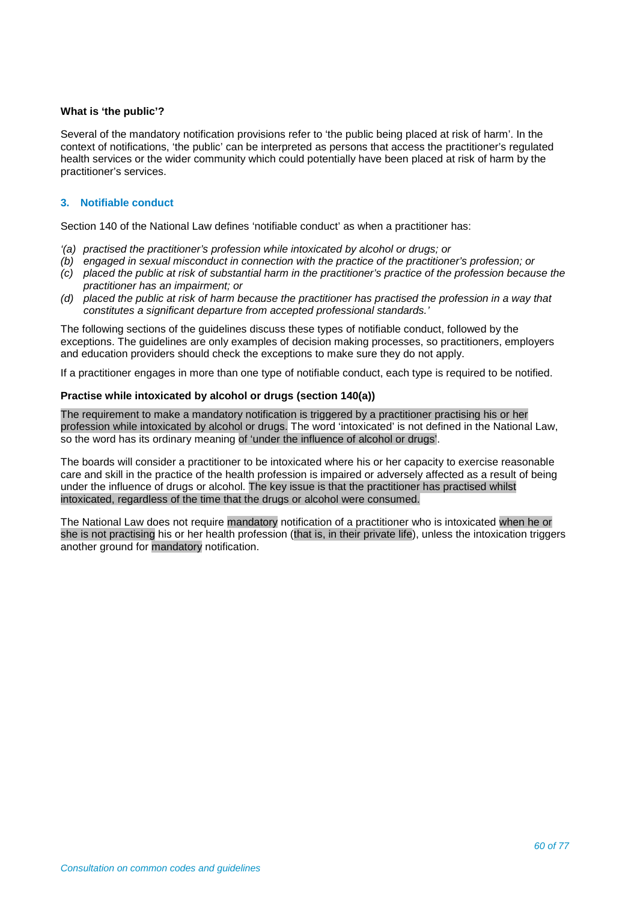# **What is 'the public'?**

Several of the mandatory notification provisions refer to 'the public being placed at risk of harm'. In the context of notifications, 'the public' can be interpreted as persons that access the practitioner's regulated health services or the wider community which could potentially have been placed at risk of harm by the practitioner's services.

# **3. Notifiable conduct**

Section 140 of the National Law defines 'notifiable conduct' as when a practitioner has:

- *'(a) practised the practitioner's profession while intoxicated by alcohol or drugs; or*
- *(b) engaged in sexual misconduct in connection with the practice of the practitioner's profession; or*
- *(c) placed the public at risk of substantial harm in the practitioner's practice of the profession because the practitioner has an impairment; or*
- *(d) placed the public at risk of harm because the practitioner has practised the profession in a way that constitutes a significant departure from accepted professional standards.'*

The following sections of the guidelines discuss these types of notifiable conduct, followed by the exceptions. The guidelines are only examples of decision making processes, so practitioners, employers and education providers should check the exceptions to make sure they do not apply.

If a practitioner engages in more than one type of notifiable conduct, each type is required to be notified.

# **Practise while intoxicated by alcohol or drugs (section 140(a))**

The requirement to make a mandatory notification is triggered by a practitioner practising his or her profession while intoxicated by alcohol or drugs. The word 'intoxicated' is not defined in the National Law, so the word has its ordinary meaning of 'under the influence of alcohol or drugs'.

The boards will consider a practitioner to be intoxicated where his or her capacity to exercise reasonable care and skill in the practice of the health profession is impaired or adversely affected as a result of being under the influence of drugs or alcohol. The key issue is that the practitioner has practised whilst intoxicated, regardless of the time that the drugs or alcohol were consumed.

The National Law does not require mandatory notification of a practitioner who is intoxicated when he or she is not practising his or her health profession (that is, in their private life), unless the intoxication triggers another ground for mandatory notification.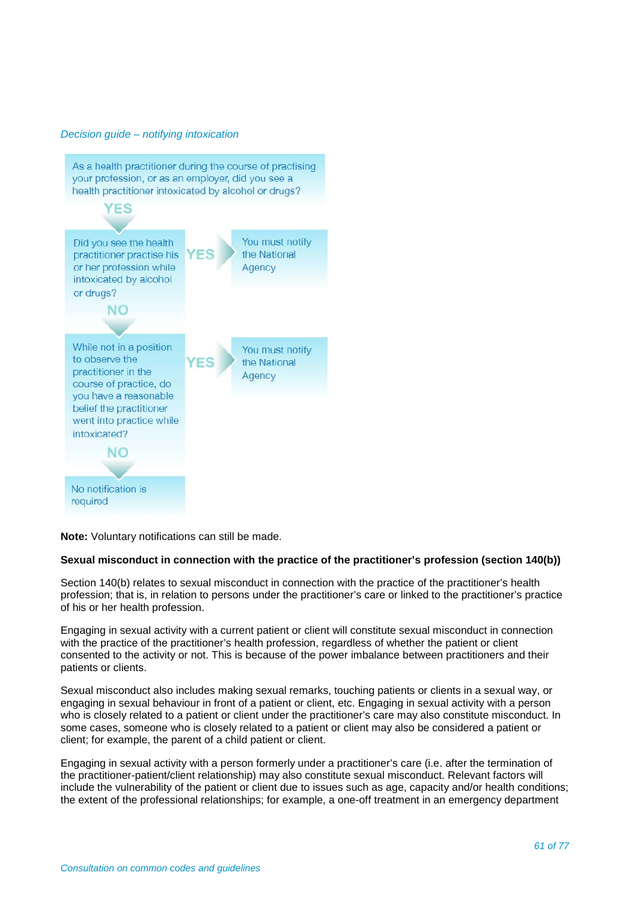#### *Decision guide – notifying intoxication*



**Note:** Voluntary notifications can still be made.

# **Sexual misconduct in connection with the practice of the practitioner's profession (section 140(b))**

Section 140(b) relates to sexual misconduct in connection with the practice of the practitioner's health profession; that is, in relation to persons under the practitioner's care or linked to the practitioner's practice of his or her health profession.

Engaging in sexual activity with a current patient or client will constitute sexual misconduct in connection with the practice of the practitioner's health profession, regardless of whether the patient or client consented to the activity or not. This is because of the power imbalance between practitioners and their patients or clients.

Sexual misconduct also includes making sexual remarks, touching patients or clients in a sexual way, or engaging in sexual behaviour in front of a patient or client, etc. Engaging in sexual activity with a person who is closely related to a patient or client under the practitioner's care may also constitute misconduct. In some cases, someone who is closely related to a patient or client may also be considered a patient or client; for example, the parent of a child patient or client.

Engaging in sexual activity with a person formerly under a practitioner's care (i.e. after the termination of the practitioner-patient/client relationship) may also constitute sexual misconduct. Relevant factors will include the vulnerability of the patient or client due to issues such as age, capacity and/or health conditions; the extent of the professional relationships; for example, a one-off treatment in an emergency department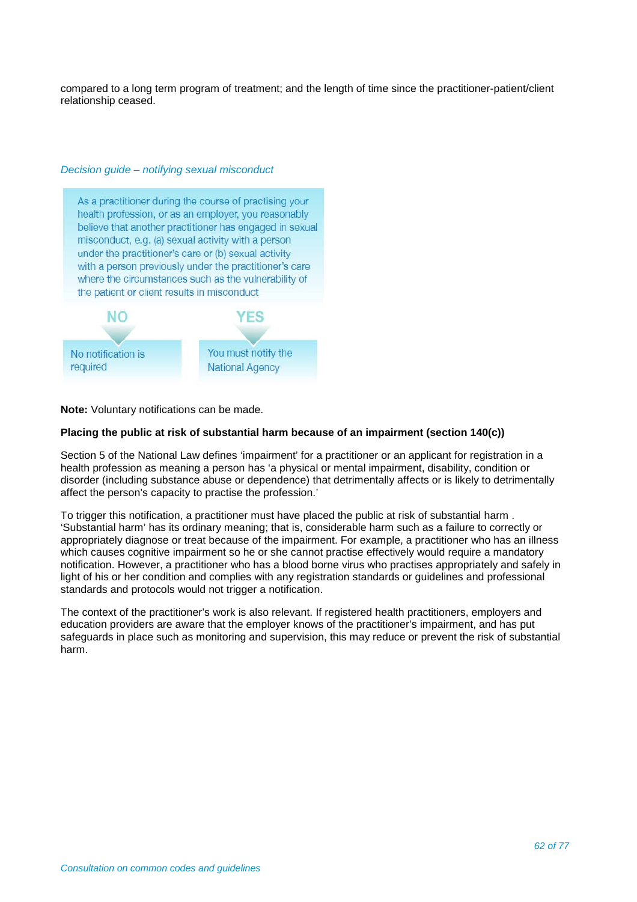compared to a long term program of treatment; and the length of time since the practitioner-patient/client relationship ceased.

# *Decision guide – notifying sexual misconduct*

As a practitioner during the course of practising your health profession, or as an employer, you reasonably believe that another practitioner has engaged in sexual misconduct, e.g. (a) sexual activity with a person under the practitioner's care or (b) sexual activity with a person previously under the practitioner's care where the circumstances such as the vulnerability of the patient or client results in misconduct



**Note:** Voluntary notifications can be made.

#### **Placing the public at risk of substantial harm because of an impairment (section 140(c))**

Section 5 of the National Law defines 'impairment' for a practitioner or an applicant for registration in a health profession as meaning a person has 'a physical or mental impairment, disability, condition or disorder (including substance abuse or dependence) that detrimentally affects or is likely to detrimentally affect the person's capacity to practise the profession.'

To trigger this notification, a practitioner must have placed the public at risk of substantial harm . 'Substantial harm' has its ordinary meaning; that is, considerable harm such as a failure to correctly or appropriately diagnose or treat because of the impairment. For example, a practitioner who has an illness which causes cognitive impairment so he or she cannot practise effectively would require a mandatory notification. However, a practitioner who has a blood borne virus who practises appropriately and safely in light of his or her condition and complies with any registration standards or guidelines and professional standards and protocols would not trigger a notification.

The context of the practitioner's work is also relevant. If registered health practitioners, employers and education providers are aware that the employer knows of the practitioner's impairment, and has put safeguards in place such as monitoring and supervision, this may reduce or prevent the risk of substantial harm.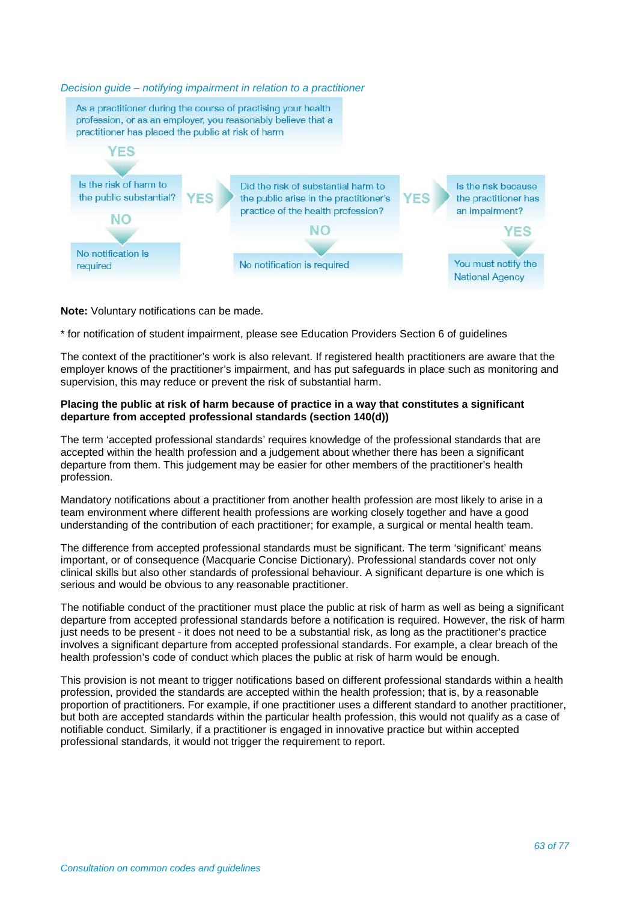

# **Note:** Voluntary notifications can be made.

\* for notification of student impairment, please see Education Providers Section 6 of guidelines

The context of the practitioner's work is also relevant. If registered health practitioners are aware that the employer knows of the practitioner's impairment, and has put safeguards in place such as monitoring and supervision, this may reduce or prevent the risk of substantial harm.

# **Placing the public at risk of harm because of practice in a way that constitutes a significant departure from accepted professional standards (section 140(d))**

The term 'accepted professional standards' requires knowledge of the professional standards that are accepted within the health profession and a judgement about whether there has been a significant departure from them. This judgement may be easier for other members of the practitioner's health profession.

Mandatory notifications about a practitioner from another health profession are most likely to arise in a team environment where different health professions are working closely together and have a good understanding of the contribution of each practitioner; for example, a surgical or mental health team.

The difference from accepted professional standards must be significant. The term 'significant' means important, or of consequence (Macquarie Concise Dictionary). Professional standards cover not only clinical skills but also other standards of professional behaviour. A significant departure is one which is serious and would be obvious to any reasonable practitioner.

The notifiable conduct of the practitioner must place the public at risk of harm as well as being a significant departure from accepted professional standards before a notification is required. However, the risk of harm just needs to be present - it does not need to be a substantial risk, as long as the practitioner's practice involves a significant departure from accepted professional standards. For example, a clear breach of the health profession's code of conduct which places the public at risk of harm would be enough.

This provision is not meant to trigger notifications based on different professional standards within a health profession, provided the standards are accepted within the health profession; that is, by a reasonable proportion of practitioners. For example, if one practitioner uses a different standard to another practitioner, but both are accepted standards within the particular health profession, this would not qualify as a case of notifiable conduct. Similarly, if a practitioner is engaged in innovative practice but within accepted professional standards, it would not trigger the requirement to report.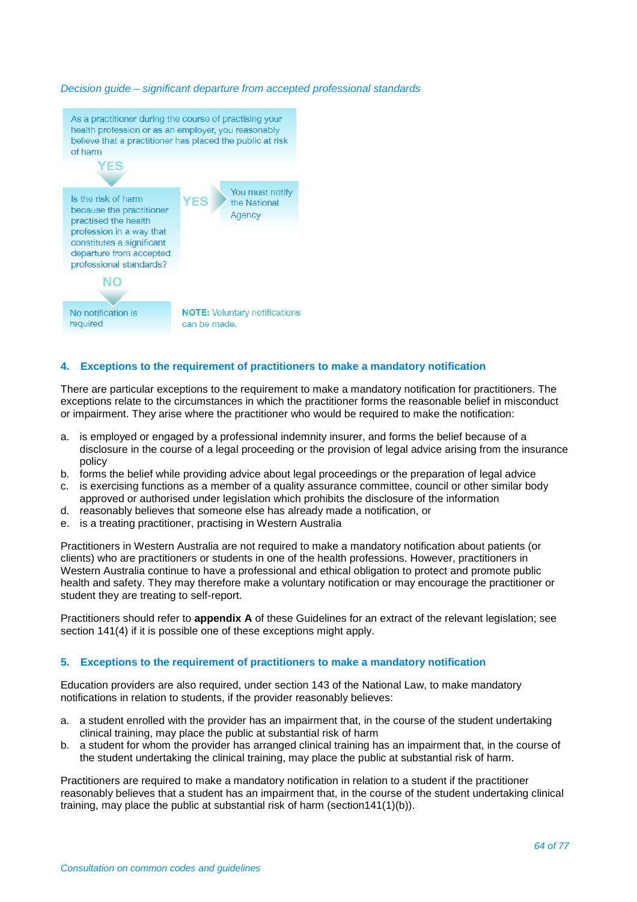#### *Decision guide – significant departure from accepted professional standards*



#### **4. Exceptions to the requirement of practitioners to make a mandatory notification**

There are particular exceptions to the requirement to make a mandatory notification for practitioners. The exceptions relate to the circumstances in which the practitioner forms the reasonable belief in misconduct or impairment. They arise where the practitioner who would be required to make the notification:

- a. is employed or engaged by a professional indemnity insurer, and forms the belief because of a disclosure in the course of a legal proceeding or the provision of legal advice arising from the insurance policy
- b. forms the belief while providing advice about legal proceedings or the preparation of legal advice
- c. is exercising functions as a member of a quality assurance committee, council or other similar body approved or authorised under legislation which prohibits the disclosure of the information
- d. reasonably believes that someone else has already made a notification, or
- e. is a treating practitioner, practising in Western Australia

Practitioners in Western Australia are not required to make a mandatory notification about patients (or clients) who are practitioners or students in one of the health professions. However, practitioners in Western Australia continue to have a professional and ethical obligation to protect and promote public health and safety. They may therefore make a voluntary notification or may encourage the practitioner or student they are treating to self-report.

Practitioners should refer to **appendix A** of these Guidelines for an extract of the relevant legislation; see section 141(4) if it is possible one of these exceptions might apply.

# **5. Exceptions to the requirement of practitioners to make a mandatory notification**

Education providers are also required, under section 143 of the National Law, to make mandatory notifications in relation to students, if the provider reasonably believes:

- a. a student enrolled with the provider has an impairment that, in the course of the student undertaking clinical training, may place the public at substantial risk of harm
- b. a student for whom the provider has arranged clinical training has an impairment that, in the course of the student undertaking the clinical training, may place the public at substantial risk of harm.

Practitioners are required to make a mandatory notification in relation to a student if the practitioner reasonably believes that a student has an impairment that, in the course of the student undertaking clinical training, may place the public at substantial risk of harm (section141(1)(b)).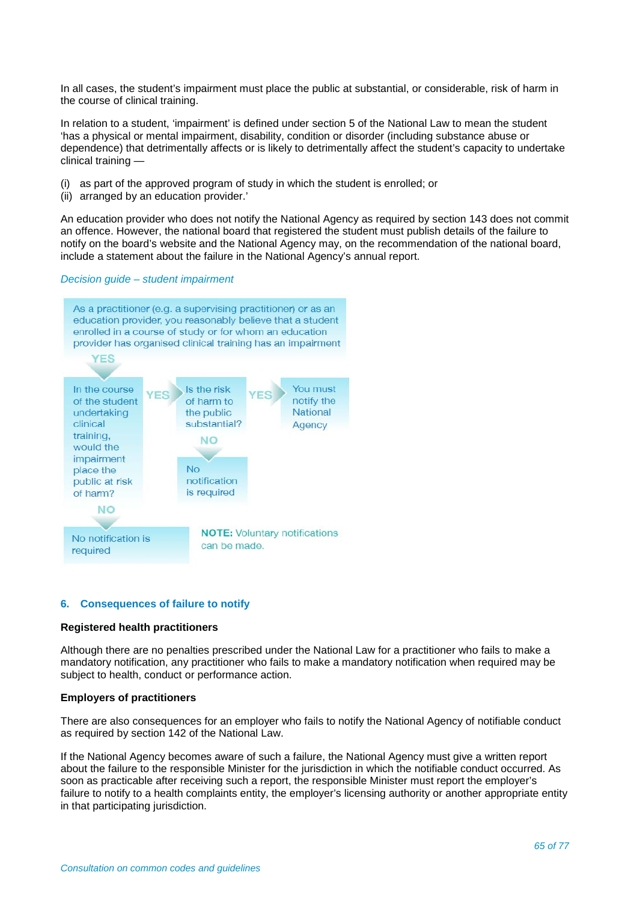In all cases, the student's impairment must place the public at substantial, or considerable, risk of harm in the course of clinical training.

In relation to a student, 'impairment' is defined under section 5 of the National Law to mean the student 'has a physical or mental impairment, disability, condition or disorder (including substance abuse or dependence) that detrimentally affects or is likely to detrimentally affect the student's capacity to undertake clinical training —

- (i) as part of the approved program of study in which the student is enrolled; or
- (ii) arranged by an education provider.'

An education provider who does not notify the National Agency as required by section 143 does not commit an offence. However, the national board that registered the student must publish details of the failure to notify on the board's website and the National Agency may, on the recommendation of the national board, include a statement about the failure in the National Agency's annual report.

#### *Decision guide – student impairment*



#### **6. Consequences of failure to notify**

#### **Registered health practitioners**

Although there are no penalties prescribed under the National Law for a practitioner who fails to make a mandatory notification, any practitioner who fails to make a mandatory notification when required may be subject to health, conduct or performance action.

# **Employers of practitioners**

There are also consequences for an employer who fails to notify the National Agency of notifiable conduct as required by section 142 of the National Law.

If the National Agency becomes aware of such a failure, the National Agency must give a written report about the failure to the responsible Minister for the jurisdiction in which the notifiable conduct occurred. As soon as practicable after receiving such a report, the responsible Minister must report the employer's failure to notify to a health complaints entity, the employer's licensing authority or another appropriate entity in that participating jurisdiction.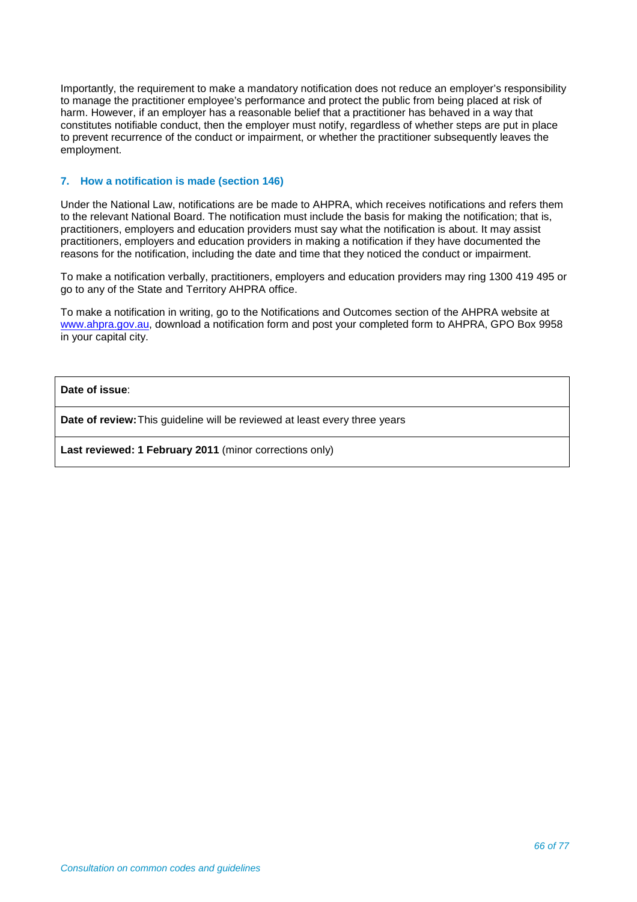Importantly, the requirement to make a mandatory notification does not reduce an employer's responsibility to manage the practitioner employee's performance and protect the public from being placed at risk of harm. However, if an employer has a reasonable belief that a practitioner has behaved in a way that constitutes notifiable conduct, then the employer must notify, regardless of whether steps are put in place to prevent recurrence of the conduct or impairment, or whether the practitioner subsequently leaves the employment.

# **7. How a notification is made (section 146)**

Under the National Law, notifications are be made to AHPRA, which receives notifications and refers them to the relevant National Board. The notification must include the basis for making the notification; that is, practitioners, employers and education providers must say what the notification is about. It may assist practitioners, employers and education providers in making a notification if they have documented the reasons for the notification, including the date and time that they noticed the conduct or impairment.

To make a notification verbally, practitioners, employers and education providers may ring 1300 419 495 or go to any of the State and Territory AHPRA office.

To make a notification in writing, go to the Notifications and Outcomes section of the AHPRA website at [www.ahpra.gov.au,](http://www.ahpra.gov.au/) download a notification form and post your completed form to AHPRA, GPO Box 9958 in your capital city.

**Date of issue**:

**Date of review:**This guideline will be reviewed at least every three years

**Last reviewed: 1 February 2011** (minor corrections only)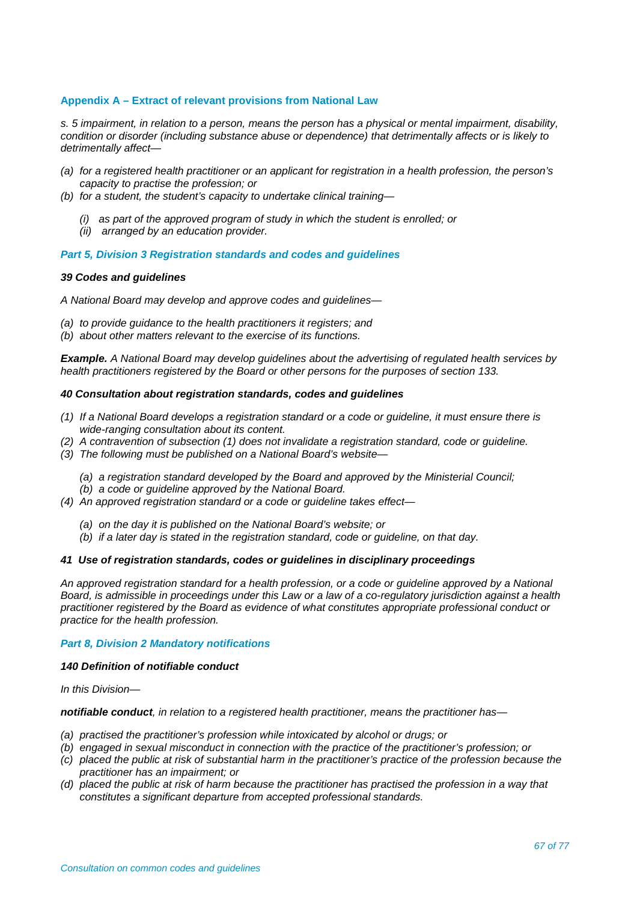# **Appendix A – Extract of relevant provisions from National Law**

*s. 5 impairment, in relation to a person, means the person has a physical or mental impairment, disability, condition or disorder (including substance abuse or dependence) that detrimentally affects or is likely to detrimentally affect—*

- *(a) for a registered health practitioner or an applicant for registration in a health profession, the person's capacity to practise the profession; or*
- *(b) for a student, the student's capacity to undertake clinical training—*
	- *(i) as part of the approved program of study in which the student is enrolled; or*
	- *(ii) arranged by an education provider.*

#### *Part 5, Division 3 Registration standards and codes and guidelines*

#### *39 Codes and guidelines*

*A National Board may develop and approve codes and guidelines—*

- *(a) to provide guidance to the health practitioners it registers; and*
- *(b) about other matters relevant to the exercise of its functions.*

*Example. A National Board may develop guidelines about the advertising of regulated health services by health practitioners registered by the Board or other persons for the purposes of section 133.*

#### *40 Consultation about registration standards, codes and guidelines*

- *(1) If a National Board develops a registration standard or a code or guideline, it must ensure there is wide-ranging consultation about its content.*
- *(2) A contravention of subsection (1) does not invalidate a registration standard, code or guideline.*
- *(3) The following must be published on a National Board's website—*
	- *(a) a registration standard developed by the Board and approved by the Ministerial Council;*
	- *(b) a code or guideline approved by the National Board.*
- *(4) An approved registration standard or a code or guideline takes effect—*
	- *(a) on the day it is published on the National Board's website; or*
	- *(b) if a later day is stated in the registration standard, code or guideline, on that day.*

#### *41 Use of registration standards, codes or guidelines in disciplinary proceedings*

*An approved registration standard for a health profession, or a code or guideline approved by a National Board, is admissible in proceedings under this Law or a law of a co-regulatory jurisdiction against a health practitioner registered by the Board as evidence of what constitutes appropriate professional conduct or practice for the health profession.*

#### *Part 8, Division 2 Mandatory notifications*

#### *140 Definition of notifiable conduct*

*In this Division—*

#### *notifiable conduct, in relation to a registered health practitioner, means the practitioner has—*

- *(a) practised the practitioner's profession while intoxicated by alcohol or drugs; or*
- *(b) engaged in sexual misconduct in connection with the practice of the practitioner's profession; or*
- *(c) placed the public at risk of substantial harm in the practitioner's practice of the profession because the practitioner has an impairment; or*
- *(d) placed the public at risk of harm because the practitioner has practised the profession in a way that constitutes a significant departure from accepted professional standards.*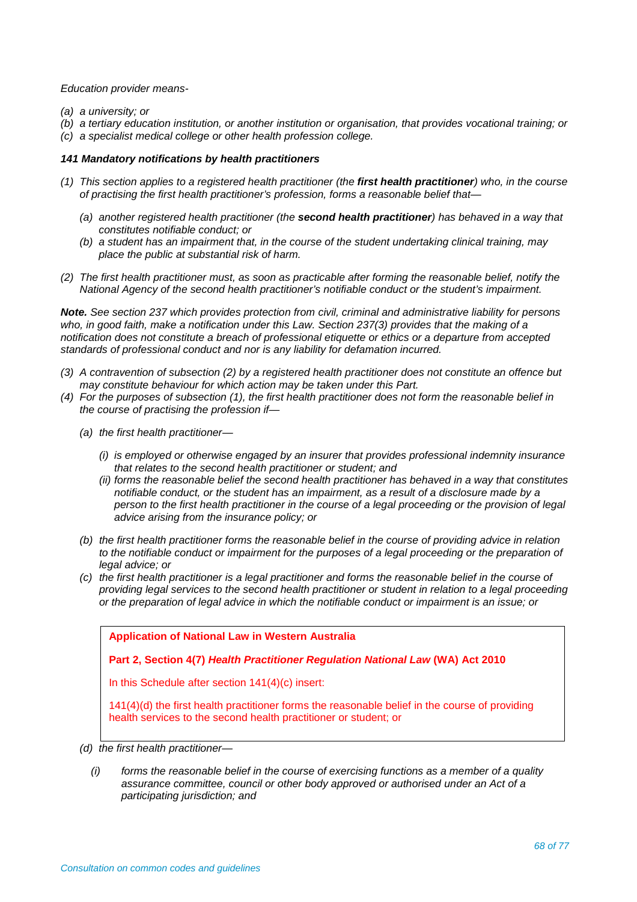*Education provider means-*

- *(a) a university; or*
- *(b) a tertiary education institution, or another institution or organisation, that provides vocational training; or*
- *(c) a specialist medical college or other health profession college.*

#### *141 Mandatory notifications by health practitioners*

- *(1) This section applies to a registered health practitioner (the first health practitioner) who, in the course of practising the first health practitioner's profession, forms a reasonable belief that—*
	- *(a) another registered health practitioner (the second health practitioner) has behaved in a way that constitutes notifiable conduct; or*
	- *(b) a student has an impairment that, in the course of the student undertaking clinical training, may place the public at substantial risk of harm.*
- *(2) The first health practitioner must, as soon as practicable after forming the reasonable belief, notify the National Agency of the second health practitioner's notifiable conduct or the student's impairment.*

*Note. See section 237 which provides protection from civil, criminal and administrative liability for persons who, in good faith, make a notification under this Law. Section 237(3) provides that the making of a notification does not constitute a breach of professional etiquette or ethics or a departure from accepted standards of professional conduct and nor is any liability for defamation incurred.*

- *(3) A contravention of subsection (2) by a registered health practitioner does not constitute an offence but may constitute behaviour for which action may be taken under this Part.*
- *(4) For the purposes of subsection (1), the first health practitioner does not form the reasonable belief in the course of practising the profession if—*
	- *(a) the first health practitioner—*
		- *(i) is employed or otherwise engaged by an insurer that provides professional indemnity insurance that relates to the second health practitioner or student; and*
		- *(ii) forms the reasonable belief the second health practitioner has behaved in a way that constitutes notifiable conduct, or the student has an impairment, as a result of a disclosure made by a person to the first health practitioner in the course of a legal proceeding or the provision of legal advice arising from the insurance policy; or*
	- *(b) the first health practitioner forms the reasonable belief in the course of providing advice in relation to the notifiable conduct or impairment for the purposes of a legal proceeding or the preparation of legal advice; or*
	- *(c) the first health practitioner is a legal practitioner and forms the reasonable belief in the course of providing legal services to the second health practitioner or student in relation to a legal proceeding or the preparation of legal advice in which the notifiable conduct or impairment is an issue; or*

**Application of National Law in Western Australia**

**Part 2, Section 4(7)** *Health Practitioner Regulation National Law* **(WA) Act 2010** 

In this Schedule after section 141(4)(c) insert:

141(4)(d) the first health practitioner forms the reasonable belief in the course of providing health services to the second health practitioner or student; or

- *(d) the first health practitioner—*
	- *(i) forms the reasonable belief in the course of exercising functions as a member of a quality assurance committee, council or other body approved or authorised under an Act of a participating jurisdiction; and*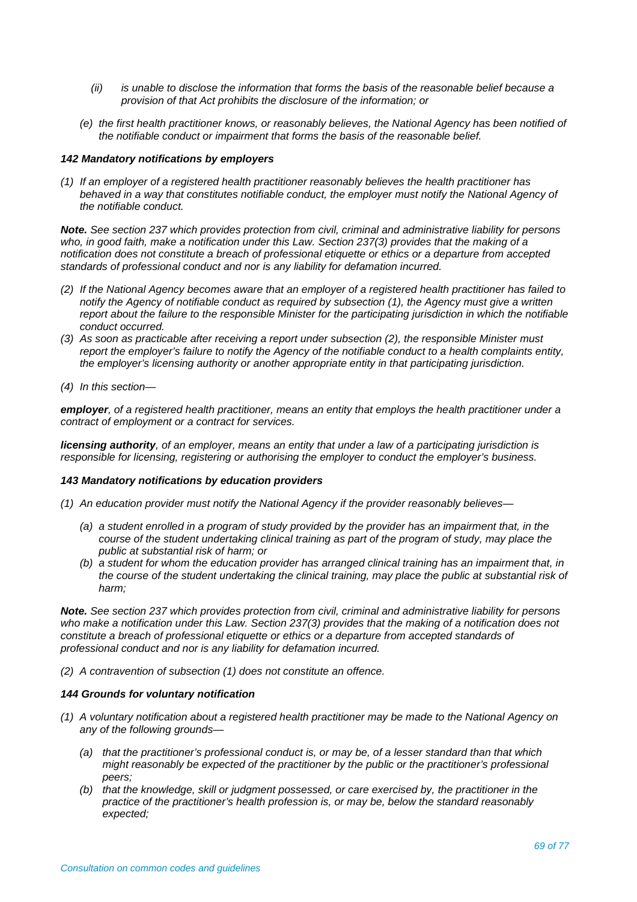- *(ii) is unable to disclose the information that forms the basis of the reasonable belief because a provision of that Act prohibits the disclosure of the information; or*
- *(e) the first health practitioner knows, or reasonably believes, the National Agency has been notified of the notifiable conduct or impairment that forms the basis of the reasonable belief.*

#### *142 Mandatory notifications by employers*

*(1) If an employer of a registered health practitioner reasonably believes the health practitioner has*  behaved in a way that constitutes notifiable conduct, the employer must notify the National Agency of *the notifiable conduct.*

*Note. See section 237 which provides protection from civil, criminal and administrative liability for persons who, in good faith, make a notification under this Law. Section 237(3) provides that the making of a notification does not constitute a breach of professional etiquette or ethics or a departure from accepted standards of professional conduct and nor is any liability for defamation incurred.*

- *(2) If the National Agency becomes aware that an employer of a registered health practitioner has failed to notify the Agency of notifiable conduct as required by subsection (1), the Agency must give a written report about the failure to the responsible Minister for the participating jurisdiction in which the notifiable conduct occurred.*
- *(3) As soon as practicable after receiving a report under subsection (2), the responsible Minister must report the employer's failure to notify the Agency of the notifiable conduct to a health complaints entity, the employer's licensing authority or another appropriate entity in that participating jurisdiction.*
- *(4) In this section—*

*employer, of a registered health practitioner, means an entity that employs the health practitioner under a contract of employment or a contract for services.*

*licensing authority, of an employer, means an entity that under a law of a participating jurisdiction is responsible for licensing, registering or authorising the employer to conduct the employer's business.*

#### *143 Mandatory notifications by education providers*

- *(1) An education provider must notify the National Agency if the provider reasonably believes—*
	- *(a) a student enrolled in a program of study provided by the provider has an impairment that, in the course of the student undertaking clinical training as part of the program of study, may place the public at substantial risk of harm; or*
	- *(b) a student for whom the education provider has arranged clinical training has an impairment that, in the course of the student undertaking the clinical training, may place the public at substantial risk of harm;*

*Note. See section 237 which provides protection from civil, criminal and administrative liability for persons who make a notification under this Law. Section 237(3) provides that the making of a notification does not constitute a breach of professional etiquette or ethics or a departure from accepted standards of professional conduct and nor is any liability for defamation incurred.*

*(2) A contravention of subsection (1) does not constitute an offence.*

#### *144 Grounds for voluntary notification*

- *(1) A voluntary notification about a registered health practitioner may be made to the National Agency on any of the following grounds—*
	- *(a) that the practitioner's professional conduct is, or may be, of a lesser standard than that which might reasonably be expected of the practitioner by the public or the practitioner's professional peers;*
	- *(b) that the knowledge, skill or judgment possessed, or care exercised by, the practitioner in the practice of the practitioner's health profession is, or may be, below the standard reasonably expected;*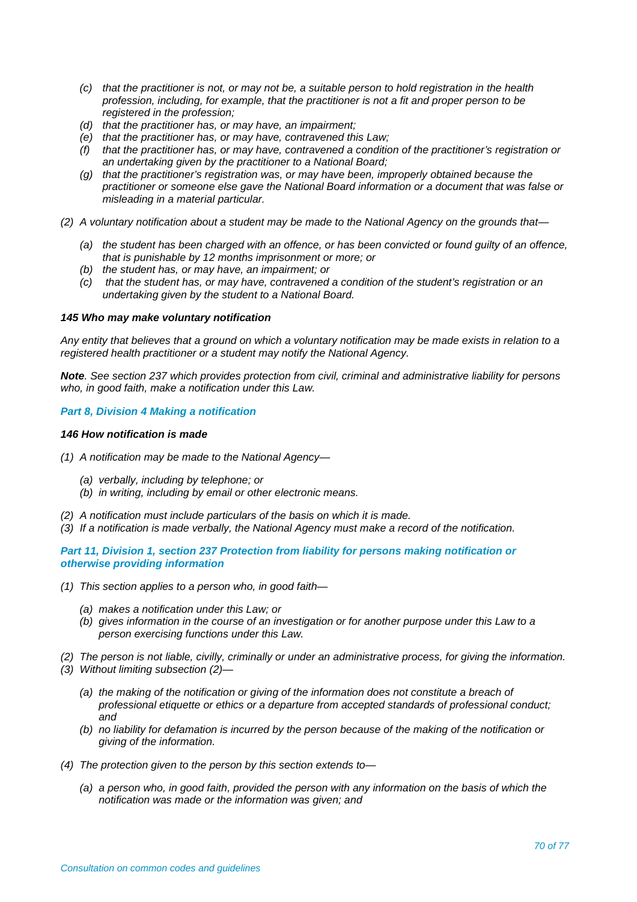- *(c) that the practitioner is not, or may not be, a suitable person to hold registration in the health profession, including, for example, that the practitioner is not a fit and proper person to be registered in the profession;*
- *(d) that the practitioner has, or may have, an impairment;*
- *(e) that the practitioner has, or may have, contravened this Law;*
- *(f) that the practitioner has, or may have, contravened a condition of the practitioner's registration or an undertaking given by the practitioner to a National Board;*
- *(g) that the practitioner's registration was, or may have been, improperly obtained because the practitioner or someone else gave the National Board information or a document that was false or misleading in a material particular.*
- *(2) A voluntary notification about a student may be made to the National Agency on the grounds that—*
	- *(a) the student has been charged with an offence, or has been convicted or found guilty of an offence, that is punishable by 12 months imprisonment or more; or*
	- *(b) the student has, or may have, an impairment; or*
	- *(c) that the student has, or may have, contravened a condition of the student's registration or an undertaking given by the student to a National Board.*

#### *145 Who may make voluntary notification*

*Any entity that believes that a ground on which a voluntary notification may be made exists in relation to a registered health practitioner or a student may notify the National Agency.*

*Note. See section 237 which provides protection from civil, criminal and administrative liability for persons who, in good faith, make a notification under this Law.*

#### *Part 8, Division 4 Making a notification*

#### *146 How notification is made*

- *(1) A notification may be made to the National Agency—*
	- *(a) verbally, including by telephone; or*
	- *(b) in writing, including by email or other electronic means.*
- *(2) A notification must include particulars of the basis on which it is made.*
- *(3) If a notification is made verbally, the National Agency must make a record of the notification.*

*Part 11, Division 1, section 237 Protection from liability for persons making notification or otherwise providing information*

- *(1) This section applies to a person who, in good faith—*
	- *(a) makes a notification under this Law; or*
	- *(b) gives information in the course of an investigation or for another purpose under this Law to a person exercising functions under this Law.*
- *(2) The person is not liable, civilly, criminally or under an administrative process, for giving the information.*
- *(3) Without limiting subsection (2)—*
	- *(a) the making of the notification or giving of the information does not constitute a breach of professional etiquette or ethics or a departure from accepted standards of professional conduct; and*
	- *(b) no liability for defamation is incurred by the person because of the making of the notification or giving of the information.*
- *(4) The protection given to the person by this section extends to—*
	- *(a) a person who, in good faith, provided the person with any information on the basis of which the notification was made or the information was given; and*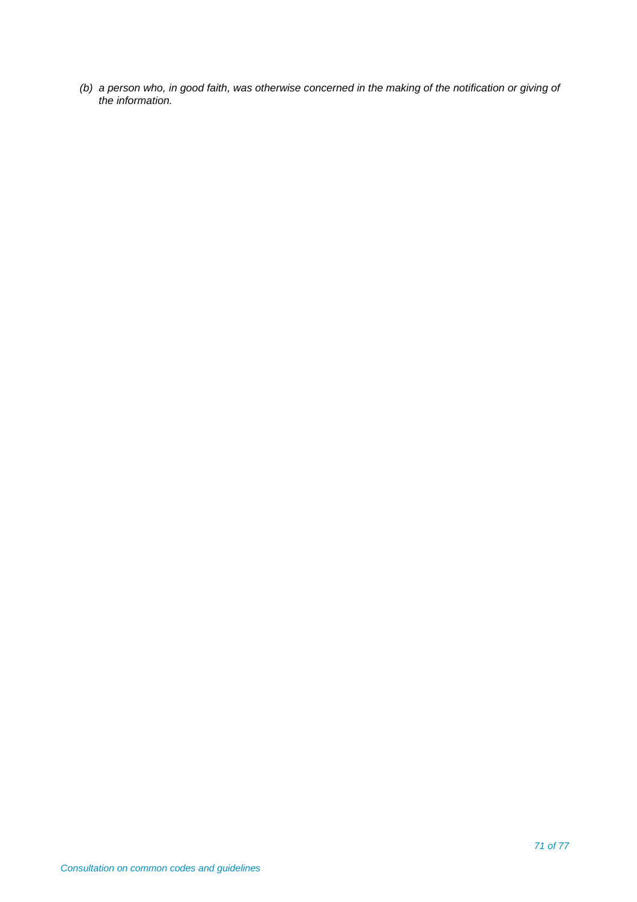*(b) a person who, in good faith, was otherwise concerned in the making of the notification or giving of the information.*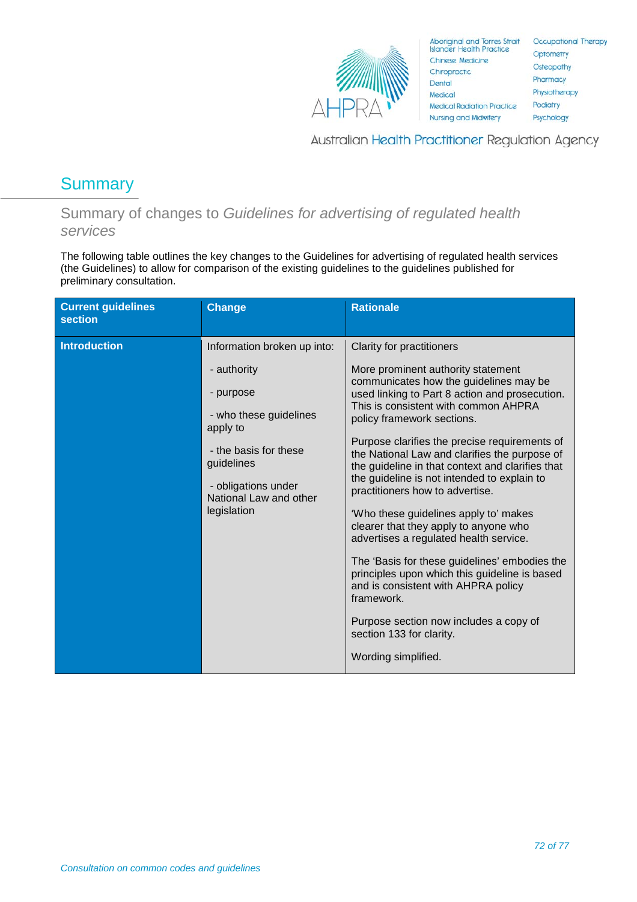

Australian Health Practitioner Regulation Agency

# **Summary**

Summary of changes to *Guidelines for advertising of regulated health services* 

The following table outlines the key changes to the Guidelines for advertising of regulated health services (the Guidelines) to allow for comparison of the existing guidelines to the guidelines published for preliminary consultation.

| <b>Current guidelines</b><br><b>section</b> | <b>Change</b>                                                                                                                                                         | <b>Rationale</b>                                                                                                                                                                                                                                                                                                                                                                                                                                                                                                                                                                                                                                                                                                                                                                                                             |
|---------------------------------------------|-----------------------------------------------------------------------------------------------------------------------------------------------------------------------|------------------------------------------------------------------------------------------------------------------------------------------------------------------------------------------------------------------------------------------------------------------------------------------------------------------------------------------------------------------------------------------------------------------------------------------------------------------------------------------------------------------------------------------------------------------------------------------------------------------------------------------------------------------------------------------------------------------------------------------------------------------------------------------------------------------------------|
| <b>Introduction</b>                         | Information broken up into:                                                                                                                                           | Clarity for practitioners                                                                                                                                                                                                                                                                                                                                                                                                                                                                                                                                                                                                                                                                                                                                                                                                    |
|                                             | - authority<br>- purpose<br>- who these guidelines<br>apply to<br>- the basis for these<br>guidelines<br>- obligations under<br>National Law and other<br>legislation | More prominent authority statement<br>communicates how the guidelines may be<br>used linking to Part 8 action and prosecution.<br>This is consistent with common AHPRA<br>policy framework sections.<br>Purpose clarifies the precise requirements of<br>the National Law and clarifies the purpose of<br>the guideline in that context and clarifies that<br>the guideline is not intended to explain to<br>practitioners how to advertise.<br>'Who these guidelines apply to' makes<br>clearer that they apply to anyone who<br>advertises a regulated health service.<br>The 'Basis for these guidelines' embodies the<br>principles upon which this guideline is based<br>and is consistent with AHPRA policy<br>framework.<br>Purpose section now includes a copy of<br>section 133 for clarity.<br>Wording simplified. |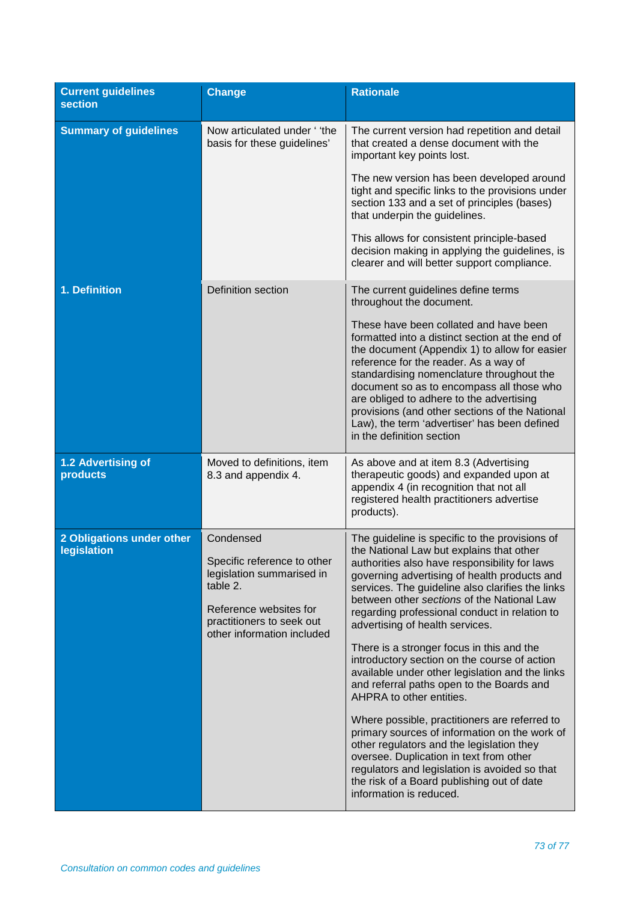| <b>Current guidelines</b><br><b>section</b> | <b>Change</b>                                                                                                                                                          | <b>Rationale</b>                                                                                                                                                                                                                                                                                                                                                                                                                                                                                                                                                                                                                                                                                                                                                                                                                                                                                                               |
|---------------------------------------------|------------------------------------------------------------------------------------------------------------------------------------------------------------------------|--------------------------------------------------------------------------------------------------------------------------------------------------------------------------------------------------------------------------------------------------------------------------------------------------------------------------------------------------------------------------------------------------------------------------------------------------------------------------------------------------------------------------------------------------------------------------------------------------------------------------------------------------------------------------------------------------------------------------------------------------------------------------------------------------------------------------------------------------------------------------------------------------------------------------------|
| <b>Summary of guidelines</b>                | Now articulated under 'the<br>basis for these guidelines'                                                                                                              | The current version had repetition and detail<br>that created a dense document with the<br>important key points lost.                                                                                                                                                                                                                                                                                                                                                                                                                                                                                                                                                                                                                                                                                                                                                                                                          |
|                                             |                                                                                                                                                                        | The new version has been developed around<br>tight and specific links to the provisions under<br>section 133 and a set of principles (bases)<br>that underpin the guidelines.                                                                                                                                                                                                                                                                                                                                                                                                                                                                                                                                                                                                                                                                                                                                                  |
|                                             |                                                                                                                                                                        | This allows for consistent principle-based<br>decision making in applying the guidelines, is<br>clearer and will better support compliance.                                                                                                                                                                                                                                                                                                                                                                                                                                                                                                                                                                                                                                                                                                                                                                                    |
| 1. Definition                               | Definition section                                                                                                                                                     | The current guidelines define terms<br>throughout the document.                                                                                                                                                                                                                                                                                                                                                                                                                                                                                                                                                                                                                                                                                                                                                                                                                                                                |
|                                             |                                                                                                                                                                        | These have been collated and have been<br>formatted into a distinct section at the end of<br>the document (Appendix 1) to allow for easier<br>reference for the reader. As a way of<br>standardising nomenclature throughout the<br>document so as to encompass all those who<br>are obliged to adhere to the advertising<br>provisions (and other sections of the National<br>Law), the term 'advertiser' has been defined<br>in the definition section                                                                                                                                                                                                                                                                                                                                                                                                                                                                       |
| 1.2 Advertising of<br>products              | Moved to definitions, item<br>8.3 and appendix 4.                                                                                                                      | As above and at item 8.3 (Advertising<br>therapeutic goods) and expanded upon at<br>appendix 4 (in recognition that not all<br>registered health practitioners advertise<br>products).                                                                                                                                                                                                                                                                                                                                                                                                                                                                                                                                                                                                                                                                                                                                         |
| 2 Obligations under other<br>legislation    | Condensed<br>Specific reference to other<br>legislation summarised in<br>table 2.<br>Reference websites for<br>practitioners to seek out<br>other information included | The guideline is specific to the provisions of<br>the National Law but explains that other<br>authorities also have responsibility for laws<br>governing advertising of health products and<br>services. The guideline also clarifies the links<br>between other sections of the National Law<br>regarding professional conduct in relation to<br>advertising of health services.<br>There is a stronger focus in this and the<br>introductory section on the course of action<br>available under other legislation and the links<br>and referral paths open to the Boards and<br>AHPRA to other entities.<br>Where possible, practitioners are referred to<br>primary sources of information on the work of<br>other regulators and the legislation they<br>oversee. Duplication in text from other<br>regulators and legislation is avoided so that<br>the risk of a Board publishing out of date<br>information is reduced. |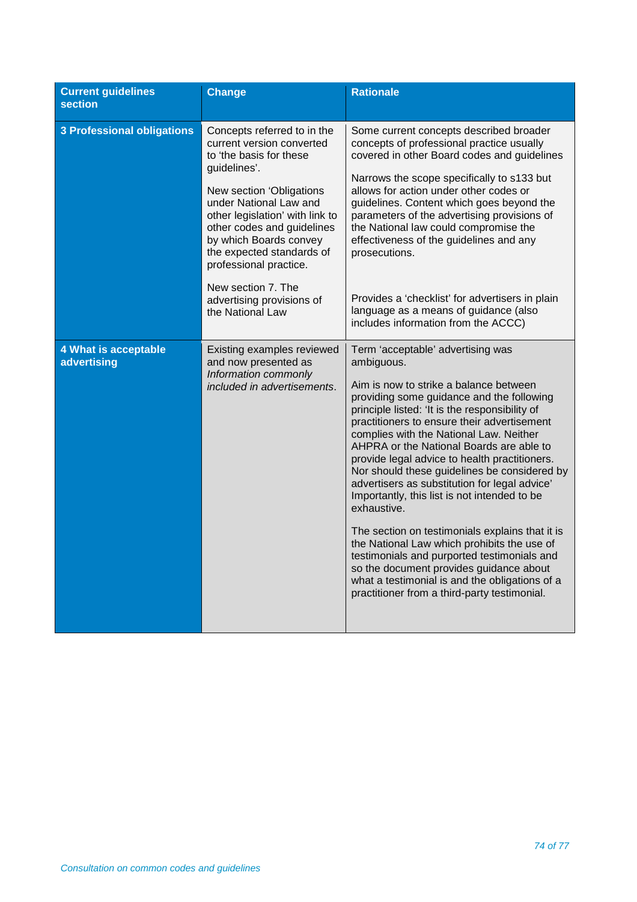| <b>Current guidelines</b><br><b>section</b> | <b>Change</b>                                                                                                                                                                                                                                                                                               | <b>Rationale</b>                                                                                                                                                                                                                                                                                                                                                                                                                                                                                                                                                                                                                                                                                                                                                                                                                              |
|---------------------------------------------|-------------------------------------------------------------------------------------------------------------------------------------------------------------------------------------------------------------------------------------------------------------------------------------------------------------|-----------------------------------------------------------------------------------------------------------------------------------------------------------------------------------------------------------------------------------------------------------------------------------------------------------------------------------------------------------------------------------------------------------------------------------------------------------------------------------------------------------------------------------------------------------------------------------------------------------------------------------------------------------------------------------------------------------------------------------------------------------------------------------------------------------------------------------------------|
| <b>3 Professional obligations</b>           | Concepts referred to in the<br>current version converted<br>to 'the basis for these<br>guidelines'.<br>New section 'Obligations<br>under National Law and<br>other legislation' with link to<br>other codes and guidelines<br>by which Boards convey<br>the expected standards of<br>professional practice. | Some current concepts described broader<br>concepts of professional practice usually<br>covered in other Board codes and guidelines<br>Narrows the scope specifically to s133 but<br>allows for action under other codes or<br>guidelines. Content which goes beyond the<br>parameters of the advertising provisions of<br>the National law could compromise the<br>effectiveness of the guidelines and any<br>prosecutions.                                                                                                                                                                                                                                                                                                                                                                                                                  |
|                                             | New section 7. The<br>advertising provisions of<br>the National Law                                                                                                                                                                                                                                         | Provides a 'checklist' for advertisers in plain<br>language as a means of guidance (also<br>includes information from the ACCC)                                                                                                                                                                                                                                                                                                                                                                                                                                                                                                                                                                                                                                                                                                               |
| 4 What is acceptable<br>advertising         | Existing examples reviewed<br>and now presented as<br>Information commonly<br>included in advertisements.                                                                                                                                                                                                   | Term 'acceptable' advertising was<br>ambiguous.<br>Aim is now to strike a balance between<br>providing some guidance and the following<br>principle listed: 'It is the responsibility of<br>practitioners to ensure their advertisement<br>complies with the National Law. Neither<br>AHPRA or the National Boards are able to<br>provide legal advice to health practitioners.<br>Nor should these guidelines be considered by<br>advertisers as substitution for legal advice'<br>Importantly, this list is not intended to be<br>exhaustive.<br>The section on testimonials explains that it is<br>the National Law which prohibits the use of<br>testimonials and purported testimonials and<br>so the document provides guidance about<br>what a testimonial is and the obligations of a<br>practitioner from a third-party testimonial. |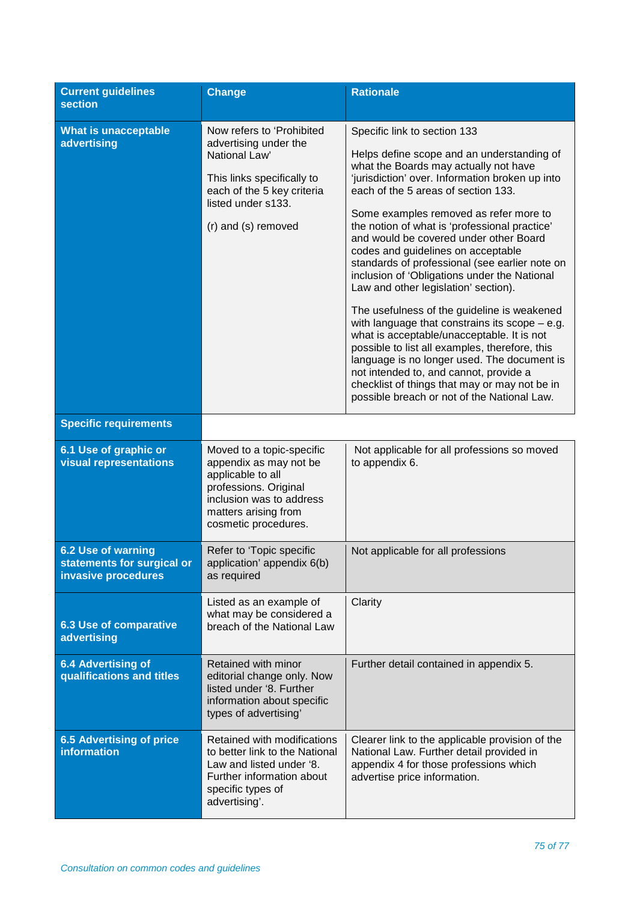| <b>Current guidelines</b><br><b>section</b>                             | <b>Change</b>                                                                                                                                                                 | <b>Rationale</b>                                                                                                                                                                                                                                                                                                                                                                                                                                                                                                                                                                                                                                                                                                                                                                                                                                                                                                               |
|-------------------------------------------------------------------------|-------------------------------------------------------------------------------------------------------------------------------------------------------------------------------|--------------------------------------------------------------------------------------------------------------------------------------------------------------------------------------------------------------------------------------------------------------------------------------------------------------------------------------------------------------------------------------------------------------------------------------------------------------------------------------------------------------------------------------------------------------------------------------------------------------------------------------------------------------------------------------------------------------------------------------------------------------------------------------------------------------------------------------------------------------------------------------------------------------------------------|
| <b>What is unacceptable</b><br>advertising                              | Now refers to 'Prohibited<br>advertising under the<br>National Law'<br>This links specifically to<br>each of the 5 key criteria<br>listed under s133.<br>(r) and (s) removed  | Specific link to section 133<br>Helps define scope and an understanding of<br>what the Boards may actually not have<br>'jurisdiction' over. Information broken up into<br>each of the 5 areas of section 133.<br>Some examples removed as refer more to<br>the notion of what is 'professional practice'<br>and would be covered under other Board<br>codes and guidelines on acceptable<br>standards of professional (see earlier note on<br>inclusion of 'Obligations under the National<br>Law and other legislation' section).<br>The usefulness of the guideline is weakened<br>with language that constrains its scope $-$ e.g.<br>what is acceptable/unacceptable. It is not<br>possible to list all examples, therefore, this<br>language is no longer used. The document is<br>not intended to, and cannot, provide a<br>checklist of things that may or may not be in<br>possible breach or not of the National Law. |
| <b>Specific requirements</b>                                            |                                                                                                                                                                               |                                                                                                                                                                                                                                                                                                                                                                                                                                                                                                                                                                                                                                                                                                                                                                                                                                                                                                                                |
| 6.1 Use of graphic or<br><b>visual representations</b>                  | Moved to a topic-specific<br>appendix as may not be<br>applicable to all<br>professions. Original<br>inclusion was to address<br>matters arising from<br>cosmetic procedures. | Not applicable for all professions so moved<br>to appendix 6.                                                                                                                                                                                                                                                                                                                                                                                                                                                                                                                                                                                                                                                                                                                                                                                                                                                                  |
| 6.2 Use of warning<br>statements for surgical or<br>invasive procedures | Refer to 'Topic specific<br>application' appendix 6(b)<br>as required                                                                                                         | Not applicable for all professions                                                                                                                                                                                                                                                                                                                                                                                                                                                                                                                                                                                                                                                                                                                                                                                                                                                                                             |
| <b>6.3 Use of comparative</b><br>advertising                            | Listed as an example of<br>what may be considered a<br>breach of the National Law                                                                                             | Clarity                                                                                                                                                                                                                                                                                                                                                                                                                                                                                                                                                                                                                                                                                                                                                                                                                                                                                                                        |
| <b>6.4 Advertising of</b><br>qualifications and titles                  | Retained with minor<br>editorial change only. Now<br>listed under '8. Further<br>information about specific<br>types of advertising'                                          | Further detail contained in appendix 5.                                                                                                                                                                                                                                                                                                                                                                                                                                                                                                                                                                                                                                                                                                                                                                                                                                                                                        |
| <b>6.5 Advertising of price</b><br><b>information</b>                   | Retained with modifications<br>to better link to the National<br>Law and listed under '8.<br>Further information about<br>specific types of<br>advertising'.                  | Clearer link to the applicable provision of the<br>National Law. Further detail provided in<br>appendix 4 for those professions which<br>advertise price information.                                                                                                                                                                                                                                                                                                                                                                                                                                                                                                                                                                                                                                                                                                                                                          |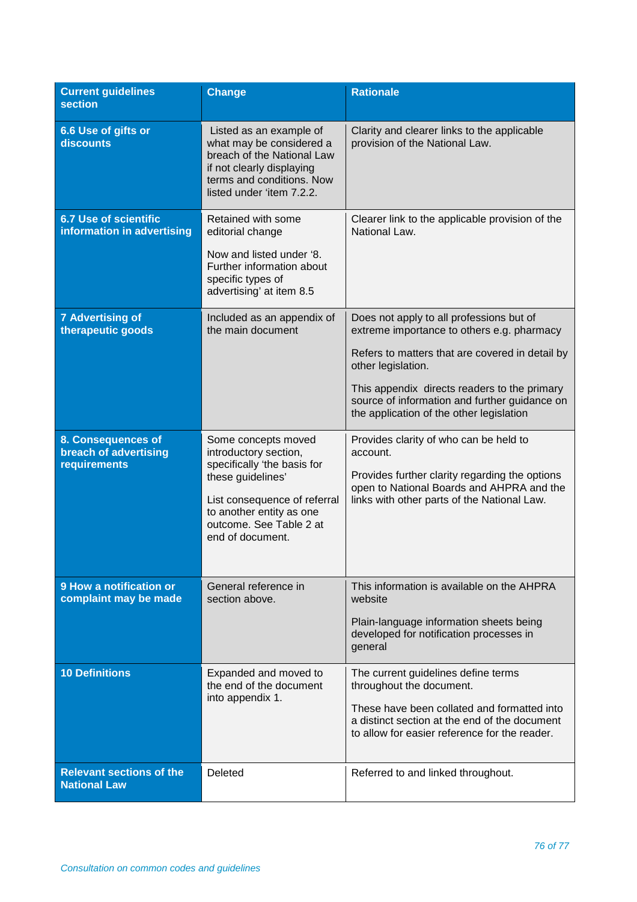| <b>Current guidelines</b><br><b>section</b>                 | <b>Change</b>                                                                                                                                                                                               | <b>Rationale</b>                                                                                                                                                                                                                                                 |
|-------------------------------------------------------------|-------------------------------------------------------------------------------------------------------------------------------------------------------------------------------------------------------------|------------------------------------------------------------------------------------------------------------------------------------------------------------------------------------------------------------------------------------------------------------------|
| 6.6 Use of gifts or<br>discounts                            | Listed as an example of<br>what may be considered a<br>breach of the National Law<br>if not clearly displaying<br>terms and conditions. Now<br>listed under 'item 7.2.2.                                    | Clarity and clearer links to the applicable<br>provision of the National Law.                                                                                                                                                                                    |
| <b>6.7 Use of scientific</b><br>information in advertising  | Retained with some<br>editorial change<br>Now and listed under '8.<br>Further information about<br>specific types of<br>advertising' at item 8.5                                                            | Clearer link to the applicable provision of the<br>National Law.                                                                                                                                                                                                 |
| <b>7 Advertising of</b><br>therapeutic goods                | Included as an appendix of<br>the main document                                                                                                                                                             | Does not apply to all professions but of<br>extreme importance to others e.g. pharmacy<br>Refers to matters that are covered in detail by<br>other legislation.<br>This appendix directs readers to the primary<br>source of information and further guidance on |
| 8. Consequences of<br>breach of advertising<br>requirements | Some concepts moved<br>introductory section,<br>specifically 'the basis for<br>these guidelines'<br>List consequence of referral<br>to another entity as one<br>outcome. See Table 2 at<br>end of document. | the application of the other legislation<br>Provides clarity of who can be held to<br>account.<br>Provides further clarity regarding the options<br>open to National Boards and AHPRA and the<br>links with other parts of the National Law.                     |
| 9 How a notification or<br>complaint may be made            | General reference in<br>section above.                                                                                                                                                                      | This information is available on the AHPRA<br>website<br>Plain-language information sheets being<br>developed for notification processes in<br>general                                                                                                           |
| <b>10 Definitions</b>                                       | Expanded and moved to<br>the end of the document<br>into appendix 1.                                                                                                                                        | The current guidelines define terms<br>throughout the document.<br>These have been collated and formatted into<br>a distinct section at the end of the document<br>to allow for easier reference for the reader.                                                 |
| <b>Relevant sections of the</b><br><b>National Law</b>      | Deleted                                                                                                                                                                                                     | Referred to and linked throughout.                                                                                                                                                                                                                               |